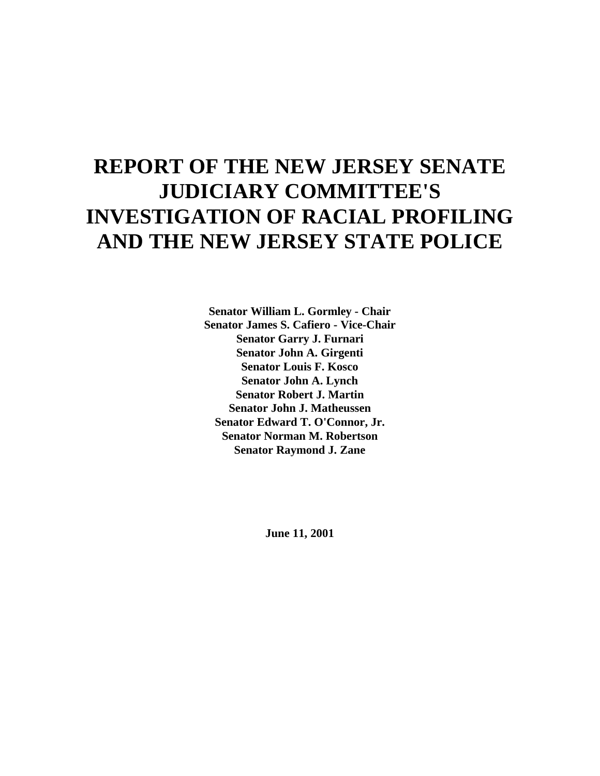# **REPORT OF THE NEW JERSEY SENATE JUDICIARY COMMITTEE'S INVESTIGATION OF RACIAL PROFILING AND THE NEW JERSEY STATE POLICE**

**Senator William L. Gormley - Chair Senator James S. Cafiero - Vice-Chair Senator Garry J. Furnari Senator John A. Girgenti Senator Louis F. Kosco Senator John A. Lynch Senator Robert J. Martin Senator John J. Matheussen Senator Edward T. O'Connor, Jr. Senator Norman M. Robertson Senator Raymond J. Zane**

**June 11, 2001**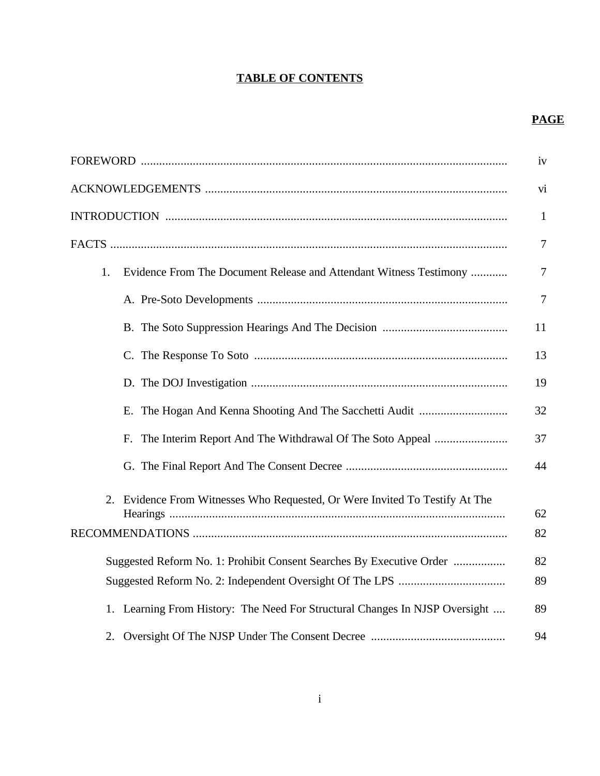# **TABLE OF CONTENTS**

# **PAGE**

|    |                                                                                | iv             |
|----|--------------------------------------------------------------------------------|----------------|
|    |                                                                                | vi             |
|    |                                                                                | $\mathbf{1}$   |
|    |                                                                                | $\tau$         |
| 1. | Evidence From The Document Release and Attendant Witness Testimony             | $\tau$         |
|    |                                                                                | $\overline{7}$ |
|    |                                                                                | 11             |
|    |                                                                                | 13             |
|    |                                                                                | 19             |
|    |                                                                                | 32             |
|    |                                                                                | 37             |
|    |                                                                                | 44             |
|    | Evidence From Witnesses Who Requested, Or Were Invited To Testify At The<br>2. | 62             |
|    |                                                                                | 82             |
|    | Suggested Reform No. 1: Prohibit Consent Searches By Executive Order           | 82             |
|    |                                                                                |                |
|    | 1. Learning From History: The Need For Structural Changes In NJSP Oversight    | 89             |
|    |                                                                                | 94             |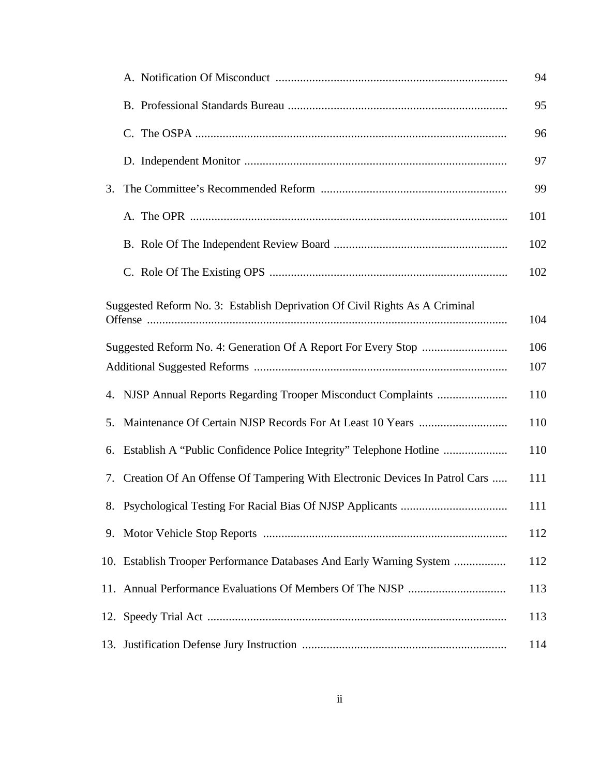|                                                                                    |                                                                            | 94  |  |  |
|------------------------------------------------------------------------------------|----------------------------------------------------------------------------|-----|--|--|
|                                                                                    |                                                                            | 95  |  |  |
|                                                                                    |                                                                            | 96  |  |  |
|                                                                                    |                                                                            | 97  |  |  |
| 3.                                                                                 |                                                                            | 99  |  |  |
|                                                                                    |                                                                            | 101 |  |  |
|                                                                                    |                                                                            | 102 |  |  |
|                                                                                    |                                                                            | 102 |  |  |
| Suggested Reform No. 3: Establish Deprivation Of Civil Rights As A Criminal<br>104 |                                                                            |     |  |  |
| 106                                                                                |                                                                            |     |  |  |
| 107                                                                                |                                                                            |     |  |  |
|                                                                                    |                                                                            | 110 |  |  |
| 5.                                                                                 |                                                                            | 110 |  |  |
| 6.                                                                                 | Establish A "Public Confidence Police Integrity" Telephone Hotline         | 110 |  |  |
| 7.                                                                                 | Creation Of An Offense Of Tampering With Electronic Devices In Patrol Cars | 111 |  |  |
| 8.                                                                                 | Psychological Testing For Racial Bias Of NJSP Applicants                   | 111 |  |  |
|                                                                                    |                                                                            | 112 |  |  |
|                                                                                    | 10. Establish Trooper Performance Databases And Early Warning System       | 112 |  |  |
|                                                                                    |                                                                            | 113 |  |  |
|                                                                                    |                                                                            | 113 |  |  |
|                                                                                    |                                                                            | 114 |  |  |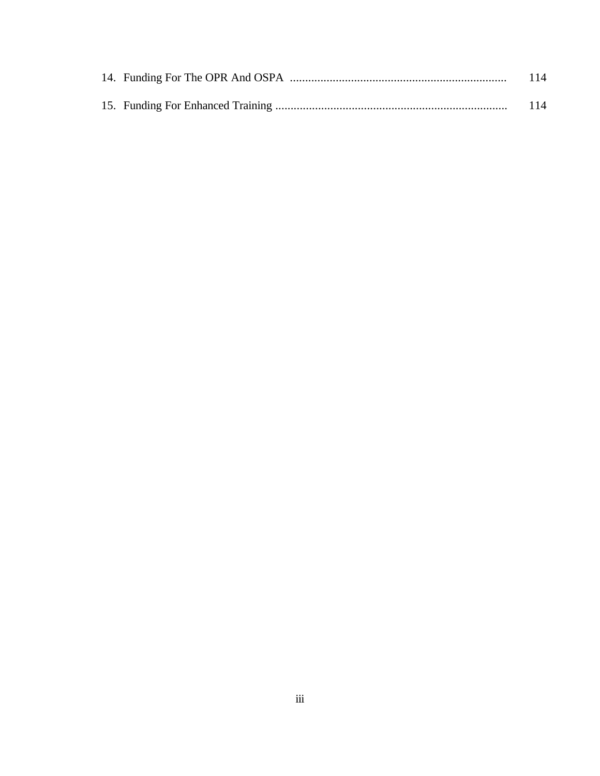|  | 114 |
|--|-----|
|  | 114 |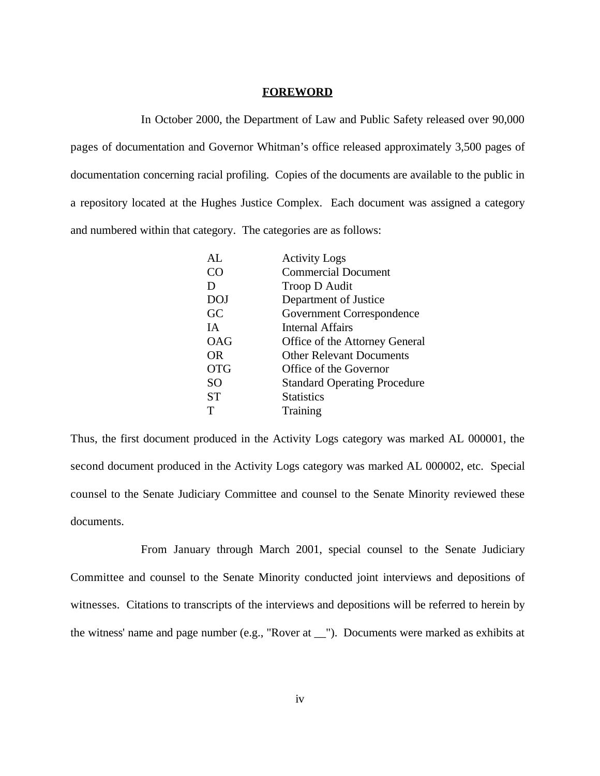#### **FOREWORD**

In October 2000, the Department of Law and Public Safety released over 90,000 pages of documentation and Governor Whitman's office released approximately 3,500 pages of documentation concerning racial profiling. Copies of the documents are available to the public in a repository located at the Hughes Justice Complex. Each document was assigned a category and numbered within that category. The categories are as follows:

| <b>Activity Logs</b>                |
|-------------------------------------|
| <b>Commercial Document</b>          |
| Troop D Audit                       |
| Department of Justice               |
| Government Correspondence           |
| Internal Affairs                    |
| Office of the Attorney General      |
| <b>Other Relevant Documents</b>     |
| Office of the Governor              |
| <b>Standard Operating Procedure</b> |
| <b>Statistics</b>                   |
| <b>Training</b>                     |
|                                     |

Thus, the first document produced in the Activity Logs category was marked AL 000001, the second document produced in the Activity Logs category was marked AL 000002, etc. Special counsel to the Senate Judiciary Committee and counsel to the Senate Minority reviewed these documents.

From January through March 2001, special counsel to the Senate Judiciary Committee and counsel to the Senate Minority conducted joint interviews and depositions of witnesses. Citations to transcripts of the interviews and depositions will be referred to herein by the witness' name and page number (e.g., "Rover at \_\_"). Documents were marked as exhibits at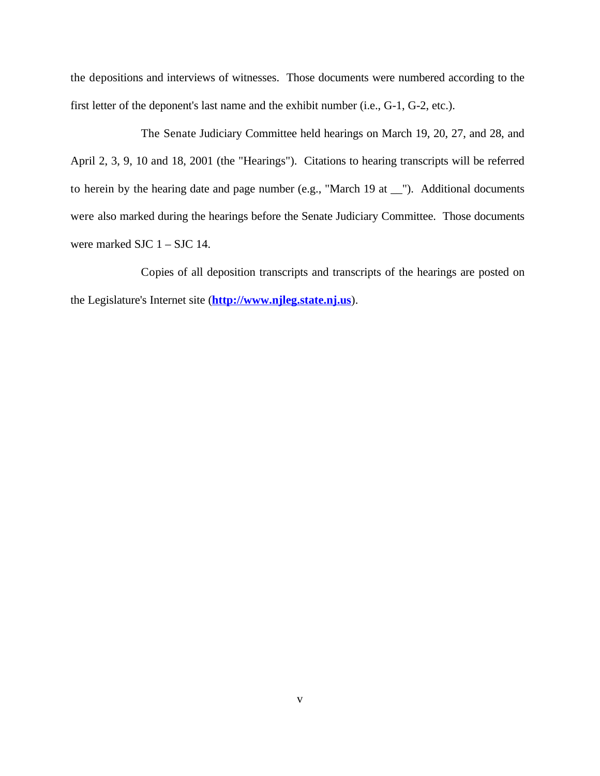the depositions and interviews of witnesses. Those documents were numbered according to the first letter of the deponent's last name and the exhibit number (i.e., G-1, G-2, etc.).

The Senate Judiciary Committee held hearings on March 19, 20, 27, and 28, and April 2, 3, 9, 10 and 18, 2001 (the "Hearings"). Citations to hearing transcripts will be referred to herein by the hearing date and page number (e.g., "March 19 at \_\_"). Additional documents were also marked during the hearings before the Senate Judiciary Committee. Those documents were marked SJC  $1 -$  SJC 14.

Copies of all deposition transcripts and transcripts of the hearings are posted on the Legislature's Internet site (**http://www.njleg.state.nj.us**).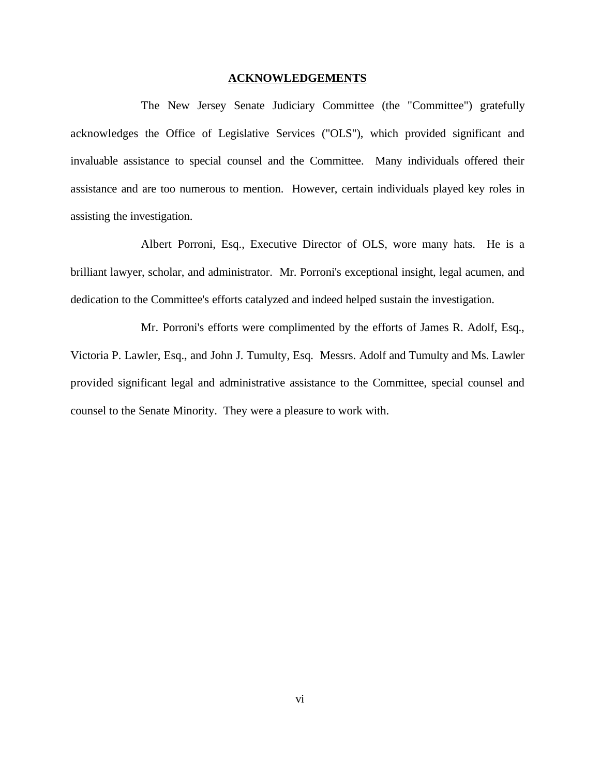#### **ACKNOWLEDGEMENTS**

The New Jersey Senate Judiciary Committee (the "Committee") gratefully acknowledges the Office of Legislative Services ("OLS"), which provided significant and invaluable assistance to special counsel and the Committee. Many individuals offered their assistance and are too numerous to mention. However, certain individuals played key roles in assisting the investigation.

Albert Porroni, Esq., Executive Director of OLS, wore many hats. He is a brilliant lawyer, scholar, and administrator. Mr. Porroni's exceptional insight, legal acumen, and dedication to the Committee's efforts catalyzed and indeed helped sustain the investigation.

Mr. Porroni's efforts were complimented by the efforts of James R. Adolf, Esq., Victoria P. Lawler, Esq., and John J. Tumulty, Esq. Messrs. Adolf and Tumulty and Ms. Lawler provided significant legal and administrative assistance to the Committee, special counsel and counsel to the Senate Minority. They were a pleasure to work with.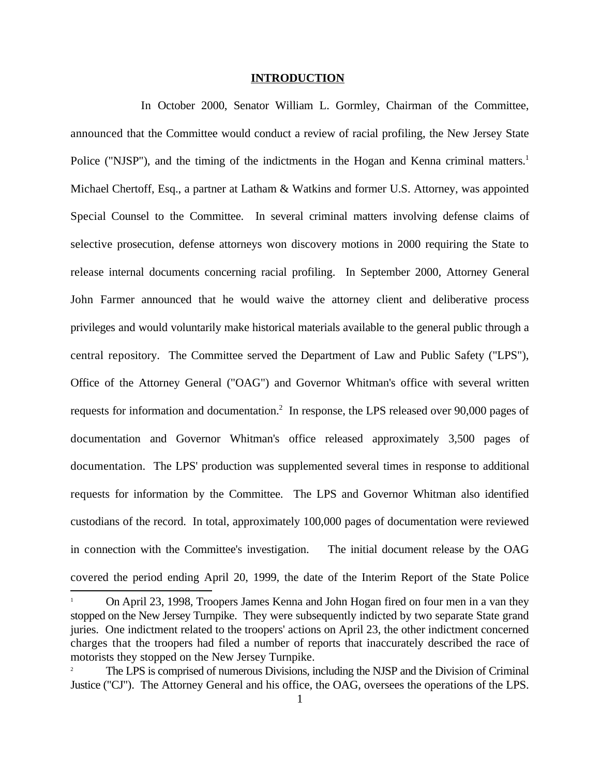#### **INTRODUCTION**

In October 2000, Senator William L. Gormley, Chairman of the Committee, announced that the Committee would conduct a review of racial profiling, the New Jersey State Police ("NJSP"), and the timing of the indictments in the Hogan and Kenna criminal matters.<sup>1</sup> Michael Chertoff, Esq., a partner at Latham & Watkins and former U.S. Attorney, was appointed Special Counsel to the Committee. In several criminal matters involving defense claims of selective prosecution, defense attorneys won discovery motions in 2000 requiring the State to release internal documents concerning racial profiling. In September 2000, Attorney General John Farmer announced that he would waive the attorney client and deliberative process privileges and would voluntarily make historical materials available to the general public through a central repository. The Committee served the Department of Law and Public Safety ("LPS"), Office of the Attorney General ("OAG") and Governor Whitman's office with several written requests for information and documentation.<sup>2</sup> In response, the LPS released over 90,000 pages of documentation and Governor Whitman's office released approximately 3,500 pages of documentation. The LPS' production was supplemented several times in response to additional requests for information by the Committee. The LPS and Governor Whitman also identified custodians of the record. In total, approximately 100,000 pages of documentation were reviewed in connection with the Committee's investigation. The initial document release by the OAG covered the period ending April 20, 1999, the date of the Interim Report of the State Police

On April 23, 1998, Troopers James Kenna and John Hogan fired on four men in a van they <sup>1</sup> stopped on the New Jersey Turnpike. They were subsequently indicted by two separate State grand juries. One indictment related to the troopers' actions on April 23, the other indictment concerned charges that the troopers had filed a number of reports that inaccurately described the race of motorists they stopped on the New Jersey Turnpike.

The LPS is comprised of numerous Divisions, including the NJSP and the Division of Criminal <sup>2</sup> Justice ("CJ"). The Attorney General and his office, the OAG, oversees the operations of the LPS.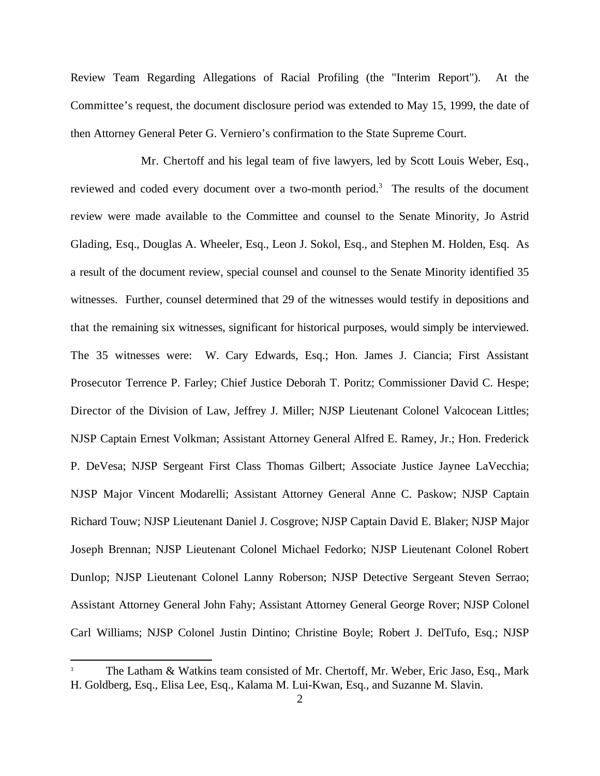Review Team Regarding Allegations of Racial Profiling (the "Interim Report"). At the Committee's request, the document disclosure period was extended to May 15, 1999, the date of then Attorney General Peter G. Verniero's confirmation to the State Supreme Court.

Mr. Chertoff and his legal team of five lawyers, led by Scott Louis Weber, Esq., reviewed and coded every document over a two-month period.<sup>3</sup> The results of the document review were made available to the Committee and counsel to the Senate Minority, Jo Astrid Glading, Esq., Douglas A. Wheeler, Esq., Leon J. Sokol, Esq., and Stephen M. Holden, Esq. As a result of the document review, special counsel and counsel to the Senate Minority identified 35 witnesses. Further, counsel determined that 29 of the witnesses would testify in depositions and that the remaining six witnesses, significant for historical purposes, would simply be interviewed. The 35 witnesses were: W. Cary Edwards, Esq.; Hon. James J. Ciancia; First Assistant Prosecutor Terrence P. Farley; Chief Justice Deborah T. Poritz; Commissioner David C. Hespe; Director of the Division of Law, Jeffrey J. Miller; NJSP Lieutenant Colonel Valcocean Littles; NJSP Captain Ernest Volkman; Assistant Attorney General Alfred E. Ramey, Jr.; Hon. Frederick P. DeVesa; NJSP Sergeant First Class Thomas Gilbert; Associate Justice Jaynee LaVecchia; NJSP Major Vincent Modarelli; Assistant Attorney General Anne C. Paskow; NJSP Captain Richard Touw; NJSP Lieutenant Daniel J. Cosgrove; NJSP Captain David E. Blaker; NJSP Major Joseph Brennan; NJSP Lieutenant Colonel Michael Fedorko; NJSP Lieutenant Colonel Robert Dunlop; NJSP Lieutenant Colonel Lanny Roberson; NJSP Detective Sergeant Steven Serrao; Assistant Attorney General John Fahy; Assistant Attorney General George Rover; NJSP Colonel Carl Williams; NJSP Colonel Justin Dintino; Christine Boyle; Robert J. DelTufo, Esq.; NJSP

The Latham & Watkins team consisted of Mr. Chertoff, Mr. Weber, Eric Jaso, Esq., Mark <sup>3</sup> H. Goldberg, Esq., Elisa Lee, Esq., Kalama M. Lui-Kwan, Esq., and Suzanne M. Slavin.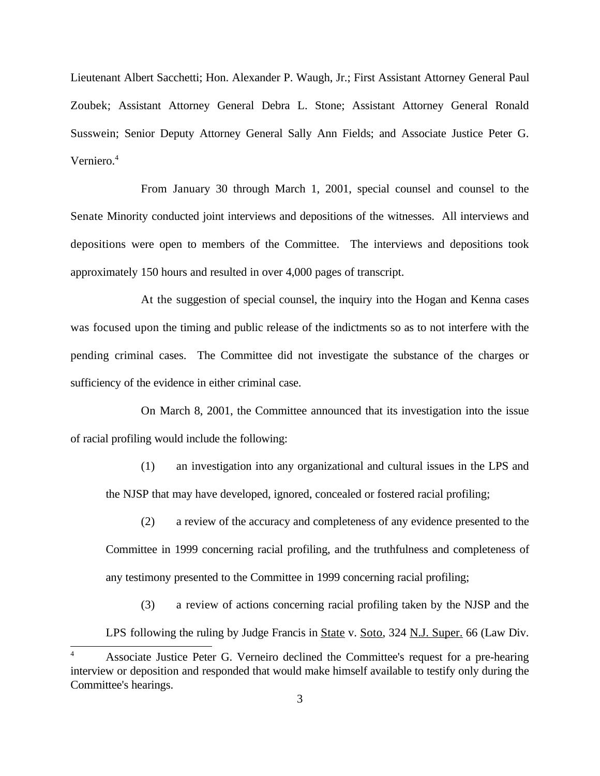Lieutenant Albert Sacchetti; Hon. Alexander P. Waugh, Jr.; First Assistant Attorney General Paul Zoubek; Assistant Attorney General Debra L. Stone; Assistant Attorney General Ronald Susswein; Senior Deputy Attorney General Sally Ann Fields; and Associate Justice Peter G. Verniero.<sup>4</sup>

From January 30 through March 1, 2001, special counsel and counsel to the Senate Minority conducted joint interviews and depositions of the witnesses. All interviews and depositions were open to members of the Committee. The interviews and depositions took approximately 150 hours and resulted in over 4,000 pages of transcript.

At the suggestion of special counsel, the inquiry into the Hogan and Kenna cases was focused upon the timing and public release of the indictments so as to not interfere with the pending criminal cases. The Committee did not investigate the substance of the charges or sufficiency of the evidence in either criminal case.

On March 8, 2001, the Committee announced that its investigation into the issue of racial profiling would include the following:

(1) an investigation into any organizational and cultural issues in the LPS and the NJSP that may have developed, ignored, concealed or fostered racial profiling;

(2) a review of the accuracy and completeness of any evidence presented to the Committee in 1999 concerning racial profiling, and the truthfulness and completeness of any testimony presented to the Committee in 1999 concerning racial profiling;

(3) a review of actions concerning racial profiling taken by the NJSP and the

LPS following the ruling by Judge Francis in State v. Soto, 324 N.J. Super. 66 (Law Div.

Associate Justice Peter G. Verneiro declined the Committee's request for a pre-hearing 4 interview or deposition and responded that would make himself available to testify only during the Committee's hearings.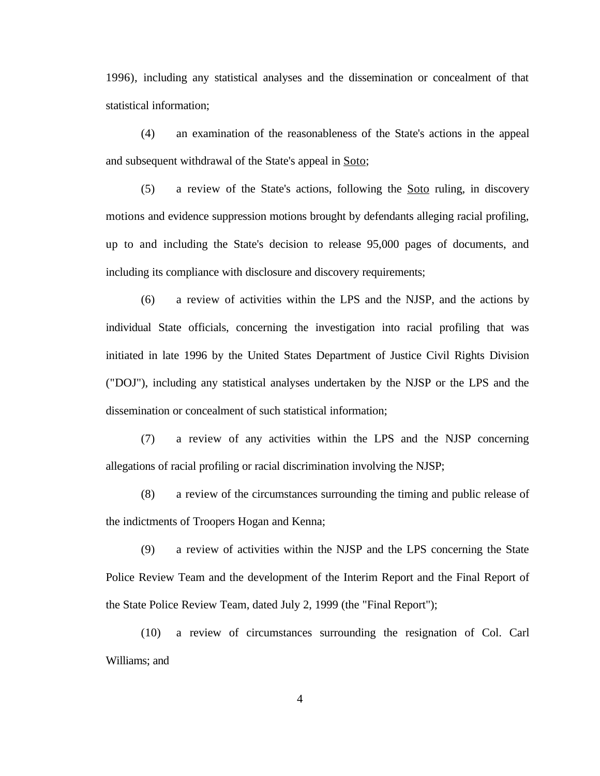1996), including any statistical analyses and the dissemination or concealment of that statistical information;

(4) an examination of the reasonableness of the State's actions in the appeal and subsequent withdrawal of the State's appeal in Soto;

(5) a review of the State's actions, following the Soto ruling, in discovery motions and evidence suppression motions brought by defendants alleging racial profiling, up to and including the State's decision to release 95,000 pages of documents, and including its compliance with disclosure and discovery requirements;

(6) a review of activities within the LPS and the NJSP, and the actions by individual State officials, concerning the investigation into racial profiling that was initiated in late 1996 by the United States Department of Justice Civil Rights Division ("DOJ"), including any statistical analyses undertaken by the NJSP or the LPS and the dissemination or concealment of such statistical information;

(7) a review of any activities within the LPS and the NJSP concerning allegations of racial profiling or racial discrimination involving the NJSP;

(8) a review of the circumstances surrounding the timing and public release of the indictments of Troopers Hogan and Kenna;

(9) a review of activities within the NJSP and the LPS concerning the State Police Review Team and the development of the Interim Report and the Final Report of the State Police Review Team, dated July 2, 1999 (the "Final Report");

(10) a review of circumstances surrounding the resignation of Col. Carl Williams; and

4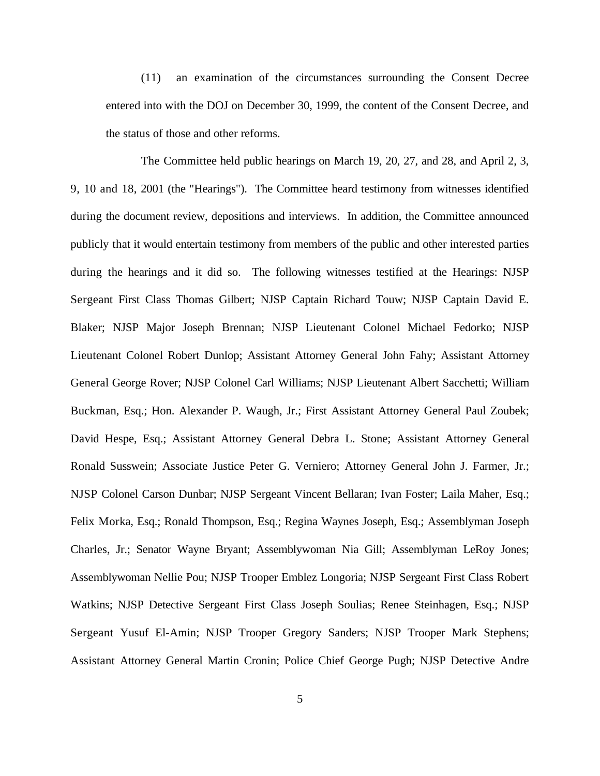(11) an examination of the circumstances surrounding the Consent Decree entered into with the DOJ on December 30, 1999, the content of the Consent Decree, and the status of those and other reforms.

The Committee held public hearings on March 19, 20, 27, and 28, and April 2, 3, 9, 10 and 18, 2001 (the "Hearings"). The Committee heard testimony from witnesses identified during the document review, depositions and interviews. In addition, the Committee announced publicly that it would entertain testimony from members of the public and other interested parties during the hearings and it did so. The following witnesses testified at the Hearings: NJSP Sergeant First Class Thomas Gilbert; NJSP Captain Richard Touw; NJSP Captain David E. Blaker; NJSP Major Joseph Brennan; NJSP Lieutenant Colonel Michael Fedorko; NJSP Lieutenant Colonel Robert Dunlop; Assistant Attorney General John Fahy; Assistant Attorney General George Rover; NJSP Colonel Carl Williams; NJSP Lieutenant Albert Sacchetti; William Buckman, Esq.; Hon. Alexander P. Waugh, Jr.; First Assistant Attorney General Paul Zoubek; David Hespe, Esq.; Assistant Attorney General Debra L. Stone; Assistant Attorney General Ronald Susswein; Associate Justice Peter G. Verniero; Attorney General John J. Farmer, Jr.; NJSP Colonel Carson Dunbar; NJSP Sergeant Vincent Bellaran; Ivan Foster; Laila Maher, Esq.; Felix Morka, Esq.; Ronald Thompson, Esq.; Regina Waynes Joseph, Esq.; Assemblyman Joseph Charles, Jr.; Senator Wayne Bryant; Assemblywoman Nia Gill; Assemblyman LeRoy Jones; Assemblywoman Nellie Pou; NJSP Trooper Emblez Longoria; NJSP Sergeant First Class Robert Watkins; NJSP Detective Sergeant First Class Joseph Soulias; Renee Steinhagen, Esq.; NJSP Sergeant Yusuf El-Amin; NJSP Trooper Gregory Sanders; NJSP Trooper Mark Stephens; Assistant Attorney General Martin Cronin; Police Chief George Pugh; NJSP Detective Andre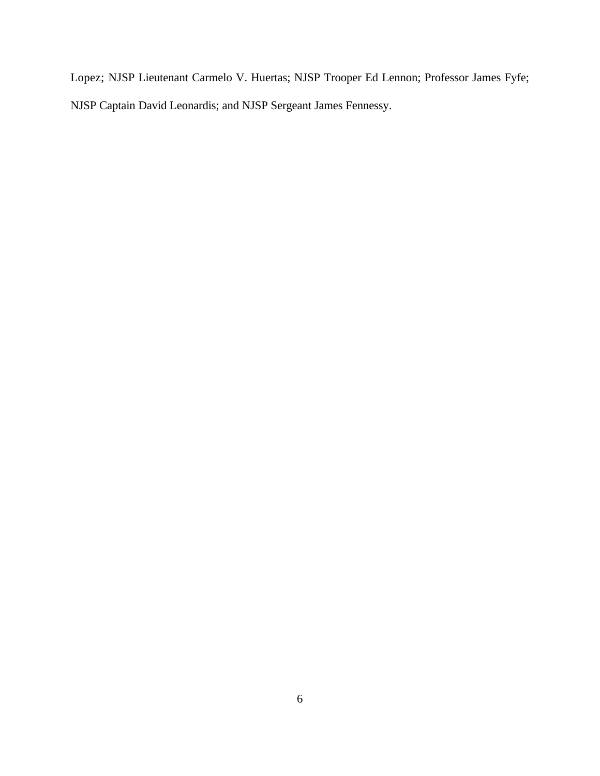Lopez; NJSP Lieutenant Carmelo V. Huertas; NJSP Trooper Ed Lennon; Professor James Fyfe; NJSP Captain David Leonardis; and NJSP Sergeant James Fennessy.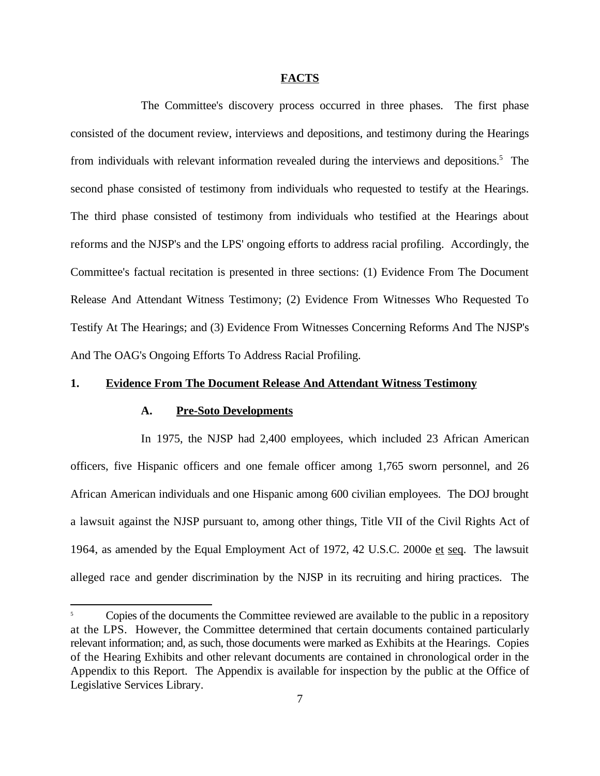#### **FACTS**

The Committee's discovery process occurred in three phases. The first phase consisted of the document review, interviews and depositions, and testimony during the Hearings from individuals with relevant information revealed during the interviews and depositions.<sup>5</sup> The second phase consisted of testimony from individuals who requested to testify at the Hearings. The third phase consisted of testimony from individuals who testified at the Hearings about reforms and the NJSP's and the LPS' ongoing efforts to address racial profiling. Accordingly, the Committee's factual recitation is presented in three sections: (1) Evidence From The Document Release And Attendant Witness Testimony; (2) Evidence From Witnesses Who Requested To Testify At The Hearings; and (3) Evidence From Witnesses Concerning Reforms And The NJSP's And The OAG's Ongoing Efforts To Address Racial Profiling.

# **1. Evidence From The Document Release And Attendant Witness Testimony**

## **A. Pre-Soto Developments**

In 1975, the NJSP had 2,400 employees, which included 23 African American officers, five Hispanic officers and one female officer among 1,765 sworn personnel, and 26 African American individuals and one Hispanic among 600 civilian employees. The DOJ brought a lawsuit against the NJSP pursuant to, among other things, Title VII of the Civil Rights Act of 1964, as amended by the Equal Employment Act of 1972, 42 U.S.C. 2000e et seq. The lawsuit alleged race and gender discrimination by the NJSP in its recruiting and hiring practices. The

Copies of the documents the Committee reviewed are available to the public in a repository at the LPS. However, the Committee determined that certain documents contained particularly relevant information; and, as such, those documents were marked as Exhibits at the Hearings. Copies of the Hearing Exhibits and other relevant documents are contained in chronological order in the Appendix to this Report. The Appendix is available for inspection by the public at the Office of Legislative Services Library.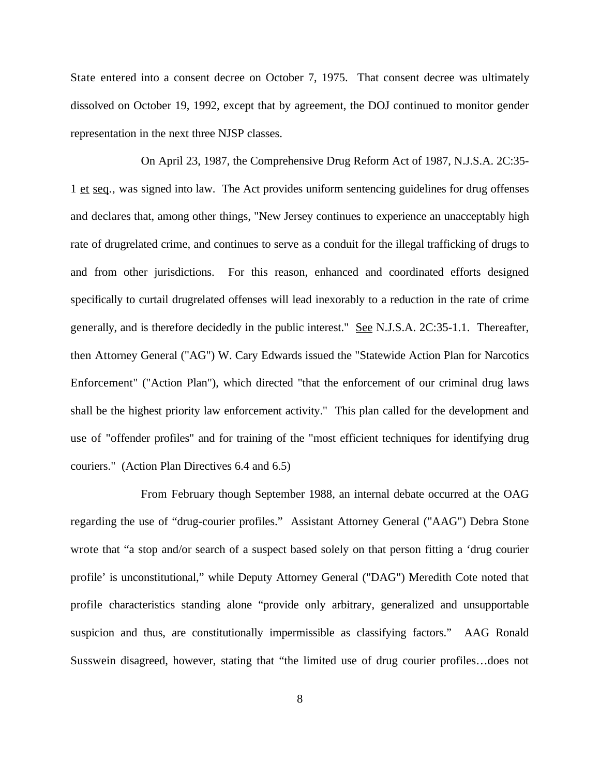State entered into a consent decree on October 7, 1975. That consent decree was ultimately dissolved on October 19, 1992, except that by agreement, the DOJ continued to monitor gender representation in the next three NJSP classes.

On April 23, 1987, the Comprehensive Drug Reform Act of 1987, N.J.S.A. 2C:35- 1 et seq., was signed into law. The Act provides uniform sentencing guidelines for drug offenses and declares that, among other things, "New Jersey continues to experience an unacceptably high rate of drugrelated crime, and continues to serve as a conduit for the illegal trafficking of drugs to and from other jurisdictions. For this reason, enhanced and coordinated efforts designed specifically to curtail drugrelated offenses will lead inexorably to a reduction in the rate of crime generally, and is therefore decidedly in the public interest." See N.J.S.A. 2C:35-1.1. Thereafter, then Attorney General ("AG") W. Cary Edwards issued the "Statewide Action Plan for Narcotics Enforcement" ("Action Plan"), which directed "that the enforcement of our criminal drug laws shall be the highest priority law enforcement activity." This plan called for the development and use of "offender profiles" and for training of the "most efficient techniques for identifying drug couriers." (Action Plan Directives 6.4 and 6.5)

From February though September 1988, an internal debate occurred at the OAG regarding the use of "drug-courier profiles." Assistant Attorney General ("AAG") Debra Stone wrote that "a stop and/or search of a suspect based solely on that person fitting a 'drug courier profile' is unconstitutional," while Deputy Attorney General ("DAG") Meredith Cote noted that profile characteristics standing alone "provide only arbitrary, generalized and unsupportable suspicion and thus, are constitutionally impermissible as classifying factors." AAG Ronald Susswein disagreed, however, stating that "the limited use of drug courier profiles…does not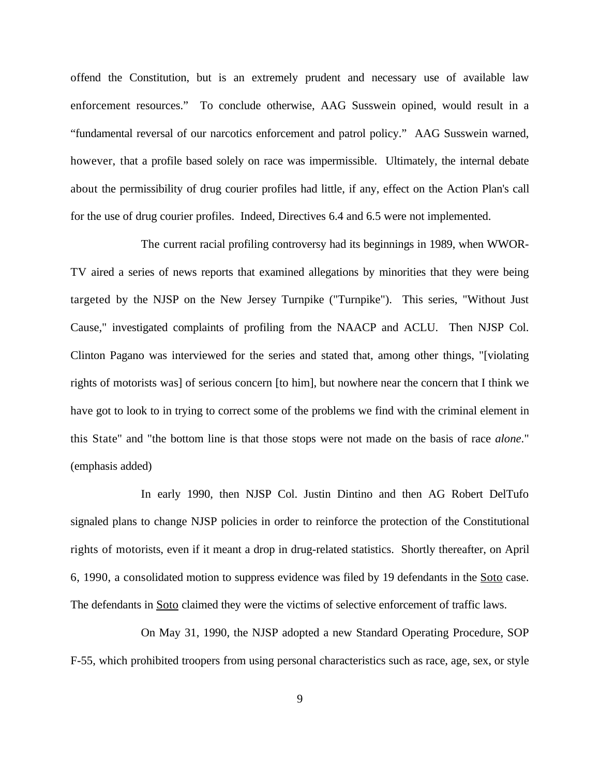offend the Constitution, but is an extremely prudent and necessary use of available law enforcement resources." To conclude otherwise, AAG Susswein opined, would result in a "fundamental reversal of our narcotics enforcement and patrol policy." AAG Susswein warned, however, that a profile based solely on race was impermissible. Ultimately, the internal debate about the permissibility of drug courier profiles had little, if any, effect on the Action Plan's call for the use of drug courier profiles. Indeed, Directives 6.4 and 6.5 were not implemented.

The current racial profiling controversy had its beginnings in 1989, when WWOR-TV aired a series of news reports that examined allegations by minorities that they were being targeted by the NJSP on the New Jersey Turnpike ("Turnpike"). This series, "Without Just Cause," investigated complaints of profiling from the NAACP and ACLU. Then NJSP Col. Clinton Pagano was interviewed for the series and stated that, among other things, "[violating rights of motorists was] of serious concern [to him], but nowhere near the concern that I think we have got to look to in trying to correct some of the problems we find with the criminal element in this State" and "the bottom line is that those stops were not made on the basis of race *alone*." (emphasis added)

In early 1990, then NJSP Col. Justin Dintino and then AG Robert DelTufo signaled plans to change NJSP policies in order to reinforce the protection of the Constitutional rights of motorists, even if it meant a drop in drug-related statistics. Shortly thereafter, on April 6, 1990, a consolidated motion to suppress evidence was filed by 19 defendants in the Soto case. The defendants in Soto claimed they were the victims of selective enforcement of traffic laws.

On May 31, 1990, the NJSP adopted a new Standard Operating Procedure, SOP F-55, which prohibited troopers from using personal characteristics such as race, age, sex, or style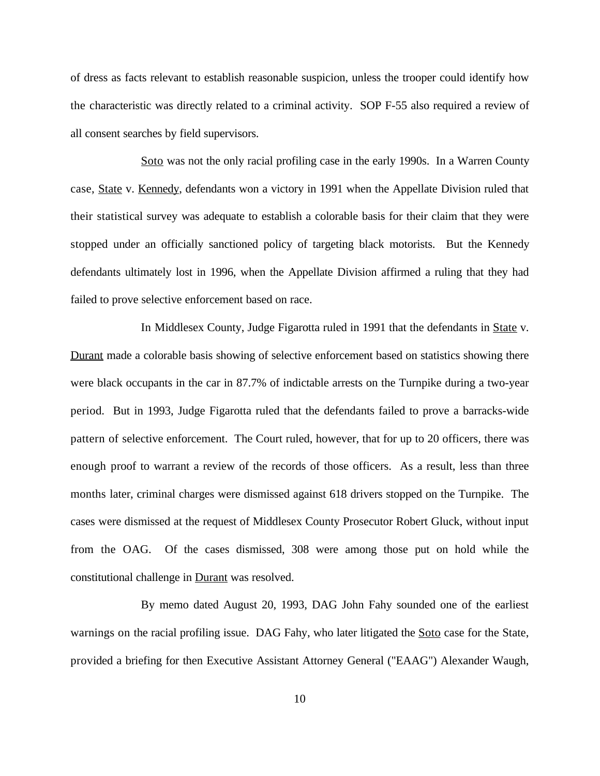of dress as facts relevant to establish reasonable suspicion, unless the trooper could identify how the characteristic was directly related to a criminal activity. SOP F-55 also required a review of all consent searches by field supervisors.

Soto was not the only racial profiling case in the early 1990s. In a Warren County case, State v. Kennedy, defendants won a victory in 1991 when the Appellate Division ruled that their statistical survey was adequate to establish a colorable basis for their claim that they were stopped under an officially sanctioned policy of targeting black motorists. But the Kennedy defendants ultimately lost in 1996, when the Appellate Division affirmed a ruling that they had failed to prove selective enforcement based on race.

In Middlesex County, Judge Figarotta ruled in 1991 that the defendants in State v. Durant made a colorable basis showing of selective enforcement based on statistics showing there were black occupants in the car in 87.7% of indictable arrests on the Turnpike during a two-year period. But in 1993, Judge Figarotta ruled that the defendants failed to prove a barracks-wide pattern of selective enforcement. The Court ruled, however, that for up to 20 officers, there was enough proof to warrant a review of the records of those officers. As a result, less than three months later, criminal charges were dismissed against 618 drivers stopped on the Turnpike. The cases were dismissed at the request of Middlesex County Prosecutor Robert Gluck, without input from the OAG. Of the cases dismissed, 308 were among those put on hold while the constitutional challenge in Durant was resolved.

By memo dated August 20, 1993, DAG John Fahy sounded one of the earliest warnings on the racial profiling issue. DAG Fahy, who later litigated the Soto case for the State, provided a briefing for then Executive Assistant Attorney General ("EAAG") Alexander Waugh,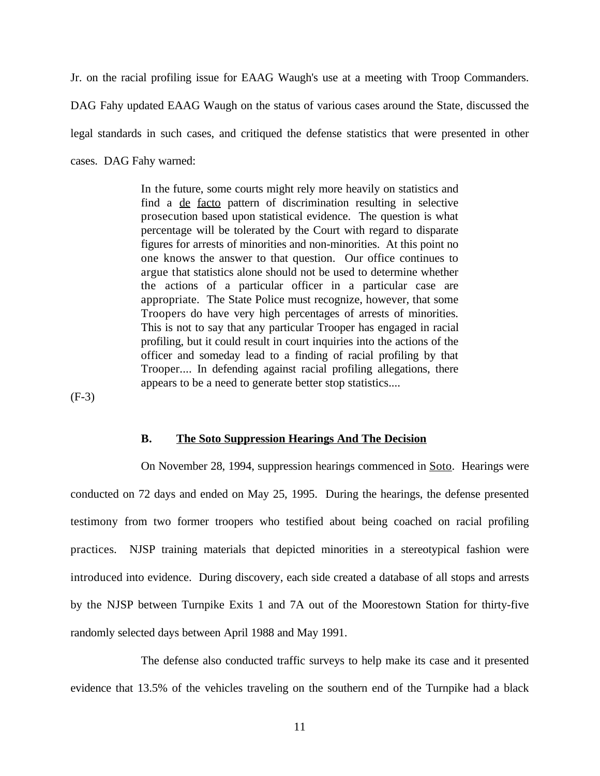Jr. on the racial profiling issue for EAAG Waugh's use at a meeting with Troop Commanders. DAG Fahy updated EAAG Waugh on the status of various cases around the State, discussed the legal standards in such cases, and critiqued the defense statistics that were presented in other cases. DAG Fahy warned:

> In the future, some courts might rely more heavily on statistics and find a de facto pattern of discrimination resulting in selective prosecution based upon statistical evidence. The question is what percentage will be tolerated by the Court with regard to disparate figures for arrests of minorities and non-minorities. At this point no one knows the answer to that question. Our office continues to argue that statistics alone should not be used to determine whether the actions of a particular officer in a particular case are appropriate. The State Police must recognize, however, that some Troopers do have very high percentages of arrests of minorities. This is not to say that any particular Trooper has engaged in racial profiling, but it could result in court inquiries into the actions of the officer and someday lead to a finding of racial profiling by that Trooper.... In defending against racial profiling allegations, there appears to be a need to generate better stop statistics....

(F-3)

## **B. The Soto Suppression Hearings And The Decision**

On November 28, 1994, suppression hearings commenced in Soto. Hearings were conducted on 72 days and ended on May 25, 1995. During the hearings, the defense presented testimony from two former troopers who testified about being coached on racial profiling practices. NJSP training materials that depicted minorities in a stereotypical fashion were introduced into evidence. During discovery, each side created a database of all stops and arrests by the NJSP between Turnpike Exits 1 and 7A out of the Moorestown Station for thirty-five randomly selected days between April 1988 and May 1991.

The defense also conducted traffic surveys to help make its case and it presented evidence that 13.5% of the vehicles traveling on the southern end of the Turnpike had a black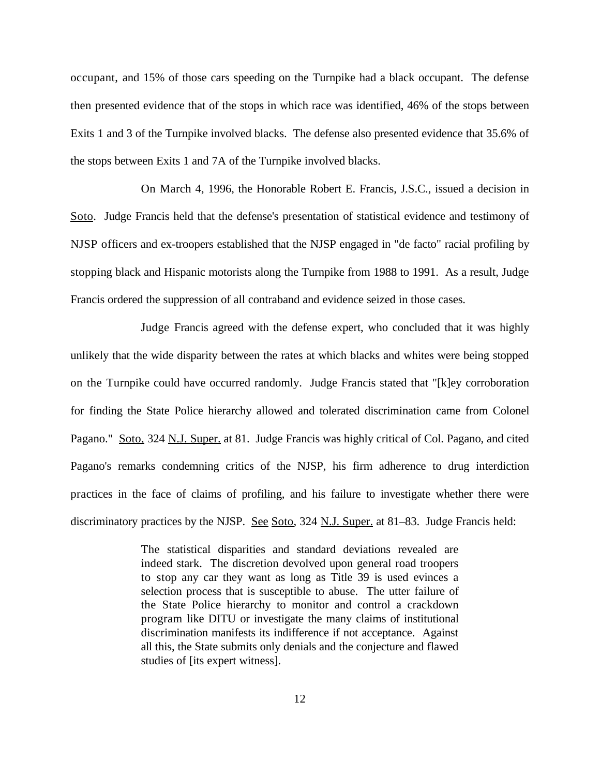occupant, and 15% of those cars speeding on the Turnpike had a black occupant. The defense then presented evidence that of the stops in which race was identified, 46% of the stops between Exits 1 and 3 of the Turnpike involved blacks. The defense also presented evidence that 35.6% of the stops between Exits 1 and 7A of the Turnpike involved blacks.

On March 4, 1996, the Honorable Robert E. Francis, J.S.C., issued a decision in Soto. Judge Francis held that the defense's presentation of statistical evidence and testimony of NJSP officers and ex-troopers established that the NJSP engaged in "de facto" racial profiling by stopping black and Hispanic motorists along the Turnpike from 1988 to 1991. As a result, Judge Francis ordered the suppression of all contraband and evidence seized in those cases.

Judge Francis agreed with the defense expert, who concluded that it was highly unlikely that the wide disparity between the rates at which blacks and whites were being stopped on the Turnpike could have occurred randomly. Judge Francis stated that "[k]ey corroboration for finding the State Police hierarchy allowed and tolerated discrimination came from Colonel Pagano." Soto, 324 N.J. Super. at 81. Judge Francis was highly critical of Col. Pagano, and cited Pagano's remarks condemning critics of the NJSP, his firm adherence to drug interdiction practices in the face of claims of profiling, and his failure to investigate whether there were discriminatory practices by the NJSP. See Soto, 324 N.J. Super. at 81–83. Judge Francis held:

> The statistical disparities and standard deviations revealed are indeed stark. The discretion devolved upon general road troopers to stop any car they want as long as Title 39 is used evinces a selection process that is susceptible to abuse. The utter failure of the State Police hierarchy to monitor and control a crackdown program like DITU or investigate the many claims of institutional discrimination manifests its indifference if not acceptance. Against all this, the State submits only denials and the conjecture and flawed studies of [its expert witness].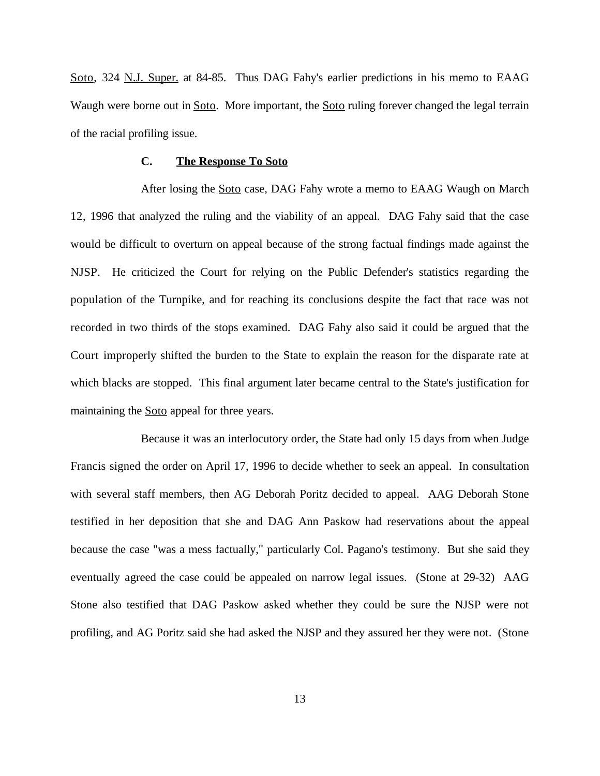Soto, 324 N.J. Super. at 84-85. Thus DAG Fahy's earlier predictions in his memo to EAAG Waugh were borne out in Soto. More important, the Soto ruling forever changed the legal terrain of the racial profiling issue.

# **C. The Response To Soto**

After losing the **Soto** case, DAG Fahy wrote a memo to EAAG Waugh on March 12, 1996 that analyzed the ruling and the viability of an appeal. DAG Fahy said that the case would be difficult to overturn on appeal because of the strong factual findings made against the NJSP. He criticized the Court for relying on the Public Defender's statistics regarding the population of the Turnpike, and for reaching its conclusions despite the fact that race was not recorded in two thirds of the stops examined. DAG Fahy also said it could be argued that the Court improperly shifted the burden to the State to explain the reason for the disparate rate at which blacks are stopped. This final argument later became central to the State's justification for maintaining the **Soto** appeal for three years.

Because it was an interlocutory order, the State had only 15 days from when Judge Francis signed the order on April 17, 1996 to decide whether to seek an appeal. In consultation with several staff members, then AG Deborah Poritz decided to appeal. AAG Deborah Stone testified in her deposition that she and DAG Ann Paskow had reservations about the appeal because the case "was a mess factually," particularly Col. Pagano's testimony. But she said they eventually agreed the case could be appealed on narrow legal issues. (Stone at 29-32) AAG Stone also testified that DAG Paskow asked whether they could be sure the NJSP were not profiling, and AG Poritz said she had asked the NJSP and they assured her they were not. (Stone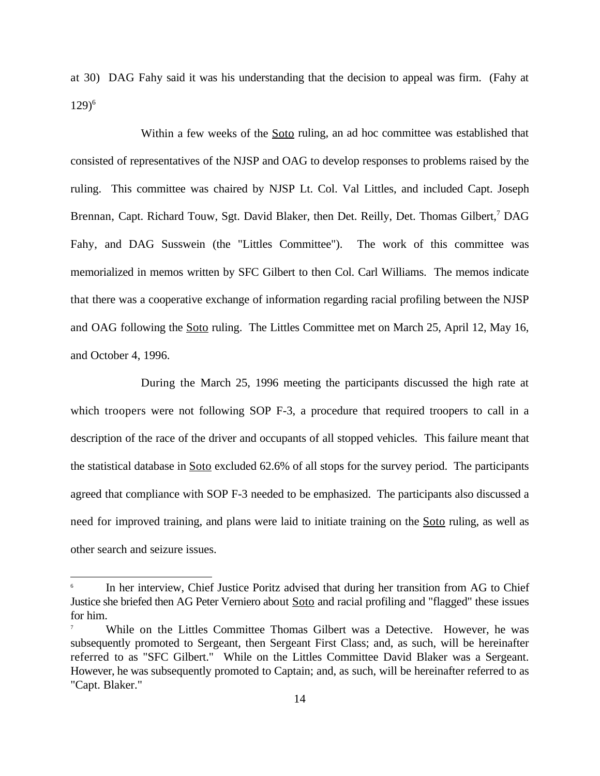at 30) DAG Fahy said it was his understanding that the decision to appeal was firm. (Fahy at  $129)^6$ 

Within a few weeks of the **Soto** ruling, an ad hoc committee was established that consisted of representatives of the NJSP and OAG to develop responses to problems raised by the ruling. This committee was chaired by NJSP Lt. Col. Val Littles, and included Capt. Joseph Brennan, Capt. Richard Touw, Sgt. David Blaker, then Det. Reilly, Det. Thomas Gilbert,<sup>7</sup> DAG Fahy, and DAG Susswein (the "Littles Committee"). The work of this committee was memorialized in memos written by SFC Gilbert to then Col. Carl Williams. The memos indicate that there was a cooperative exchange of information regarding racial profiling between the NJSP and OAG following the Soto ruling. The Littles Committee met on March 25, April 12, May 16, and October 4, 1996.

During the March 25, 1996 meeting the participants discussed the high rate at which troopers were not following SOP F-3, a procedure that required troopers to call in a description of the race of the driver and occupants of all stopped vehicles. This failure meant that the statistical database in Soto excluded 62.6% of all stops for the survey period. The participants agreed that compliance with SOP F-3 needed to be emphasized. The participants also discussed a need for improved training, and plans were laid to initiate training on the Soto ruling, as well as other search and seizure issues.

In her interview, Chief Justice Poritz advised that during her transition from AG to Chief 6 Justice she briefed then AG Peter Verniero about Soto and racial profiling and "flagged" these issues for him.

While on the Littles Committee Thomas Gilbert was a Detective. However, he was 7 subsequently promoted to Sergeant, then Sergeant First Class; and, as such, will be hereinafter referred to as "SFC Gilbert." While on the Littles Committee David Blaker was a Sergeant. However, he was subsequently promoted to Captain; and, as such, will be hereinafter referred to as "Capt. Blaker."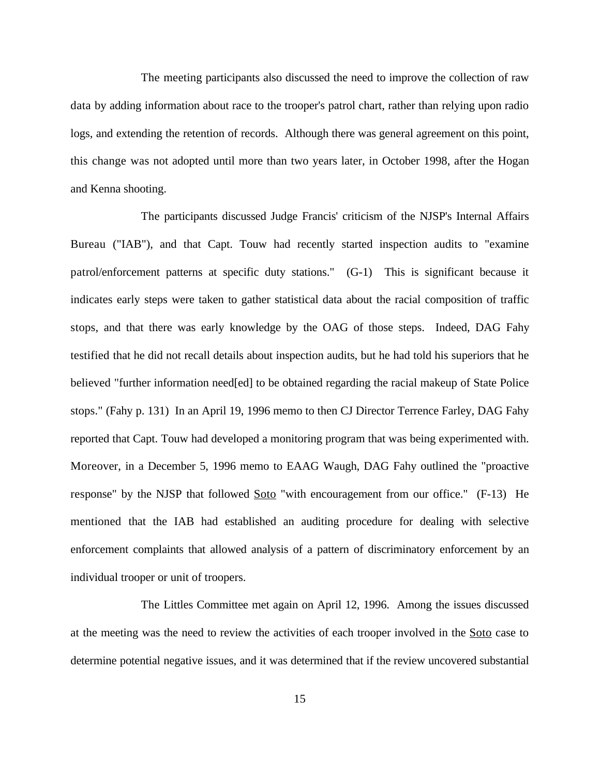The meeting participants also discussed the need to improve the collection of raw data by adding information about race to the trooper's patrol chart, rather than relying upon radio logs, and extending the retention of records. Although there was general agreement on this point, this change was not adopted until more than two years later, in October 1998, after the Hogan and Kenna shooting.

The participants discussed Judge Francis' criticism of the NJSP's Internal Affairs Bureau ("IAB"), and that Capt. Touw had recently started inspection audits to "examine patrol/enforcement patterns at specific duty stations." (G-1) This is significant because it indicates early steps were taken to gather statistical data about the racial composition of traffic stops, and that there was early knowledge by the OAG of those steps. Indeed, DAG Fahy testified that he did not recall details about inspection audits, but he had told his superiors that he believed "further information need[ed] to be obtained regarding the racial makeup of State Police stops." (Fahy p. 131) In an April 19, 1996 memo to then CJ Director Terrence Farley, DAG Fahy reported that Capt. Touw had developed a monitoring program that was being experimented with. Moreover, in a December 5, 1996 memo to EAAG Waugh, DAG Fahy outlined the "proactive response" by the NJSP that followed Soto "with encouragement from our office." (F-13) He mentioned that the IAB had established an auditing procedure for dealing with selective enforcement complaints that allowed analysis of a pattern of discriminatory enforcement by an individual trooper or unit of troopers.

The Littles Committee met again on April 12, 1996. Among the issues discussed at the meeting was the need to review the activities of each trooper involved in the Soto case to determine potential negative issues, and it was determined that if the review uncovered substantial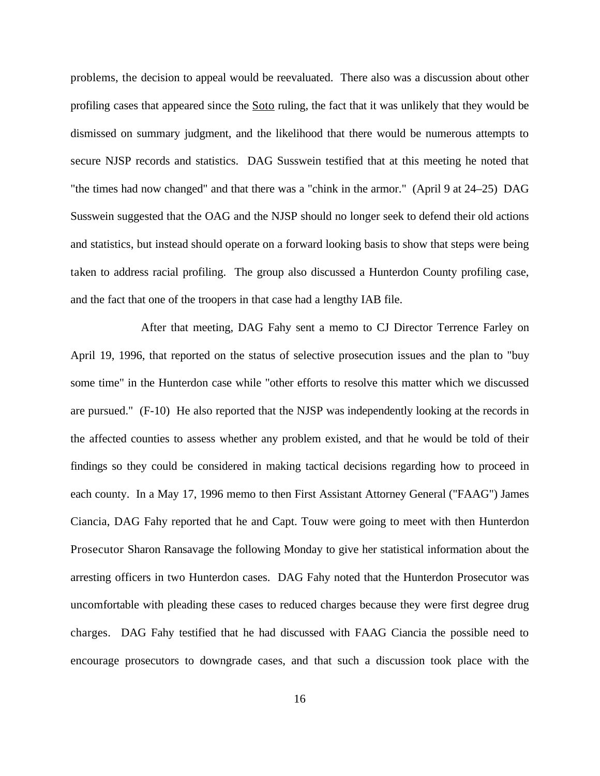problems, the decision to appeal would be reevaluated. There also was a discussion about other profiling cases that appeared since the Soto ruling, the fact that it was unlikely that they would be dismissed on summary judgment, and the likelihood that there would be numerous attempts to secure NJSP records and statistics. DAG Susswein testified that at this meeting he noted that "the times had now changed" and that there was a "chink in the armor." (April 9 at 24–25) DAG Susswein suggested that the OAG and the NJSP should no longer seek to defend their old actions and statistics, but instead should operate on a forward looking basis to show that steps were being taken to address racial profiling. The group also discussed a Hunterdon County profiling case, and the fact that one of the troopers in that case had a lengthy IAB file.

After that meeting, DAG Fahy sent a memo to CJ Director Terrence Farley on April 19, 1996, that reported on the status of selective prosecution issues and the plan to "buy some time" in the Hunterdon case while "other efforts to resolve this matter which we discussed are pursued." (F-10) He also reported that the NJSP was independently looking at the records in the affected counties to assess whether any problem existed, and that he would be told of their findings so they could be considered in making tactical decisions regarding how to proceed in each county. In a May 17, 1996 memo to then First Assistant Attorney General ("FAAG") James Ciancia, DAG Fahy reported that he and Capt. Touw were going to meet with then Hunterdon Prosecutor Sharon Ransavage the following Monday to give her statistical information about the arresting officers in two Hunterdon cases. DAG Fahy noted that the Hunterdon Prosecutor was uncomfortable with pleading these cases to reduced charges because they were first degree drug charges. DAG Fahy testified that he had discussed with FAAG Ciancia the possible need to encourage prosecutors to downgrade cases, and that such a discussion took place with the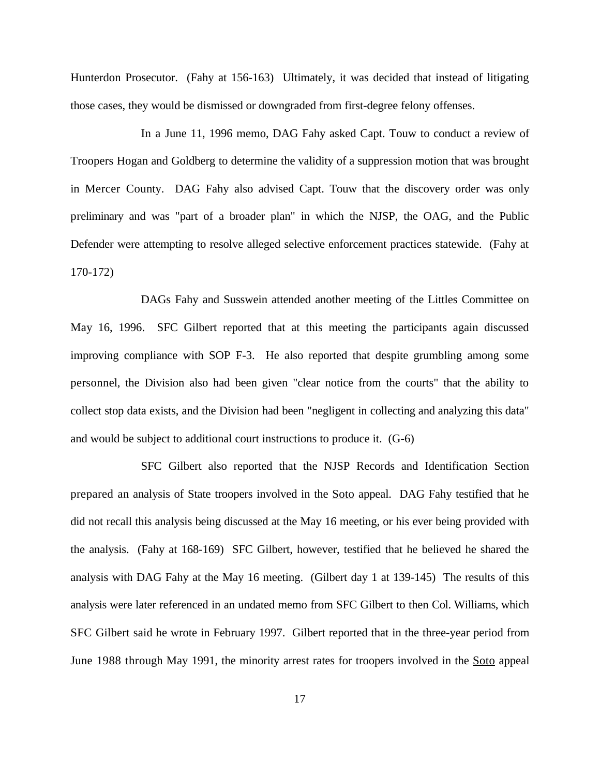Hunterdon Prosecutor. (Fahy at 156-163) Ultimately, it was decided that instead of litigating those cases, they would be dismissed or downgraded from first-degree felony offenses.

In a June 11, 1996 memo, DAG Fahy asked Capt. Touw to conduct a review of Troopers Hogan and Goldberg to determine the validity of a suppression motion that was brought in Mercer County. DAG Fahy also advised Capt. Touw that the discovery order was only preliminary and was "part of a broader plan" in which the NJSP, the OAG, and the Public Defender were attempting to resolve alleged selective enforcement practices statewide. (Fahy at 170-172)

DAGs Fahy and Susswein attended another meeting of the Littles Committee on May 16, 1996. SFC Gilbert reported that at this meeting the participants again discussed improving compliance with SOP F-3. He also reported that despite grumbling among some personnel, the Division also had been given "clear notice from the courts" that the ability to collect stop data exists, and the Division had been "negligent in collecting and analyzing this data" and would be subject to additional court instructions to produce it. (G-6)

SFC Gilbert also reported that the NJSP Records and Identification Section prepared an analysis of State troopers involved in the Soto appeal. DAG Fahy testified that he did not recall this analysis being discussed at the May 16 meeting, or his ever being provided with the analysis. (Fahy at 168-169) SFC Gilbert, however, testified that he believed he shared the analysis with DAG Fahy at the May 16 meeting. (Gilbert day 1 at 139-145) The results of this analysis were later referenced in an undated memo from SFC Gilbert to then Col. Williams, which SFC Gilbert said he wrote in February 1997. Gilbert reported that in the three-year period from June 1988 through May 1991, the minority arrest rates for troopers involved in the Soto appeal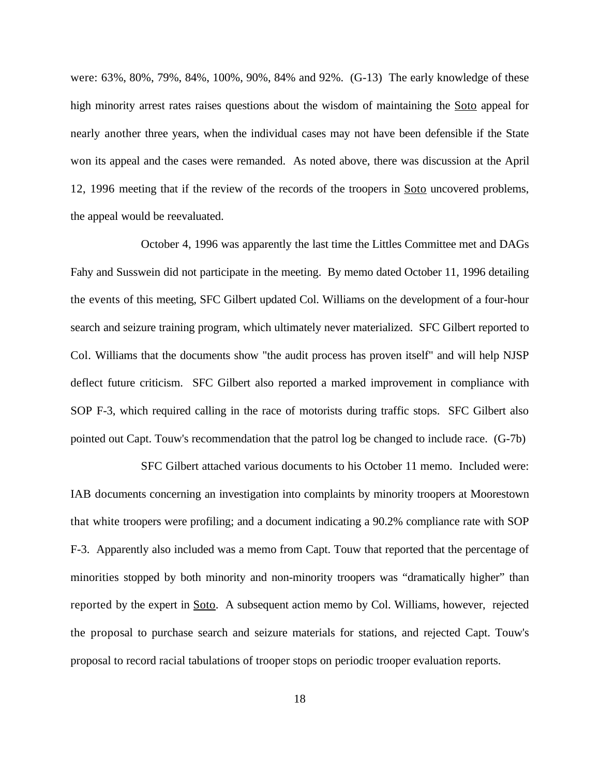were: 63%, 80%, 79%, 84%, 100%, 90%, 84% and 92%. (G-13) The early knowledge of these high minority arrest rates raises questions about the wisdom of maintaining the Soto appeal for nearly another three years, when the individual cases may not have been defensible if the State won its appeal and the cases were remanded. As noted above, there was discussion at the April 12, 1996 meeting that if the review of the records of the troopers in Soto uncovered problems, the appeal would be reevaluated.

October 4, 1996 was apparently the last time the Littles Committee met and DAGs Fahy and Susswein did not participate in the meeting. By memo dated October 11, 1996 detailing the events of this meeting, SFC Gilbert updated Col. Williams on the development of a four-hour search and seizure training program, which ultimately never materialized. SFC Gilbert reported to Col. Williams that the documents show "the audit process has proven itself" and will help NJSP deflect future criticism. SFC Gilbert also reported a marked improvement in compliance with SOP F-3, which required calling in the race of motorists during traffic stops. SFC Gilbert also pointed out Capt. Touw's recommendation that the patrol log be changed to include race. (G-7b)

SFC Gilbert attached various documents to his October 11 memo. Included were: IAB documents concerning an investigation into complaints by minority troopers at Moorestown that white troopers were profiling; and a document indicating a 90.2% compliance rate with SOP F-3. Apparently also included was a memo from Capt. Touw that reported that the percentage of minorities stopped by both minority and non-minority troopers was "dramatically higher" than reported by the expert in Soto. A subsequent action memo by Col. Williams, however, rejected the proposal to purchase search and seizure materials for stations, and rejected Capt. Touw's proposal to record racial tabulations of trooper stops on periodic trooper evaluation reports.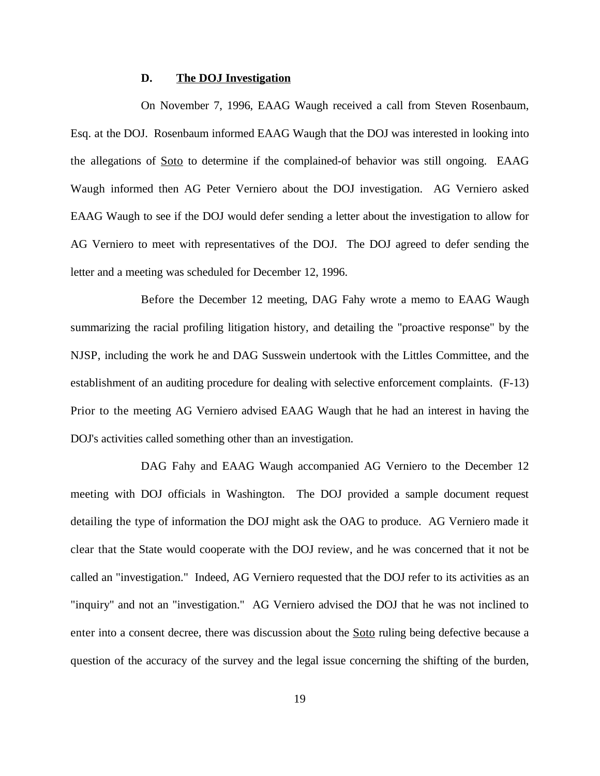## **D. The DOJ Investigation**

On November 7, 1996, EAAG Waugh received a call from Steven Rosenbaum, Esq. at the DOJ. Rosenbaum informed EAAG Waugh that the DOJ was interested in looking into the allegations of Soto to determine if the complained-of behavior was still ongoing. EAAG Waugh informed then AG Peter Verniero about the DOJ investigation. AG Verniero asked EAAG Waugh to see if the DOJ would defer sending a letter about the investigation to allow for AG Verniero to meet with representatives of the DOJ. The DOJ agreed to defer sending the letter and a meeting was scheduled for December 12, 1996.

Before the December 12 meeting, DAG Fahy wrote a memo to EAAG Waugh summarizing the racial profiling litigation history, and detailing the "proactive response" by the NJSP, including the work he and DAG Susswein undertook with the Littles Committee, and the establishment of an auditing procedure for dealing with selective enforcement complaints. (F-13) Prior to the meeting AG Verniero advised EAAG Waugh that he had an interest in having the DOJ's activities called something other than an investigation.

DAG Fahy and EAAG Waugh accompanied AG Verniero to the December 12 meeting with DOJ officials in Washington. The DOJ provided a sample document request detailing the type of information the DOJ might ask the OAG to produce. AG Verniero made it clear that the State would cooperate with the DOJ review, and he was concerned that it not be called an "investigation." Indeed, AG Verniero requested that the DOJ refer to its activities as an "inquiry" and not an "investigation." AG Verniero advised the DOJ that he was not inclined to enter into a consent decree, there was discussion about the Soto ruling being defective because a question of the accuracy of the survey and the legal issue concerning the shifting of the burden,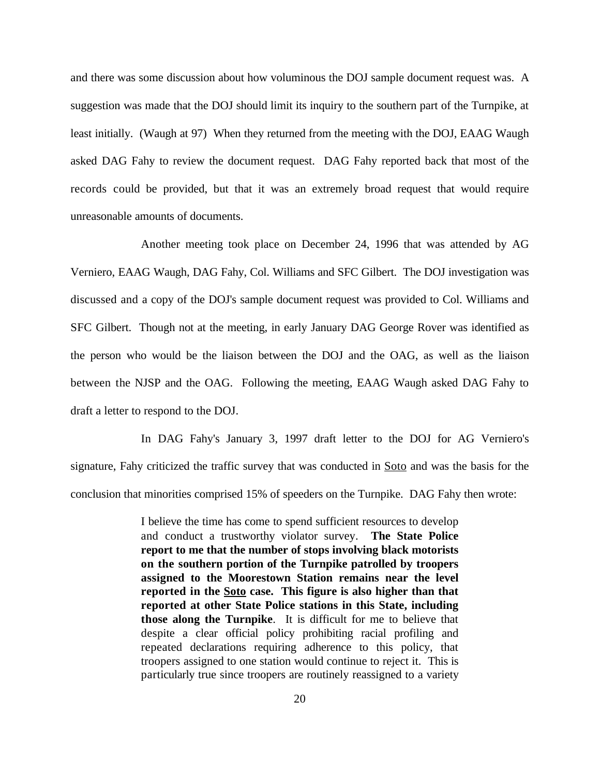and there was some discussion about how voluminous the DOJ sample document request was. A suggestion was made that the DOJ should limit its inquiry to the southern part of the Turnpike, at least initially. (Waugh at 97) When they returned from the meeting with the DOJ, EAAG Waugh asked DAG Fahy to review the document request. DAG Fahy reported back that most of the records could be provided, but that it was an extremely broad request that would require unreasonable amounts of documents.

Another meeting took place on December 24, 1996 that was attended by AG Verniero, EAAG Waugh, DAG Fahy, Col. Williams and SFC Gilbert. The DOJ investigation was discussed and a copy of the DOJ's sample document request was provided to Col. Williams and SFC Gilbert. Though not at the meeting, in early January DAG George Rover was identified as the person who would be the liaison between the DOJ and the OAG, as well as the liaison between the NJSP and the OAG. Following the meeting, EAAG Waugh asked DAG Fahy to draft a letter to respond to the DOJ.

In DAG Fahy's January 3, 1997 draft letter to the DOJ for AG Verniero's signature, Fahy criticized the traffic survey that was conducted in Soto and was the basis for the conclusion that minorities comprised 15% of speeders on the Turnpike. DAG Fahy then wrote:

> I believe the time has come to spend sufficient resources to develop and conduct a trustworthy violator survey. **The State Police report to me that the number of stops involving black motorists on the southern portion of the Turnpike patrolled by troopers assigned to the Moorestown Station remains near the level reported in the Soto case. This figure is also higher than that reported at other State Police stations in this State, including those along the Turnpike**. It is difficult for me to believe that despite a clear official policy prohibiting racial profiling and repeated declarations requiring adherence to this policy, that troopers assigned to one station would continue to reject it. This is particularly true since troopers are routinely reassigned to a variety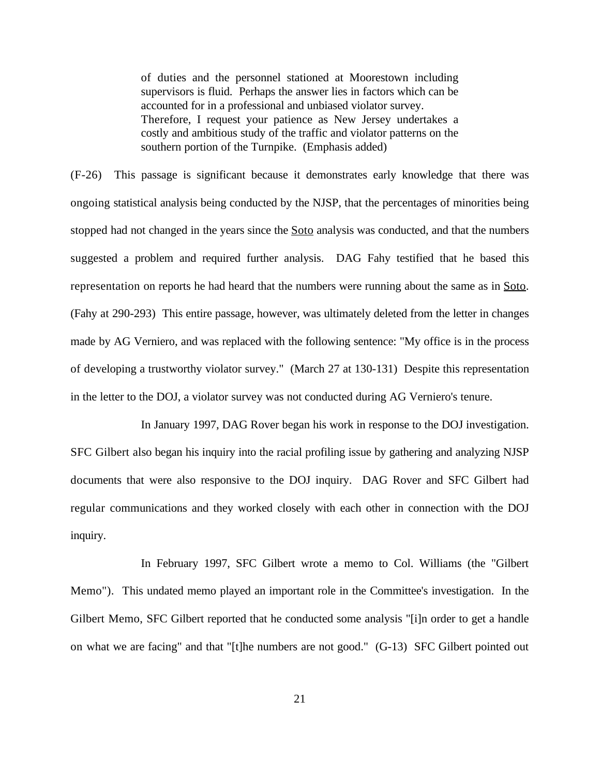of duties and the personnel stationed at Moorestown including supervisors is fluid. Perhaps the answer lies in factors which can be accounted for in a professional and unbiased violator survey. Therefore, I request your patience as New Jersey undertakes a costly and ambitious study of the traffic and violator patterns on the southern portion of the Turnpike. (Emphasis added)

(F-26) This passage is significant because it demonstrates early knowledge that there was ongoing statistical analysis being conducted by the NJSP, that the percentages of minorities being stopped had not changed in the years since the **Soto** analysis was conducted, and that the numbers suggested a problem and required further analysis. DAG Fahy testified that he based this representation on reports he had heard that the numbers were running about the same as in Soto. (Fahy at 290-293) This entire passage, however, was ultimately deleted from the letter in changes made by AG Verniero, and was replaced with the following sentence: "My office is in the process of developing a trustworthy violator survey." (March 27 at 130-131) Despite this representation in the letter to the DOJ, a violator survey was not conducted during AG Verniero's tenure.

In January 1997, DAG Rover began his work in response to the DOJ investigation. SFC Gilbert also began his inquiry into the racial profiling issue by gathering and analyzing NJSP documents that were also responsive to the DOJ inquiry. DAG Rover and SFC Gilbert had regular communications and they worked closely with each other in connection with the DOJ inquiry.

In February 1997, SFC Gilbert wrote a memo to Col. Williams (the "Gilbert Memo"). This undated memo played an important role in the Committee's investigation. In the Gilbert Memo, SFC Gilbert reported that he conducted some analysis "[i]n order to get a handle on what we are facing" and that "[t]he numbers are not good." (G-13) SFC Gilbert pointed out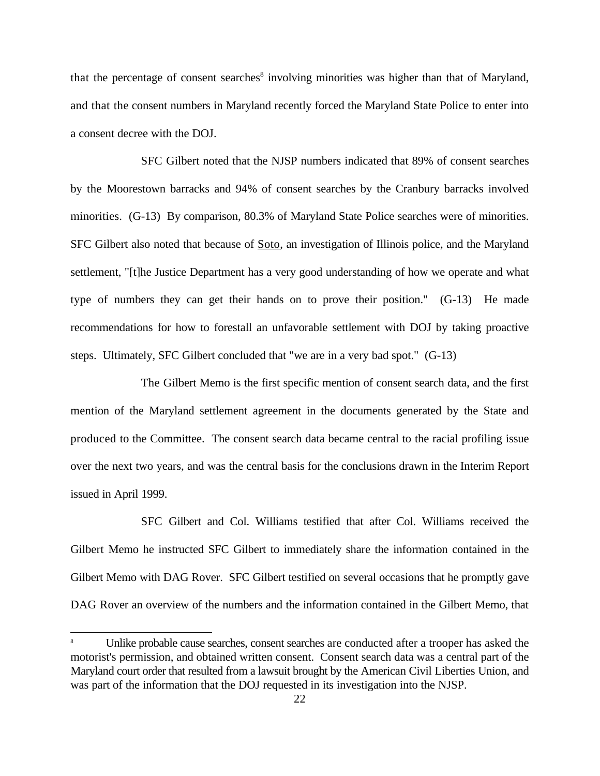that the percentage of consent searches<sup>8</sup> involving minorities was higher than that of Maryland, and that the consent numbers in Maryland recently forced the Maryland State Police to enter into a consent decree with the DOJ.

SFC Gilbert noted that the NJSP numbers indicated that 89% of consent searches by the Moorestown barracks and 94% of consent searches by the Cranbury barracks involved minorities. (G-13) By comparison, 80.3% of Maryland State Police searches were of minorities. SFC Gilbert also noted that because of Soto, an investigation of Illinois police, and the Maryland settlement, "[t]he Justice Department has a very good understanding of how we operate and what type of numbers they can get their hands on to prove their position." (G-13) He made recommendations for how to forestall an unfavorable settlement with DOJ by taking proactive steps. Ultimately, SFC Gilbert concluded that "we are in a very bad spot." (G-13)

The Gilbert Memo is the first specific mention of consent search data, and the first mention of the Maryland settlement agreement in the documents generated by the State and produced to the Committee. The consent search data became central to the racial profiling issue over the next two years, and was the central basis for the conclusions drawn in the Interim Report issued in April 1999.

SFC Gilbert and Col. Williams testified that after Col. Williams received the Gilbert Memo he instructed SFC Gilbert to immediately share the information contained in the Gilbert Memo with DAG Rover. SFC Gilbert testified on several occasions that he promptly gave DAG Rover an overview of the numbers and the information contained in the Gilbert Memo, that

Unlike probable cause searches, consent searches are conducted after a trooper has asked the <sup>8</sup> motorist's permission, and obtained written consent. Consent search data was a central part of the Maryland court order that resulted from a lawsuit brought by the American Civil Liberties Union, and was part of the information that the DOJ requested in its investigation into the NJSP.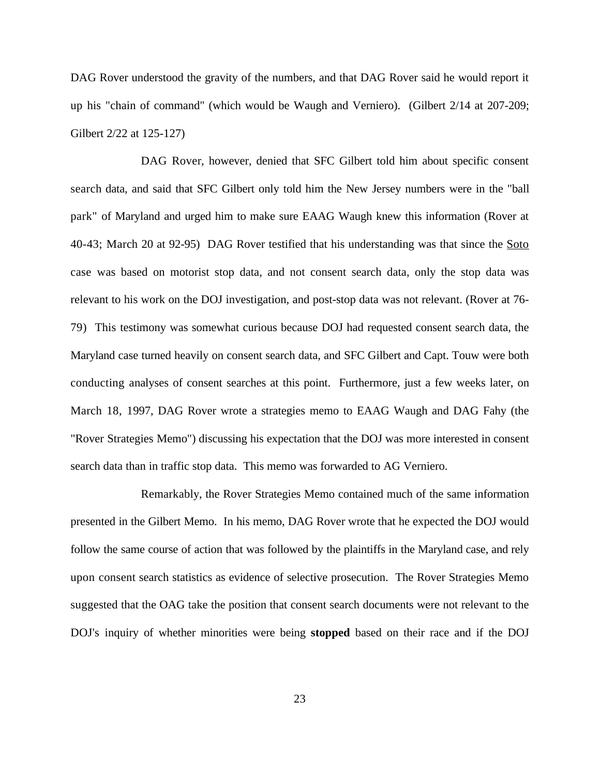DAG Rover understood the gravity of the numbers, and that DAG Rover said he would report it up his "chain of command" (which would be Waugh and Verniero). (Gilbert 2/14 at 207-209; Gilbert 2/22 at 125-127)

DAG Rover, however, denied that SFC Gilbert told him about specific consent search data, and said that SFC Gilbert only told him the New Jersey numbers were in the "ball park" of Maryland and urged him to make sure EAAG Waugh knew this information (Rover at 40-43; March 20 at 92-95) DAG Rover testified that his understanding was that since the Soto case was based on motorist stop data, and not consent search data, only the stop data was relevant to his work on the DOJ investigation, and post-stop data was not relevant. (Rover at 76- 79) This testimony was somewhat curious because DOJ had requested consent search data, the Maryland case turned heavily on consent search data, and SFC Gilbert and Capt. Touw were both conducting analyses of consent searches at this point. Furthermore, just a few weeks later, on March 18, 1997, DAG Rover wrote a strategies memo to EAAG Waugh and DAG Fahy (the "Rover Strategies Memo") discussing his expectation that the DOJ was more interested in consent search data than in traffic stop data. This memo was forwarded to AG Verniero.

Remarkably, the Rover Strategies Memo contained much of the same information presented in the Gilbert Memo. In his memo, DAG Rover wrote that he expected the DOJ would follow the same course of action that was followed by the plaintiffs in the Maryland case, and rely upon consent search statistics as evidence of selective prosecution. The Rover Strategies Memo suggested that the OAG take the position that consent search documents were not relevant to the DOJ's inquiry of whether minorities were being **stopped** based on their race and if the DOJ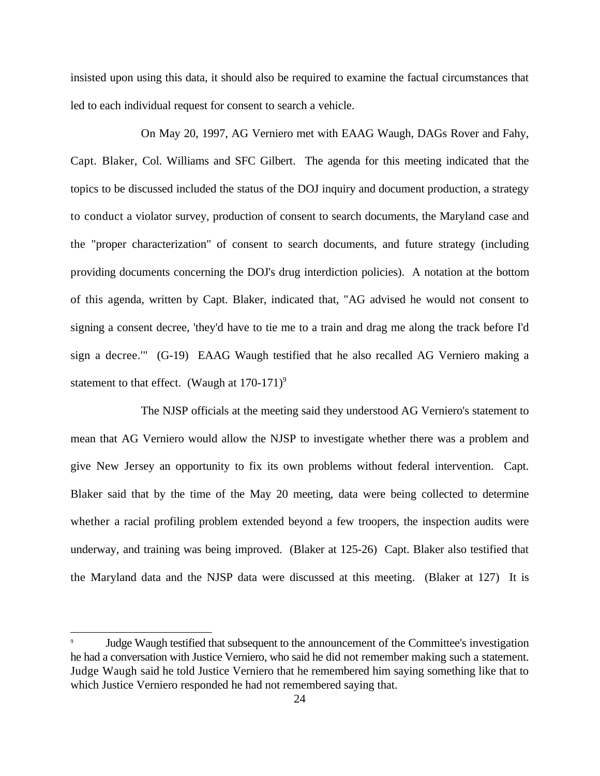insisted upon using this data, it should also be required to examine the factual circumstances that led to each individual request for consent to search a vehicle.

On May 20, 1997, AG Verniero met with EAAG Waugh, DAGs Rover and Fahy, Capt. Blaker, Col. Williams and SFC Gilbert. The agenda for this meeting indicated that the topics to be discussed included the status of the DOJ inquiry and document production, a strategy to conduct a violator survey, production of consent to search documents, the Maryland case and the "proper characterization" of consent to search documents, and future strategy (including providing documents concerning the DOJ's drug interdiction policies). A notation at the bottom of this agenda, written by Capt. Blaker, indicated that, "AG advised he would not consent to signing a consent decree, 'they'd have to tie me to a train and drag me along the track before I'd sign a decree.'" (G-19) EAAG Waugh testified that he also recalled AG Verniero making a statement to that effect. (Waugh at  $170-171$ )<sup>9</sup>

The NJSP officials at the meeting said they understood AG Verniero's statement to mean that AG Verniero would allow the NJSP to investigate whether there was a problem and give New Jersey an opportunity to fix its own problems without federal intervention. Capt. Blaker said that by the time of the May 20 meeting, data were being collected to determine whether a racial profiling problem extended beyond a few troopers, the inspection audits were underway, and training was being improved. (Blaker at 125-26) Capt. Blaker also testified that the Maryland data and the NJSP data were discussed at this meeting. (Blaker at 127) It is

Judge Waugh testified that subsequent to the announcement of the Committee's investigation <sup>9</sup> he had a conversation with Justice Verniero, who said he did not remember making such a statement. Judge Waugh said he told Justice Verniero that he remembered him saying something like that to which Justice Verniero responded he had not remembered saying that.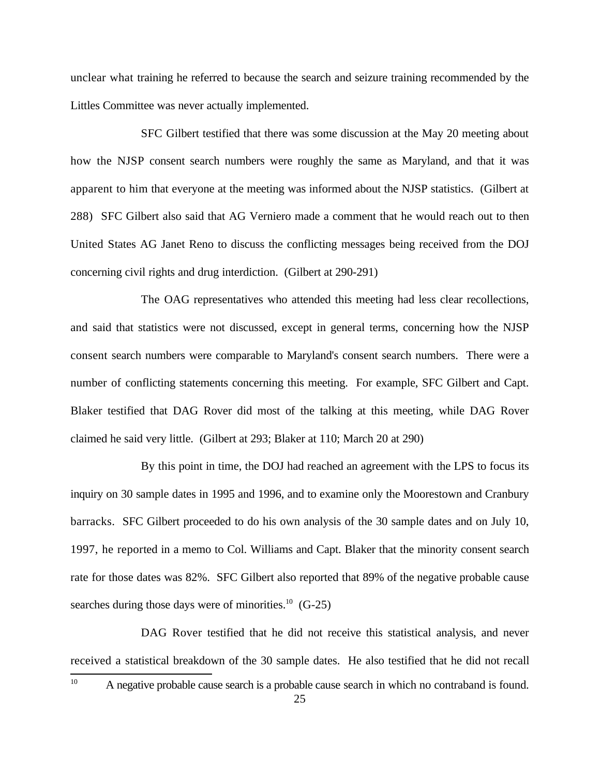unclear what training he referred to because the search and seizure training recommended by the Littles Committee was never actually implemented.

SFC Gilbert testified that there was some discussion at the May 20 meeting about how the NJSP consent search numbers were roughly the same as Maryland, and that it was apparent to him that everyone at the meeting was informed about the NJSP statistics. (Gilbert at 288) SFC Gilbert also said that AG Verniero made a comment that he would reach out to then United States AG Janet Reno to discuss the conflicting messages being received from the DOJ concerning civil rights and drug interdiction. (Gilbert at 290-291)

The OAG representatives who attended this meeting had less clear recollections, and said that statistics were not discussed, except in general terms, concerning how the NJSP consent search numbers were comparable to Maryland's consent search numbers. There were a number of conflicting statements concerning this meeting. For example, SFC Gilbert and Capt. Blaker testified that DAG Rover did most of the talking at this meeting, while DAG Rover claimed he said very little. (Gilbert at 293; Blaker at 110; March 20 at 290)

By this point in time, the DOJ had reached an agreement with the LPS to focus its inquiry on 30 sample dates in 1995 and 1996, and to examine only the Moorestown and Cranbury barracks. SFC Gilbert proceeded to do his own analysis of the 30 sample dates and on July 10, 1997, he reported in a memo to Col. Williams and Capt. Blaker that the minority consent search rate for those dates was 82%. SFC Gilbert also reported that 89% of the negative probable cause searches during those days were of minorities. $^{10}$  (G-25)

DAG Rover testified that he did not receive this statistical analysis, and never received a statistical breakdown of the 30 sample dates. He also testified that he did not recall

 $A$  negative probable cause search is a probable cause search in which no contraband is found.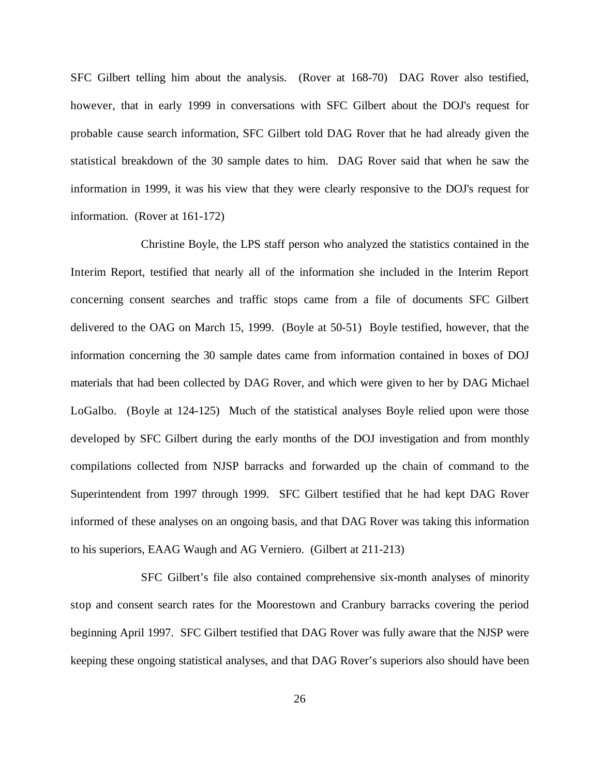SFC Gilbert telling him about the analysis. (Rover at 168-70) DAG Rover also testified, however, that in early 1999 in conversations with SFC Gilbert about the DOJ's request for probable cause search information, SFC Gilbert told DAG Rover that he had already given the statistical breakdown of the 30 sample dates to him. DAG Rover said that when he saw the information in 1999, it was his view that they were clearly responsive to the DOJ's request for information. (Rover at 161-172)

Christine Boyle, the LPS staff person who analyzed the statistics contained in the Interim Report, testified that nearly all of the information she included in the Interim Report concerning consent searches and traffic stops came from a file of documents SFC Gilbert delivered to the OAG on March 15, 1999. (Boyle at 50-51) Boyle testified, however, that the information concerning the 30 sample dates came from information contained in boxes of DOJ materials that had been collected by DAG Rover, and which were given to her by DAG Michael LoGalbo. (Boyle at 124-125) Much of the statistical analyses Boyle relied upon were those developed by SFC Gilbert during the early months of the DOJ investigation and from monthly compilations collected from NJSP barracks and forwarded up the chain of command to the Superintendent from 1997 through 1999. SFC Gilbert testified that he had kept DAG Rover informed of these analyses on an ongoing basis, and that DAG Rover was taking this information to his superiors, EAAG Waugh and AG Verniero. (Gilbert at 211-213)

SFC Gilbert's file also contained comprehensive six-month analyses of minority stop and consent search rates for the Moorestown and Cranbury barracks covering the period beginning April 1997. SFC Gilbert testified that DAG Rover was fully aware that the NJSP were keeping these ongoing statistical analyses, and that DAG Rover's superiors also should have been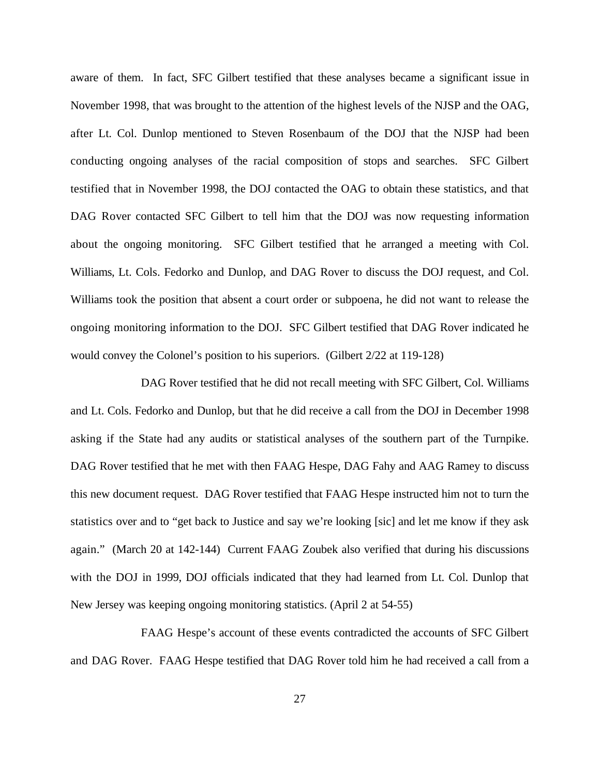aware of them. In fact, SFC Gilbert testified that these analyses became a significant issue in November 1998, that was brought to the attention of the highest levels of the NJSP and the OAG, after Lt. Col. Dunlop mentioned to Steven Rosenbaum of the DOJ that the NJSP had been conducting ongoing analyses of the racial composition of stops and searches. SFC Gilbert testified that in November 1998, the DOJ contacted the OAG to obtain these statistics, and that DAG Rover contacted SFC Gilbert to tell him that the DOJ was now requesting information about the ongoing monitoring. SFC Gilbert testified that he arranged a meeting with Col. Williams, Lt. Cols. Fedorko and Dunlop, and DAG Rover to discuss the DOJ request, and Col. Williams took the position that absent a court order or subpoena, he did not want to release the ongoing monitoring information to the DOJ. SFC Gilbert testified that DAG Rover indicated he would convey the Colonel's position to his superiors. (Gilbert 2/22 at 119-128)

DAG Rover testified that he did not recall meeting with SFC Gilbert, Col. Williams and Lt. Cols. Fedorko and Dunlop, but that he did receive a call from the DOJ in December 1998 asking if the State had any audits or statistical analyses of the southern part of the Turnpike. DAG Rover testified that he met with then FAAG Hespe, DAG Fahy and AAG Ramey to discuss this new document request. DAG Rover testified that FAAG Hespe instructed him not to turn the statistics over and to "get back to Justice and say we're looking [sic] and let me know if they ask again." (March 20 at 142-144) Current FAAG Zoubek also verified that during his discussions with the DOJ in 1999, DOJ officials indicated that they had learned from Lt. Col. Dunlop that New Jersey was keeping ongoing monitoring statistics. (April 2 at 54-55)

FAAG Hespe's account of these events contradicted the accounts of SFC Gilbert and DAG Rover. FAAG Hespe testified that DAG Rover told him he had received a call from a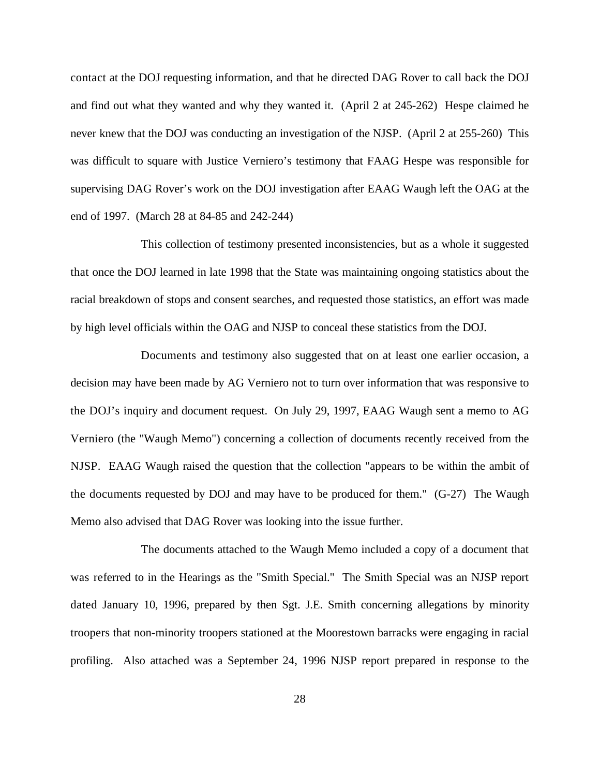contact at the DOJ requesting information, and that he directed DAG Rover to call back the DOJ and find out what they wanted and why they wanted it. (April 2 at 245-262) Hespe claimed he never knew that the DOJ was conducting an investigation of the NJSP. (April 2 at 255-260) This was difficult to square with Justice Verniero's testimony that FAAG Hespe was responsible for supervising DAG Rover's work on the DOJ investigation after EAAG Waugh left the OAG at the end of 1997. (March 28 at 84-85 and 242-244)

This collection of testimony presented inconsistencies, but as a whole it suggested that once the DOJ learned in late 1998 that the State was maintaining ongoing statistics about the racial breakdown of stops and consent searches, and requested those statistics, an effort was made by high level officials within the OAG and NJSP to conceal these statistics from the DOJ.

Documents and testimony also suggested that on at least one earlier occasion, a decision may have been made by AG Verniero not to turn over information that was responsive to the DOJ's inquiry and document request. On July 29, 1997, EAAG Waugh sent a memo to AG Verniero (the "Waugh Memo") concerning a collection of documents recently received from the NJSP. EAAG Waugh raised the question that the collection "appears to be within the ambit of the documents requested by DOJ and may have to be produced for them." (G-27) The Waugh Memo also advised that DAG Rover was looking into the issue further.

The documents attached to the Waugh Memo included a copy of a document that was referred to in the Hearings as the "Smith Special." The Smith Special was an NJSP report dated January 10, 1996, prepared by then Sgt. J.E. Smith concerning allegations by minority troopers that non-minority troopers stationed at the Moorestown barracks were engaging in racial profiling. Also attached was a September 24, 1996 NJSP report prepared in response to the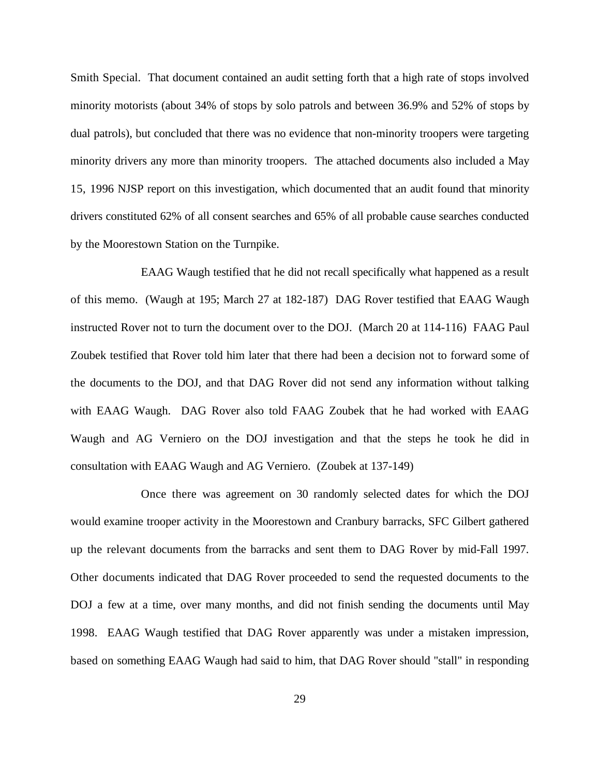Smith Special. That document contained an audit setting forth that a high rate of stops involved minority motorists (about 34% of stops by solo patrols and between 36.9% and 52% of stops by dual patrols), but concluded that there was no evidence that non-minority troopers were targeting minority drivers any more than minority troopers. The attached documents also included a May 15, 1996 NJSP report on this investigation, which documented that an audit found that minority drivers constituted 62% of all consent searches and 65% of all probable cause searches conducted by the Moorestown Station on the Turnpike.

EAAG Waugh testified that he did not recall specifically what happened as a result of this memo. (Waugh at 195; March 27 at 182-187) DAG Rover testified that EAAG Waugh instructed Rover not to turn the document over to the DOJ. (March 20 at 114-116) FAAG Paul Zoubek testified that Rover told him later that there had been a decision not to forward some of the documents to the DOJ, and that DAG Rover did not send any information without talking with EAAG Waugh. DAG Rover also told FAAG Zoubek that he had worked with EAAG Waugh and AG Verniero on the DOJ investigation and that the steps he took he did in consultation with EAAG Waugh and AG Verniero. (Zoubek at 137-149)

Once there was agreement on 30 randomly selected dates for which the DOJ would examine trooper activity in the Moorestown and Cranbury barracks, SFC Gilbert gathered up the relevant documents from the barracks and sent them to DAG Rover by mid-Fall 1997. Other documents indicated that DAG Rover proceeded to send the requested documents to the DOJ a few at a time, over many months, and did not finish sending the documents until May 1998. EAAG Waugh testified that DAG Rover apparently was under a mistaken impression, based on something EAAG Waugh had said to him, that DAG Rover should "stall" in responding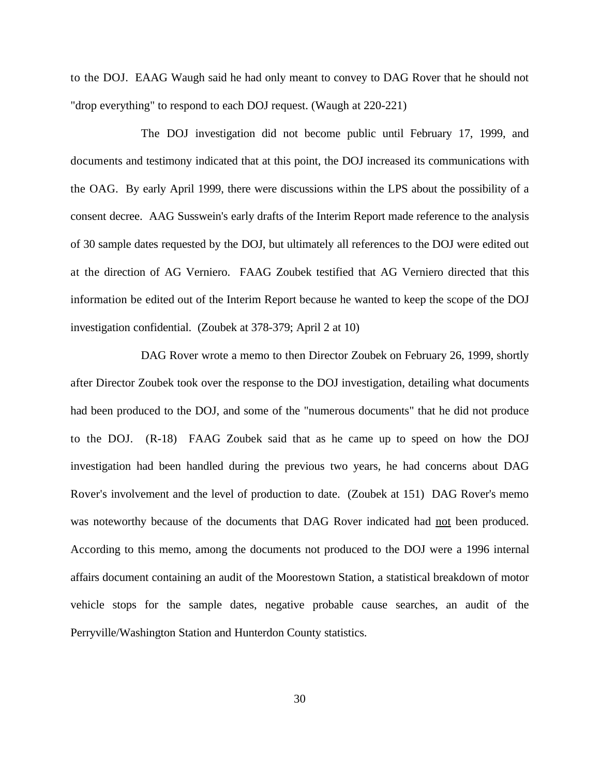to the DOJ. EAAG Waugh said he had only meant to convey to DAG Rover that he should not "drop everything" to respond to each DOJ request. (Waugh at 220-221)

The DOJ investigation did not become public until February 17, 1999, and documents and testimony indicated that at this point, the DOJ increased its communications with the OAG. By early April 1999, there were discussions within the LPS about the possibility of a consent decree. AAG Susswein's early drafts of the Interim Report made reference to the analysis of 30 sample dates requested by the DOJ, but ultimately all references to the DOJ were edited out at the direction of AG Verniero. FAAG Zoubek testified that AG Verniero directed that this information be edited out of the Interim Report because he wanted to keep the scope of the DOJ investigation confidential. (Zoubek at 378-379; April 2 at 10)

DAG Rover wrote a memo to then Director Zoubek on February 26, 1999, shortly after Director Zoubek took over the response to the DOJ investigation, detailing what documents had been produced to the DOJ, and some of the "numerous documents" that he did not produce to the DOJ. (R-18) FAAG Zoubek said that as he came up to speed on how the DOJ investigation had been handled during the previous two years, he had concerns about DAG Rover's involvement and the level of production to date. (Zoubek at 151) DAG Rover's memo was noteworthy because of the documents that DAG Rover indicated had <u>not</u> been produced. According to this memo, among the documents not produced to the DOJ were a 1996 internal affairs document containing an audit of the Moorestown Station, a statistical breakdown of motor vehicle stops for the sample dates, negative probable cause searches, an audit of the Perryville/Washington Station and Hunterdon County statistics.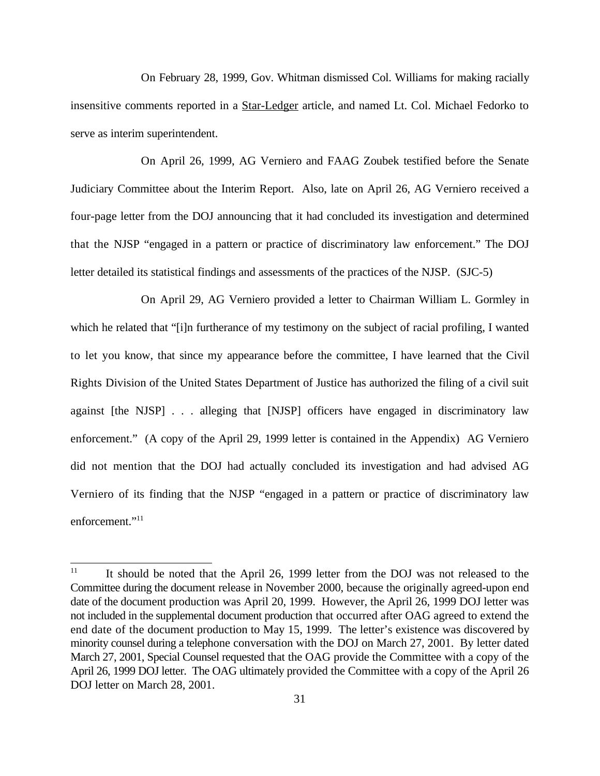On February 28, 1999, Gov. Whitman dismissed Col. Williams for making racially insensitive comments reported in a Star-Ledger article, and named Lt. Col. Michael Fedorko to serve as interim superintendent.

On April 26, 1999, AG Verniero and FAAG Zoubek testified before the Senate Judiciary Committee about the Interim Report. Also, late on April 26, AG Verniero received a four-page letter from the DOJ announcing that it had concluded its investigation and determined that the NJSP "engaged in a pattern or practice of discriminatory law enforcement." The DOJ letter detailed its statistical findings and assessments of the practices of the NJSP. (SJC-5)

On April 29, AG Verniero provided a letter to Chairman William L. Gormley in which he related that "[i]n furtherance of my testimony on the subject of racial profiling, I wanted to let you know, that since my appearance before the committee, I have learned that the Civil Rights Division of the United States Department of Justice has authorized the filing of a civil suit against [the NJSP] . . . alleging that [NJSP] officers have engaged in discriminatory law enforcement." (A copy of the April 29, 1999 letter is contained in the Appendix) AG Verniero did not mention that the DOJ had actually concluded its investigation and had advised AG Verniero of its finding that the NJSP "engaged in a pattern or practice of discriminatory law enforcement."<sup>11</sup>

It should be noted that the April 26, 1999 letter from the DOJ was not released to the 11 Committee during the document release in November 2000, because the originally agreed-upon end date of the document production was April 20, 1999. However, the April 26, 1999 DOJ letter was not included in the supplemental document production that occurred after OAG agreed to extend the end date of the document production to May 15, 1999. The letter's existence was discovered by minority counsel during a telephone conversation with the DOJ on March 27, 2001. By letter dated March 27, 2001, Special Counsel requested that the OAG provide the Committee with a copy of the April 26, 1999 DOJ letter. The OAG ultimately provided the Committee with a copy of the April 26 DOJ letter on March 28, 2001.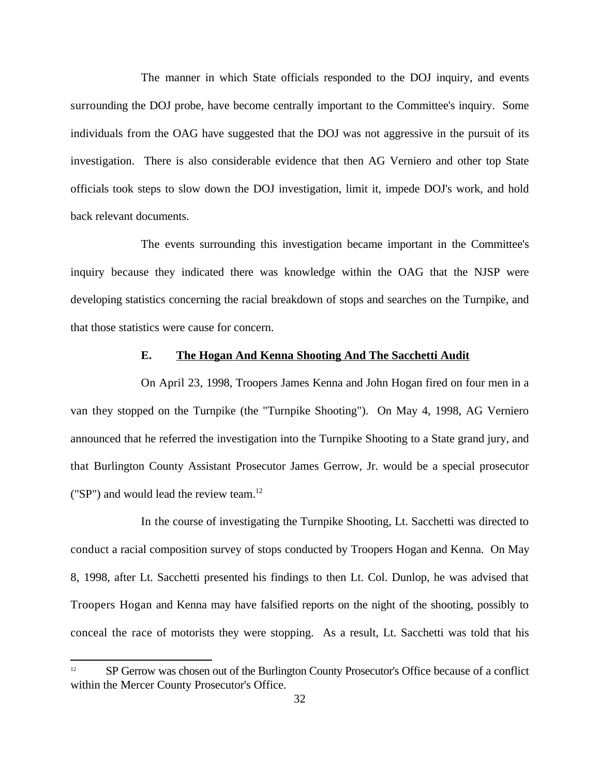The manner in which State officials responded to the DOJ inquiry, and events surrounding the DOJ probe, have become centrally important to the Committee's inquiry. Some individuals from the OAG have suggested that the DOJ was not aggressive in the pursuit of its investigation. There is also considerable evidence that then AG Verniero and other top State officials took steps to slow down the DOJ investigation, limit it, impede DOJ's work, and hold back relevant documents.

The events surrounding this investigation became important in the Committee's inquiry because they indicated there was knowledge within the OAG that the NJSP were developing statistics concerning the racial breakdown of stops and searches on the Turnpike, and that those statistics were cause for concern.

## **E. The Hogan And Kenna Shooting And The Sacchetti Audit**

On April 23, 1998, Troopers James Kenna and John Hogan fired on four men in a van they stopped on the Turnpike (the "Turnpike Shooting"). On May 4, 1998, AG Verniero announced that he referred the investigation into the Turnpike Shooting to a State grand jury, and that Burlington County Assistant Prosecutor James Gerrow, Jr. would be a special prosecutor ("SP") and would lead the review team.<sup>12</sup>

In the course of investigating the Turnpike Shooting, Lt. Sacchetti was directed to conduct a racial composition survey of stops conducted by Troopers Hogan and Kenna. On May 8, 1998, after Lt. Sacchetti presented his findings to then Lt. Col. Dunlop, he was advised that Troopers Hogan and Kenna may have falsified reports on the night of the shooting, possibly to conceal the race of motorists they were stopping. As a result, Lt. Sacchetti was told that his

 $S<sup>12</sup>$  SP Gerrow was chosen out of the Burlington County Prosecutor's Office because of a conflict within the Mercer County Prosecutor's Office.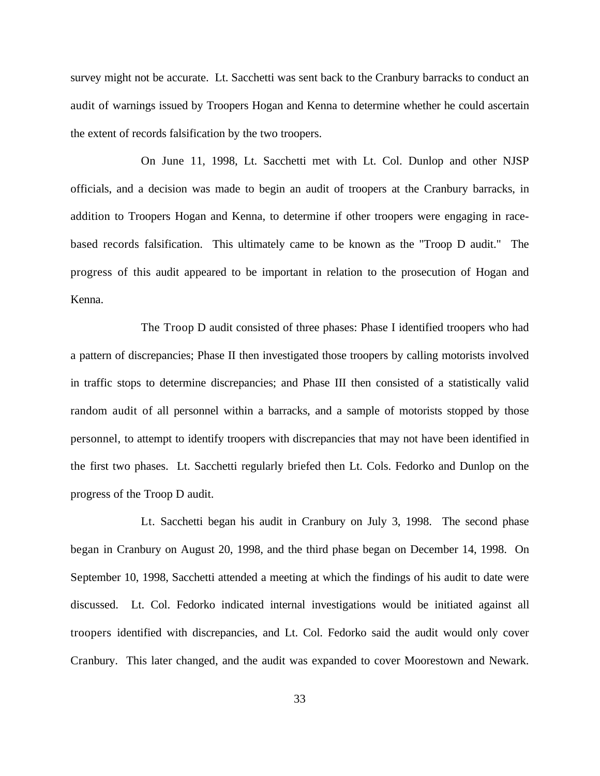survey might not be accurate. Lt. Sacchetti was sent back to the Cranbury barracks to conduct an audit of warnings issued by Troopers Hogan and Kenna to determine whether he could ascertain the extent of records falsification by the two troopers.

On June 11, 1998, Lt. Sacchetti met with Lt. Col. Dunlop and other NJSP officials, and a decision was made to begin an audit of troopers at the Cranbury barracks, in addition to Troopers Hogan and Kenna, to determine if other troopers were engaging in racebased records falsification. This ultimately came to be known as the "Troop D audit." The progress of this audit appeared to be important in relation to the prosecution of Hogan and Kenna.

The Troop D audit consisted of three phases: Phase I identified troopers who had a pattern of discrepancies; Phase II then investigated those troopers by calling motorists involved in traffic stops to determine discrepancies; and Phase III then consisted of a statistically valid random audit of all personnel within a barracks, and a sample of motorists stopped by those personnel, to attempt to identify troopers with discrepancies that may not have been identified in the first two phases. Lt. Sacchetti regularly briefed then Lt. Cols. Fedorko and Dunlop on the progress of the Troop D audit.

Lt. Sacchetti began his audit in Cranbury on July 3, 1998. The second phase began in Cranbury on August 20, 1998, and the third phase began on December 14, 1998. On September 10, 1998, Sacchetti attended a meeting at which the findings of his audit to date were discussed. Lt. Col. Fedorko indicated internal investigations would be initiated against all troopers identified with discrepancies, and Lt. Col. Fedorko said the audit would only cover Cranbury. This later changed, and the audit was expanded to cover Moorestown and Newark.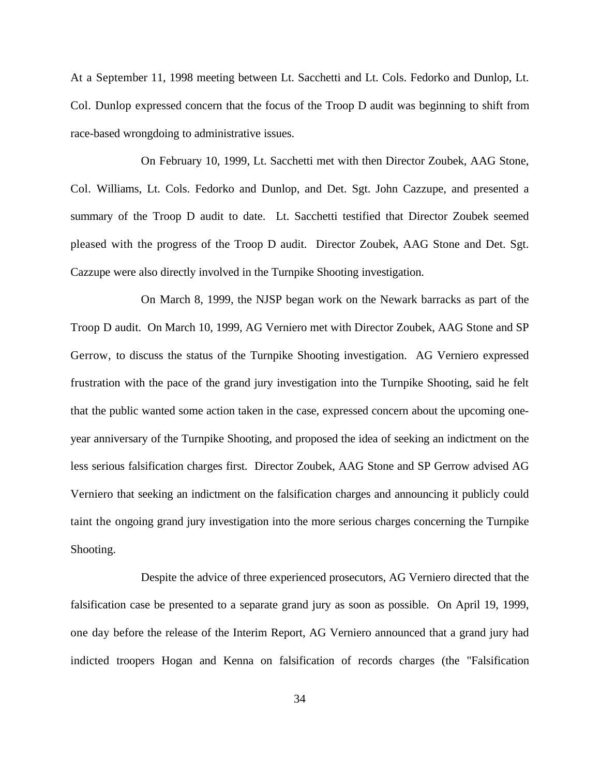At a September 11, 1998 meeting between Lt. Sacchetti and Lt. Cols. Fedorko and Dunlop, Lt. Col. Dunlop expressed concern that the focus of the Troop D audit was beginning to shift from race-based wrongdoing to administrative issues.

On February 10, 1999, Lt. Sacchetti met with then Director Zoubek, AAG Stone, Col. Williams, Lt. Cols. Fedorko and Dunlop, and Det. Sgt. John Cazzupe, and presented a summary of the Troop D audit to date. Lt. Sacchetti testified that Director Zoubek seemed pleased with the progress of the Troop D audit. Director Zoubek, AAG Stone and Det. Sgt. Cazzupe were also directly involved in the Turnpike Shooting investigation.

On March 8, 1999, the NJSP began work on the Newark barracks as part of the Troop D audit. On March 10, 1999, AG Verniero met with Director Zoubek, AAG Stone and SP Gerrow, to discuss the status of the Turnpike Shooting investigation. AG Verniero expressed frustration with the pace of the grand jury investigation into the Turnpike Shooting, said he felt that the public wanted some action taken in the case, expressed concern about the upcoming oneyear anniversary of the Turnpike Shooting, and proposed the idea of seeking an indictment on the less serious falsification charges first. Director Zoubek, AAG Stone and SP Gerrow advised AG Verniero that seeking an indictment on the falsification charges and announcing it publicly could taint the ongoing grand jury investigation into the more serious charges concerning the Turnpike Shooting.

Despite the advice of three experienced prosecutors, AG Verniero directed that the falsification case be presented to a separate grand jury as soon as possible. On April 19, 1999, one day before the release of the Interim Report, AG Verniero announced that a grand jury had indicted troopers Hogan and Kenna on falsification of records charges (the "Falsification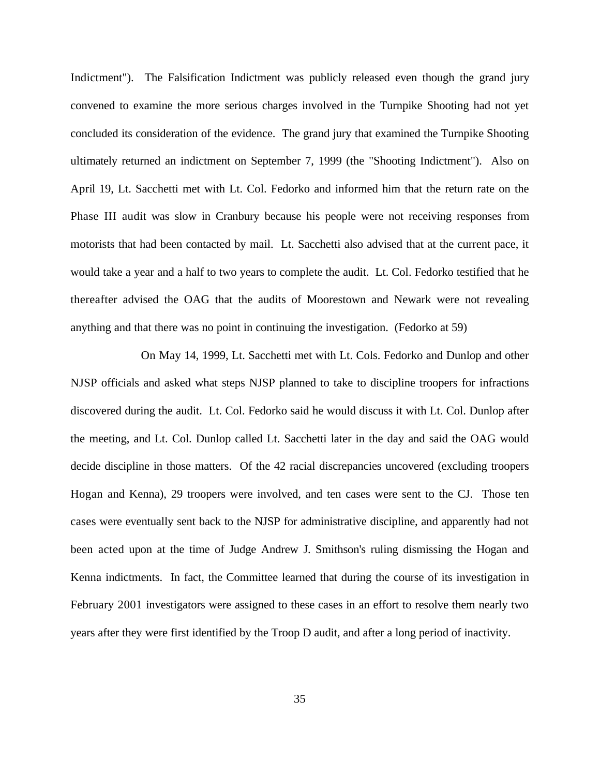Indictment"). The Falsification Indictment was publicly released even though the grand jury convened to examine the more serious charges involved in the Turnpike Shooting had not yet concluded its consideration of the evidence. The grand jury that examined the Turnpike Shooting ultimately returned an indictment on September 7, 1999 (the "Shooting Indictment"). Also on April 19, Lt. Sacchetti met with Lt. Col. Fedorko and informed him that the return rate on the Phase III audit was slow in Cranbury because his people were not receiving responses from motorists that had been contacted by mail. Lt. Sacchetti also advised that at the current pace, it would take a year and a half to two years to complete the audit. Lt. Col. Fedorko testified that he thereafter advised the OAG that the audits of Moorestown and Newark were not revealing anything and that there was no point in continuing the investigation. (Fedorko at 59)

On May 14, 1999, Lt. Sacchetti met with Lt. Cols. Fedorko and Dunlop and other NJSP officials and asked what steps NJSP planned to take to discipline troopers for infractions discovered during the audit. Lt. Col. Fedorko said he would discuss it with Lt. Col. Dunlop after the meeting, and Lt. Col. Dunlop called Lt. Sacchetti later in the day and said the OAG would decide discipline in those matters. Of the 42 racial discrepancies uncovered (excluding troopers Hogan and Kenna), 29 troopers were involved, and ten cases were sent to the CJ. Those ten cases were eventually sent back to the NJSP for administrative discipline, and apparently had not been acted upon at the time of Judge Andrew J. Smithson's ruling dismissing the Hogan and Kenna indictments. In fact, the Committee learned that during the course of its investigation in February 2001 investigators were assigned to these cases in an effort to resolve them nearly two years after they were first identified by the Troop D audit, and after a long period of inactivity.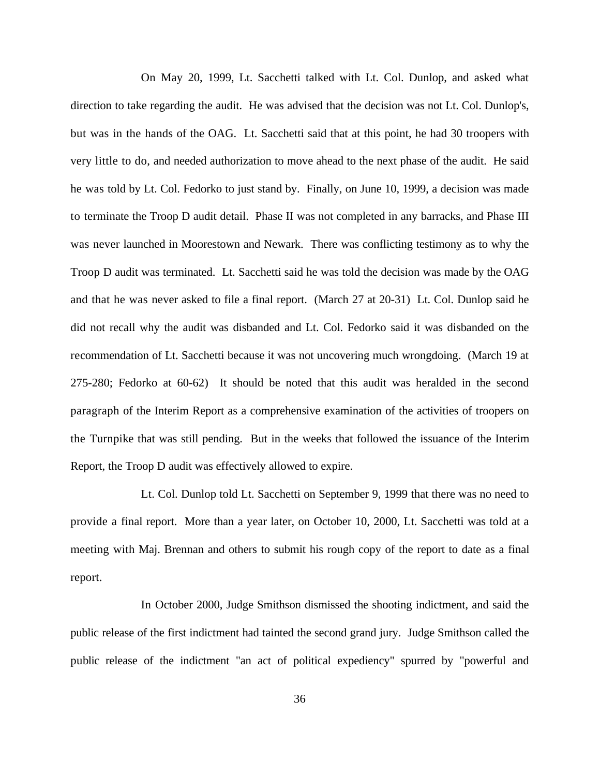On May 20, 1999, Lt. Sacchetti talked with Lt. Col. Dunlop, and asked what direction to take regarding the audit. He was advised that the decision was not Lt. Col. Dunlop's, but was in the hands of the OAG. Lt. Sacchetti said that at this point, he had 30 troopers with very little to do, and needed authorization to move ahead to the next phase of the audit. He said he was told by Lt. Col. Fedorko to just stand by. Finally, on June 10, 1999, a decision was made to terminate the Troop D audit detail. Phase II was not completed in any barracks, and Phase III was never launched in Moorestown and Newark. There was conflicting testimony as to why the Troop D audit was terminated. Lt. Sacchetti said he was told the decision was made by the OAG and that he was never asked to file a final report. (March 27 at 20-31) Lt. Col. Dunlop said he did not recall why the audit was disbanded and Lt. Col. Fedorko said it was disbanded on the recommendation of Lt. Sacchetti because it was not uncovering much wrongdoing. (March 19 at 275-280; Fedorko at 60-62) It should be noted that this audit was heralded in the second paragraph of the Interim Report as a comprehensive examination of the activities of troopers on the Turnpike that was still pending. But in the weeks that followed the issuance of the Interim Report, the Troop D audit was effectively allowed to expire.

Lt. Col. Dunlop told Lt. Sacchetti on September 9, 1999 that there was no need to provide a final report. More than a year later, on October 10, 2000, Lt. Sacchetti was told at a meeting with Maj. Brennan and others to submit his rough copy of the report to date as a final report.

In October 2000, Judge Smithson dismissed the shooting indictment, and said the public release of the first indictment had tainted the second grand jury. Judge Smithson called the public release of the indictment "an act of political expediency" spurred by "powerful and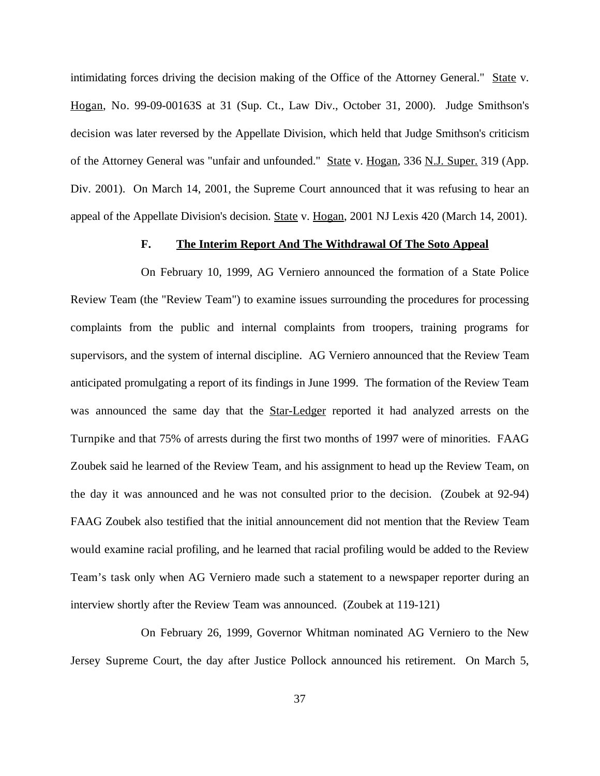intimidating forces driving the decision making of the Office of the Attorney General." State v. Hogan, No. 99-09-00163S at 31 (Sup. Ct., Law Div., October 31, 2000). Judge Smithson's decision was later reversed by the Appellate Division, which held that Judge Smithson's criticism of the Attorney General was "unfair and unfounded." State v. Hogan, 336 N.J. Super. 319 (App. Div. 2001). On March 14, 2001, the Supreme Court announced that it was refusing to hear an appeal of the Appellate Division's decision. State v. Hogan, 2001 NJ Lexis 420 (March 14, 2001).

### **F. The Interim Report And The Withdrawal Of The Soto Appeal**

On February 10, 1999, AG Verniero announced the formation of a State Police Review Team (the "Review Team") to examine issues surrounding the procedures for processing complaints from the public and internal complaints from troopers, training programs for supervisors, and the system of internal discipline. AG Verniero announced that the Review Team anticipated promulgating a report of its findings in June 1999. The formation of the Review Team was announced the same day that the Star-Ledger reported it had analyzed arrests on the Turnpike and that 75% of arrests during the first two months of 1997 were of minorities. FAAG Zoubek said he learned of the Review Team, and his assignment to head up the Review Team, on the day it was announced and he was not consulted prior to the decision. (Zoubek at 92-94) FAAG Zoubek also testified that the initial announcement did not mention that the Review Team would examine racial profiling, and he learned that racial profiling would be added to the Review Team's task only when AG Verniero made such a statement to a newspaper reporter during an interview shortly after the Review Team was announced. (Zoubek at 119-121)

On February 26, 1999, Governor Whitman nominated AG Verniero to the New Jersey Supreme Court, the day after Justice Pollock announced his retirement. On March 5,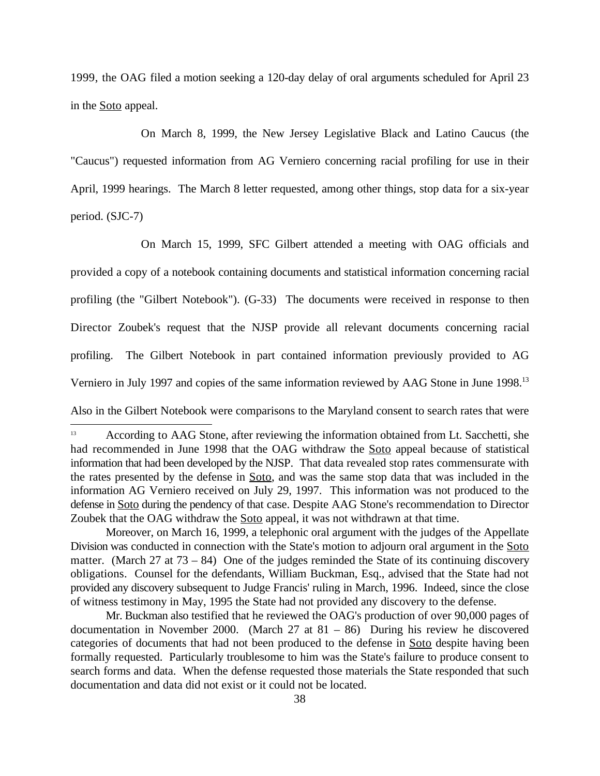1999, the OAG filed a motion seeking a 120-day delay of oral arguments scheduled for April 23 in the Soto appeal.

On March 8, 1999, the New Jersey Legislative Black and Latino Caucus (the "Caucus") requested information from AG Verniero concerning racial profiling for use in their April, 1999 hearings. The March 8 letter requested, among other things, stop data for a six-year period. (SJC-7)

On March 15, 1999, SFC Gilbert attended a meeting with OAG officials and provided a copy of a notebook containing documents and statistical information concerning racial profiling (the "Gilbert Notebook"). (G-33) The documents were received in response to then Director Zoubek's request that the NJSP provide all relevant documents concerning racial profiling. The Gilbert Notebook in part contained information previously provided to AG Verniero in July 1997 and copies of the same information reviewed by AAG Stone in June 1998.<sup>13</sup>

Also in the Gilbert Notebook were comparisons to the Maryland consent to search rates that were

According to AAG Stone, after reviewing the information obtained from Lt. Sacchetti, she <sup>13</sup> had recommended in June 1998 that the OAG withdraw the Soto appeal because of statistical information that had been developed by the NJSP. That data revealed stop rates commensurate with the rates presented by the defense in Soto, and was the same stop data that was included in the information AG Verniero received on July 29, 1997. This information was not produced to the defense in Soto during the pendency of that case. Despite AAG Stone's recommendation to Director Zoubek that the OAG withdraw the **Soto** appeal, it was not withdrawn at that time.

Moreover, on March 16, 1999, a telephonic oral argument with the judges of the Appellate Division was conducted in connection with the State's motion to adjourn oral argument in the Soto matter. (March 27 at  $73 - 84$ ) One of the judges reminded the State of its continuing discovery obligations. Counsel for the defendants, William Buckman, Esq., advised that the State had not provided any discovery subsequent to Judge Francis' ruling in March, 1996. Indeed, since the close of witness testimony in May, 1995 the State had not provided any discovery to the defense.

Mr. Buckman also testified that he reviewed the OAG's production of over 90,000 pages of documentation in November 2000. (March 27 at 81 – 86) During his review he discovered categories of documents that had not been produced to the defense in Soto despite having been formally requested. Particularly troublesome to him was the State's failure to produce consent to search forms and data. When the defense requested those materials the State responded that such documentation and data did not exist or it could not be located.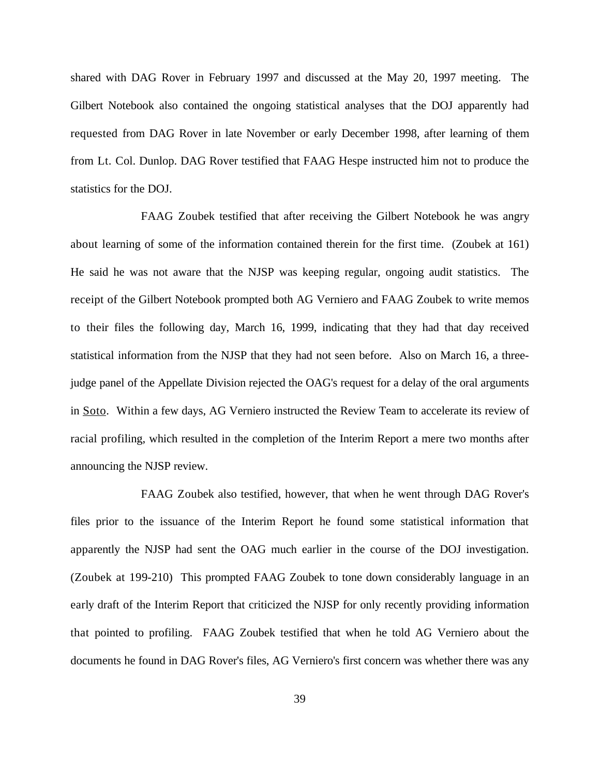shared with DAG Rover in February 1997 and discussed at the May 20, 1997 meeting. The Gilbert Notebook also contained the ongoing statistical analyses that the DOJ apparently had requested from DAG Rover in late November or early December 1998, after learning of them from Lt. Col. Dunlop. DAG Rover testified that FAAG Hespe instructed him not to produce the statistics for the DOJ.

FAAG Zoubek testified that after receiving the Gilbert Notebook he was angry about learning of some of the information contained therein for the first time. (Zoubek at 161) He said he was not aware that the NJSP was keeping regular, ongoing audit statistics. The receipt of the Gilbert Notebook prompted both AG Verniero and FAAG Zoubek to write memos to their files the following day, March 16, 1999, indicating that they had that day received statistical information from the NJSP that they had not seen before. Also on March 16, a threejudge panel of the Appellate Division rejected the OAG's request for a delay of the oral arguments in Soto. Within a few days, AG Verniero instructed the Review Team to accelerate its review of racial profiling, which resulted in the completion of the Interim Report a mere two months after announcing the NJSP review.

FAAG Zoubek also testified, however, that when he went through DAG Rover's files prior to the issuance of the Interim Report he found some statistical information that apparently the NJSP had sent the OAG much earlier in the course of the DOJ investigation. (Zoubek at 199-210) This prompted FAAG Zoubek to tone down considerably language in an early draft of the Interim Report that criticized the NJSP for only recently providing information that pointed to profiling. FAAG Zoubek testified that when he told AG Verniero about the documents he found in DAG Rover's files, AG Verniero's first concern was whether there was any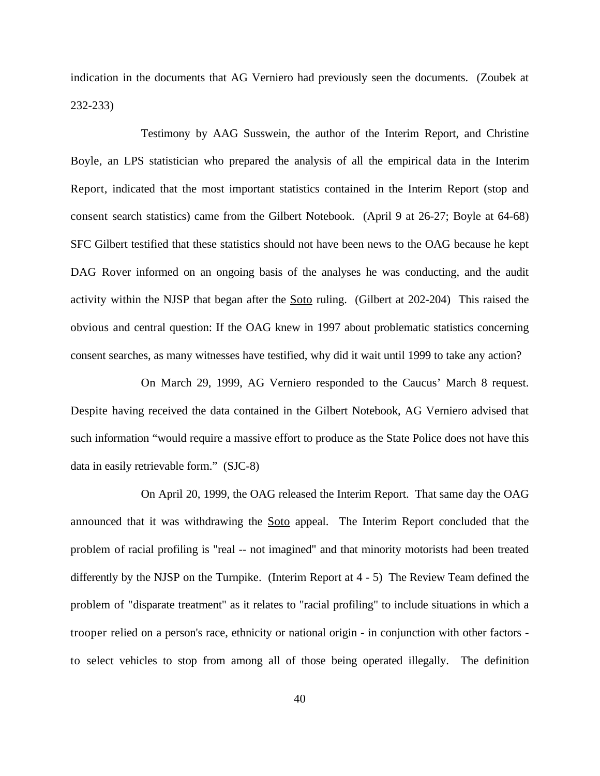indication in the documents that AG Verniero had previously seen the documents. (Zoubek at 232-233)

Testimony by AAG Susswein, the author of the Interim Report, and Christine Boyle, an LPS statistician who prepared the analysis of all the empirical data in the Interim Report, indicated that the most important statistics contained in the Interim Report (stop and consent search statistics) came from the Gilbert Notebook. (April 9 at 26-27; Boyle at 64-68) SFC Gilbert testified that these statistics should not have been news to the OAG because he kept DAG Rover informed on an ongoing basis of the analyses he was conducting, and the audit activity within the NJSP that began after the Soto ruling. (Gilbert at 202-204) This raised the obvious and central question: If the OAG knew in 1997 about problematic statistics concerning consent searches, as many witnesses have testified, why did it wait until 1999 to take any action?

On March 29, 1999, AG Verniero responded to the Caucus' March 8 request. Despite having received the data contained in the Gilbert Notebook, AG Verniero advised that such information "would require a massive effort to produce as the State Police does not have this data in easily retrievable form." (SJC-8)

On April 20, 1999, the OAG released the Interim Report. That same day the OAG announced that it was withdrawing the Soto appeal. The Interim Report concluded that the problem of racial profiling is "real -- not imagined" and that minority motorists had been treated differently by the NJSP on the Turnpike. (Interim Report at 4 - 5) The Review Team defined the problem of "disparate treatment" as it relates to "racial profiling" to include situations in which a trooper relied on a person's race, ethnicity or national origin - in conjunction with other factors to select vehicles to stop from among all of those being operated illegally. The definition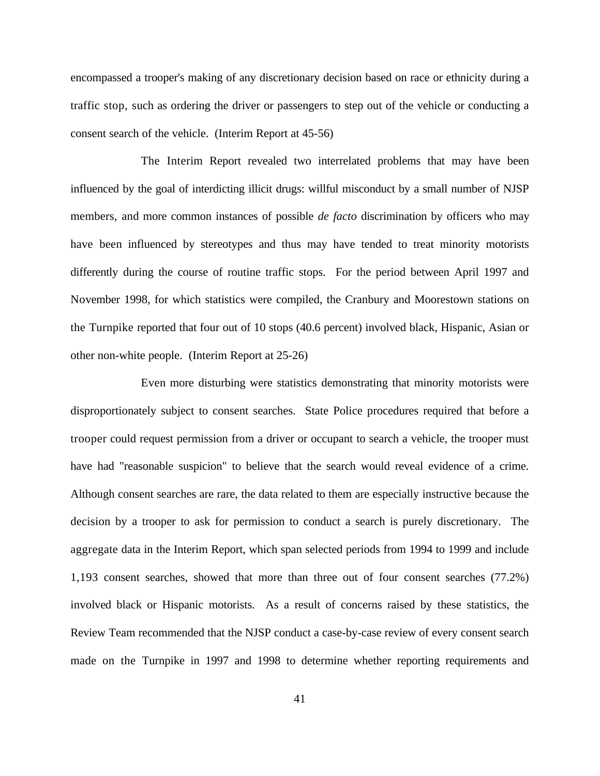encompassed a trooper's making of any discretionary decision based on race or ethnicity during a traffic stop, such as ordering the driver or passengers to step out of the vehicle or conducting a consent search of the vehicle. (Interim Report at 45-56)

The Interim Report revealed two interrelated problems that may have been influenced by the goal of interdicting illicit drugs: willful misconduct by a small number of NJSP members, and more common instances of possible *de facto* discrimination by officers who may have been influenced by stereotypes and thus may have tended to treat minority motorists differently during the course of routine traffic stops. For the period between April 1997 and November 1998, for which statistics were compiled, the Cranbury and Moorestown stations on the Turnpike reported that four out of 10 stops (40.6 percent) involved black, Hispanic, Asian or other non-white people. (Interim Report at 25-26)

Even more disturbing were statistics demonstrating that minority motorists were disproportionately subject to consent searches. State Police procedures required that before a trooper could request permission from a driver or occupant to search a vehicle, the trooper must have had "reasonable suspicion" to believe that the search would reveal evidence of a crime. Although consent searches are rare, the data related to them are especially instructive because the decision by a trooper to ask for permission to conduct a search is purely discretionary. The aggregate data in the Interim Report, which span selected periods from 1994 to 1999 and include 1,193 consent searches, showed that more than three out of four consent searches (77.2%) involved black or Hispanic motorists. As a result of concerns raised by these statistics, the Review Team recommended that the NJSP conduct a case-by-case review of every consent search made on the Turnpike in 1997 and 1998 to determine whether reporting requirements and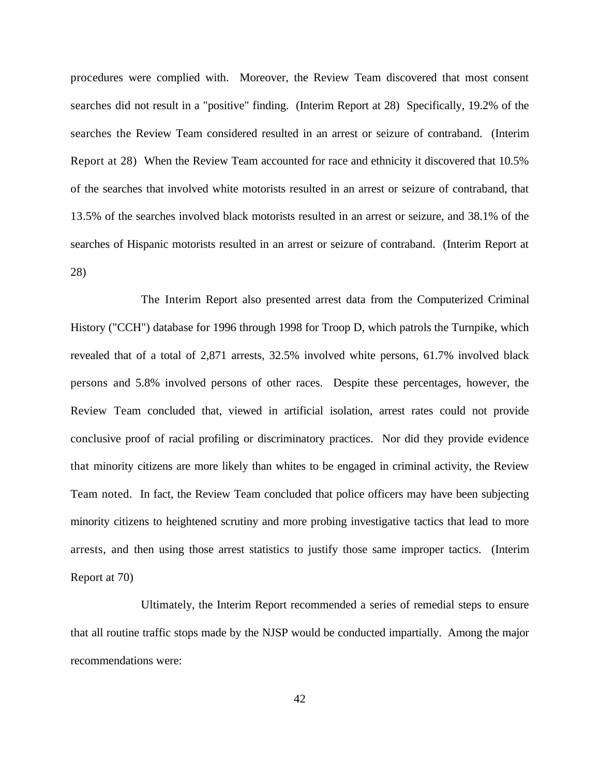procedures were complied with. Moreover, the Review Team discovered that most consent searches did not result in a "positive" finding. (Interim Report at 28) Specifically, 19.2% of the searches the Review Team considered resulted in an arrest or seizure of contraband. (Interim Report at 28) When the Review Team accounted for race and ethnicity it discovered that 10.5% of the searches that involved white motorists resulted in an arrest or seizure of contraband, that 13.5% of the searches involved black motorists resulted in an arrest or seizure, and 38.1% of the searches of Hispanic motorists resulted in an arrest or seizure of contraband. (Interim Report at 28)

The Interim Report also presented arrest data from the Computerized Criminal History ("CCH") database for 1996 through 1998 for Troop D, which patrols the Turnpike, which revealed that of a total of 2,871 arrests, 32.5% involved white persons, 61.7% involved black persons and 5.8% involved persons of other races. Despite these percentages, however, the Review Team concluded that, viewed in artificial isolation, arrest rates could not provide conclusive proof of racial profiling or discriminatory practices. Nor did they provide evidence that minority citizens are more likely than whites to be engaged in criminal activity, the Review Team noted. In fact, the Review Team concluded that police officers may have been subjecting minority citizens to heightened scrutiny and more probing investigative tactics that lead to more arrests, and then using those arrest statistics to justify those same improper tactics. (Interim Report at 70)

Ultimately, the Interim Report recommended a series of remedial steps to ensure that all routine traffic stops made by the NJSP would be conducted impartially. Among the major recommendations were: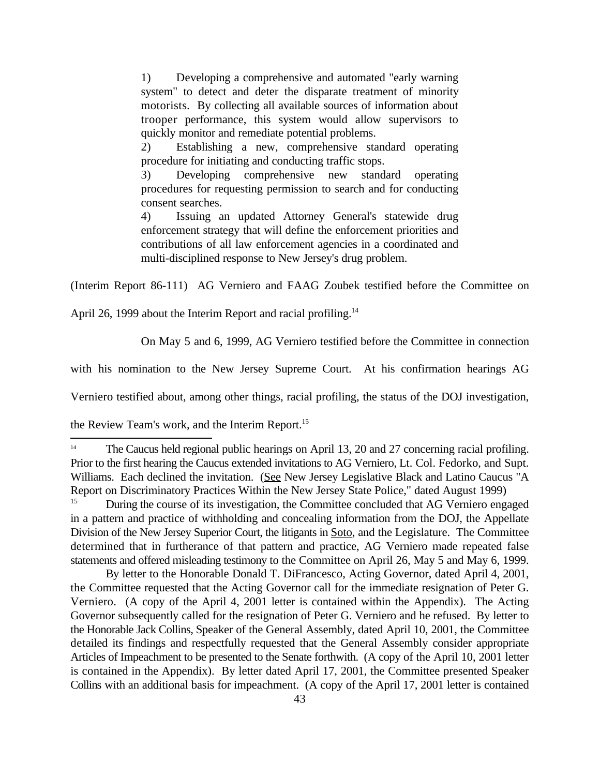1) Developing a comprehensive and automated "early warning system" to detect and deter the disparate treatment of minority motorists. By collecting all available sources of information about trooper performance, this system would allow supervisors to quickly monitor and remediate potential problems.

2) Establishing a new, comprehensive standard operating procedure for initiating and conducting traffic stops.

3) Developing comprehensive new standard operating procedures for requesting permission to search and for conducting consent searches.

4) Issuing an updated Attorney General's statewide drug enforcement strategy that will define the enforcement priorities and contributions of all law enforcement agencies in a coordinated and multi-disciplined response to New Jersey's drug problem.

(Interim Report 86-111) AG Verniero and FAAG Zoubek testified before the Committee on

April 26, 1999 about the Interim Report and racial profiling.<sup>14</sup>

On May 5 and 6, 1999, AG Verniero testified before the Committee in connection

with his nomination to the New Jersey Supreme Court. At his confirmation hearings AG

Verniero testified about, among other things, racial profiling, the status of the DOJ investigation,

the Review Team's work, and the Interim Report.<sup>15</sup>

By letter to the Honorable Donald T. DiFrancesco, Acting Governor, dated April 4, 2001, the Committee requested that the Acting Governor call for the immediate resignation of Peter G. Verniero. (A copy of the April 4, 2001 letter is contained within the Appendix). The Acting Governor subsequently called for the resignation of Peter G. Verniero and he refused. By letter to the Honorable Jack Collins, Speaker of the General Assembly, dated April 10, 2001, the Committee detailed its findings and respectfully requested that the General Assembly consider appropriate Articles of Impeachment to be presented to the Senate forthwith. (A copy of the April 10, 2001 letter is contained in the Appendix). By letter dated April 17, 2001, the Committee presented Speaker Collins with an additional basis for impeachment. (A copy of the April 17, 2001 letter is contained

 $T<sup>14</sup>$  The Caucus held regional public hearings on April 13, 20 and 27 concerning racial profiling. Prior to the first hearing the Caucus extended invitations to AG Verniero, Lt. Col. Fedorko, and Supt. Williams. Each declined the invitation. (See New Jersey Legislative Black and Latino Caucus "A Report on Discriminatory Practices Within the New Jersey State Police," dated August 1999)

During the course of its investigation, the Committee concluded that AG Verniero engaged in a pattern and practice of withholding and concealing information from the DOJ, the Appellate Division of the New Jersey Superior Court, the litigants in Soto, and the Legislature. The Committee determined that in furtherance of that pattern and practice, AG Verniero made repeated false statements and offered misleading testimony to the Committee on April 26, May 5 and May 6, 1999.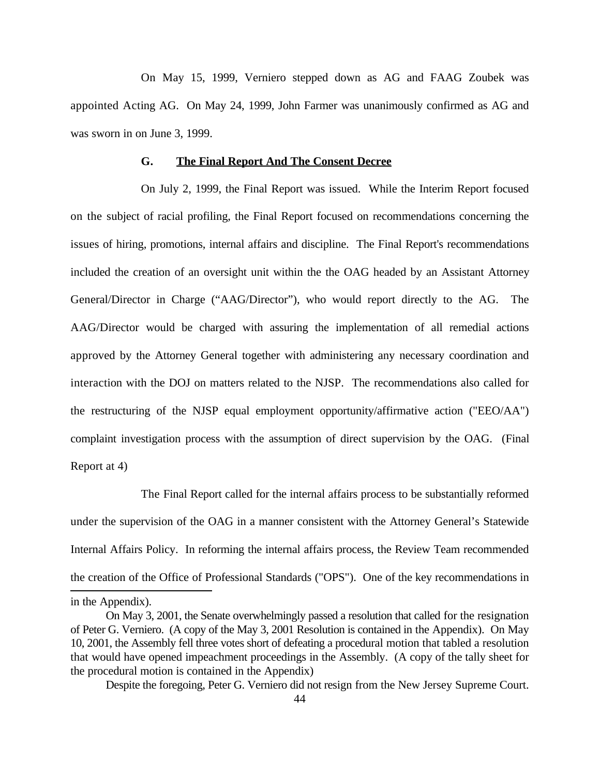On May 15, 1999, Verniero stepped down as AG and FAAG Zoubek was appointed Acting AG. On May 24, 1999, John Farmer was unanimously confirmed as AG and was sworn in on June 3, 1999.

### **G. The Final Report And The Consent Decree**

On July 2, 1999, the Final Report was issued. While the Interim Report focused on the subject of racial profiling, the Final Report focused on recommendations concerning the issues of hiring, promotions, internal affairs and discipline. The Final Report's recommendations included the creation of an oversight unit within the the OAG headed by an Assistant Attorney General/Director in Charge ("AAG/Director"), who would report directly to the AG. The AAG/Director would be charged with assuring the implementation of all remedial actions approved by the Attorney General together with administering any necessary coordination and interaction with the DOJ on matters related to the NJSP. The recommendations also called for the restructuring of the NJSP equal employment opportunity/affirmative action ("EEO/AA") complaint investigation process with the assumption of direct supervision by the OAG. (Final Report at 4)

The Final Report called for the internal affairs process to be substantially reformed under the supervision of the OAG in a manner consistent with the Attorney General's Statewide Internal Affairs Policy. In reforming the internal affairs process, the Review Team recommended the creation of the Office of Professional Standards ("OPS"). One of the key recommendations in

Despite the foregoing, Peter G. Verniero did not resign from the New Jersey Supreme Court.

in the Appendix).

On May 3, 2001, the Senate overwhelmingly passed a resolution that called for the resignation of Peter G. Verniero. (A copy of the May 3, 2001 Resolution is contained in the Appendix). On May 10, 2001, the Assembly fell three votes short of defeating a procedural motion that tabled a resolution that would have opened impeachment proceedings in the Assembly. (A copy of the tally sheet for the procedural motion is contained in the Appendix)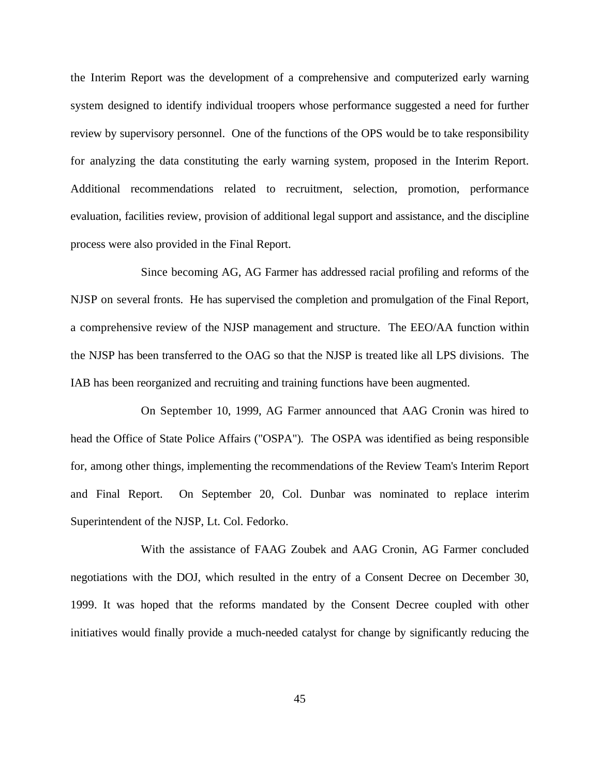the Interim Report was the development of a comprehensive and computerized early warning system designed to identify individual troopers whose performance suggested a need for further review by supervisory personnel. One of the functions of the OPS would be to take responsibility for analyzing the data constituting the early warning system, proposed in the Interim Report. Additional recommendations related to recruitment, selection, promotion, performance evaluation, facilities review, provision of additional legal support and assistance, and the discipline process were also provided in the Final Report.

Since becoming AG, AG Farmer has addressed racial profiling and reforms of the NJSP on several fronts. He has supervised the completion and promulgation of the Final Report, a comprehensive review of the NJSP management and structure. The EEO/AA function within the NJSP has been transferred to the OAG so that the NJSP is treated like all LPS divisions. The IAB has been reorganized and recruiting and training functions have been augmented.

On September 10, 1999, AG Farmer announced that AAG Cronin was hired to head the Office of State Police Affairs ("OSPA"). The OSPA was identified as being responsible for, among other things, implementing the recommendations of the Review Team's Interim Report and Final Report. On September 20, Col. Dunbar was nominated to replace interim Superintendent of the NJSP, Lt. Col. Fedorko.

With the assistance of FAAG Zoubek and AAG Cronin, AG Farmer concluded negotiations with the DOJ, which resulted in the entry of a Consent Decree on December 30, 1999. It was hoped that the reforms mandated by the Consent Decree coupled with other initiatives would finally provide a much-needed catalyst for change by significantly reducing the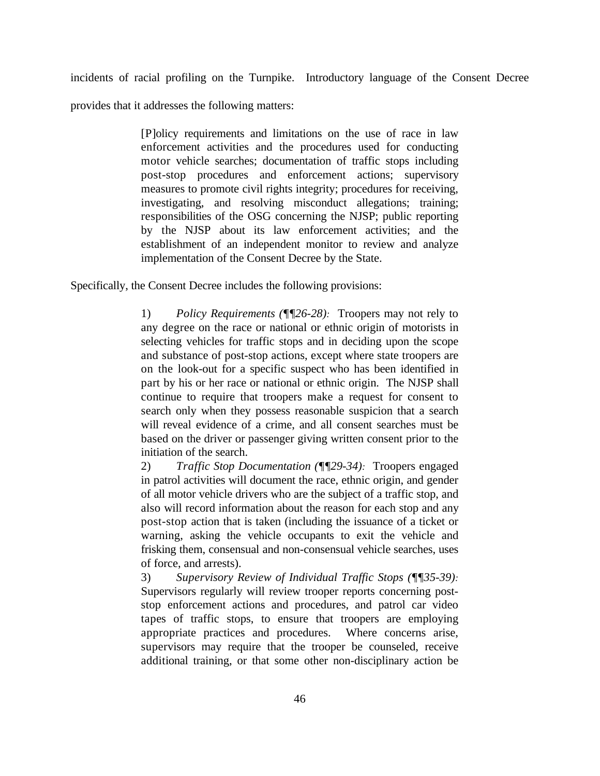incidents of racial profiling on the Turnpike. Introductory language of the Consent Decree

provides that it addresses the following matters:

[P]olicy requirements and limitations on the use of race in law enforcement activities and the procedures used for conducting motor vehicle searches; documentation of traffic stops including post-stop procedures and enforcement actions; supervisory measures to promote civil rights integrity; procedures for receiving, investigating, and resolving misconduct allegations; training; responsibilities of the OSG concerning the NJSP; public reporting by the NJSP about its law enforcement activities; and the establishment of an independent monitor to review and analyze implementation of the Consent Decree by the State.

Specifically, the Consent Decree includes the following provisions:

1) *Policy Requirements (¶¶26-28):* Troopers may not rely to any degree on the race or national or ethnic origin of motorists in selecting vehicles for traffic stops and in deciding upon the scope and substance of post-stop actions, except where state troopers are on the look-out for a specific suspect who has been identified in part by his or her race or national or ethnic origin. The NJSP shall continue to require that troopers make a request for consent to search only when they possess reasonable suspicion that a search will reveal evidence of a crime, and all consent searches must be based on the driver or passenger giving written consent prior to the initiation of the search.

2) *Traffic Stop Documentation (¶¶29-34):* Troopers engaged in patrol activities will document the race, ethnic origin, and gender of all motor vehicle drivers who are the subject of a traffic stop, and also will record information about the reason for each stop and any post-stop action that is taken (including the issuance of a ticket or warning, asking the vehicle occupants to exit the vehicle and frisking them, consensual and non-consensual vehicle searches, uses of force, and arrests).

3) *Supervisory Review of Individual Traffic Stops (¶¶35-39):* Supervisors regularly will review trooper reports concerning poststop enforcement actions and procedures, and patrol car video tapes of traffic stops, to ensure that troopers are employing appropriate practices and procedures. Where concerns arise, supervisors may require that the trooper be counseled, receive additional training, or that some other non-disciplinary action be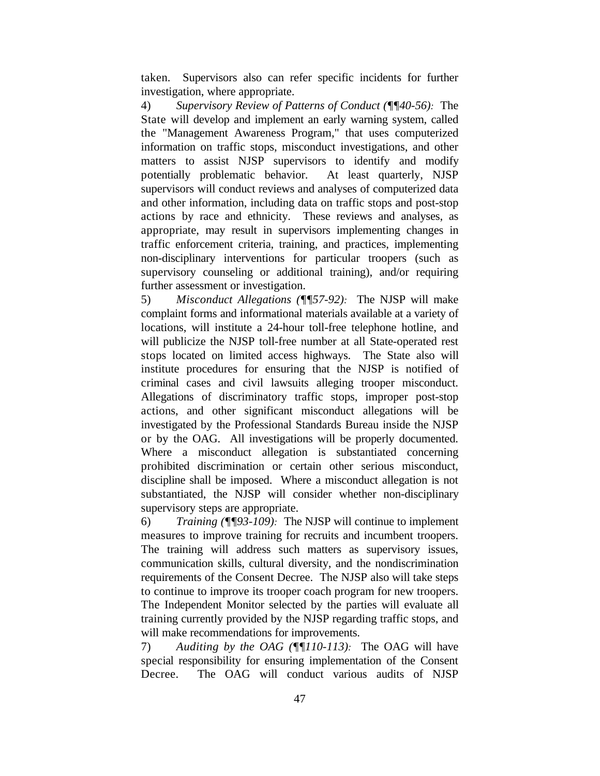taken. Supervisors also can refer specific incidents for further investigation, where appropriate.

4) *Supervisory Review of Patterns of Conduct (¶¶40-56):* The State will develop and implement an early warning system, called the "Management Awareness Program," that uses computerized information on traffic stops, misconduct investigations, and other matters to assist NJSP supervisors to identify and modify potentially problematic behavior. At least quarterly, NJSP supervisors will conduct reviews and analyses of computerized data and other information, including data on traffic stops and post-stop actions by race and ethnicity. These reviews and analyses, as appropriate, may result in supervisors implementing changes in traffic enforcement criteria, training, and practices, implementing non-disciplinary interventions for particular troopers (such as supervisory counseling or additional training), and/or requiring further assessment or investigation.

5) *Misconduct Allegations (¶¶57-92):* The NJSP will make complaint forms and informational materials available at a variety of locations, will institute a 24-hour toll-free telephone hotline, and will publicize the NJSP toll-free number at all State-operated rest stops located on limited access highways. The State also will institute procedures for ensuring that the NJSP is notified of criminal cases and civil lawsuits alleging trooper misconduct. Allegations of discriminatory traffic stops, improper post-stop actions, and other significant misconduct allegations will be investigated by the Professional Standards Bureau inside the NJSP or by the OAG. All investigations will be properly documented. Where a misconduct allegation is substantiated concerning prohibited discrimination or certain other serious misconduct, discipline shall be imposed. Where a misconduct allegation is not substantiated, the NJSP will consider whether non-disciplinary supervisory steps are appropriate.

6) *Training (¶¶93-109):* The NJSP will continue to implement measures to improve training for recruits and incumbent troopers. The training will address such matters as supervisory issues, communication skills, cultural diversity, and the nondiscrimination requirements of the Consent Decree. The NJSP also will take steps to continue to improve its trooper coach program for new troopers. The Independent Monitor selected by the parties will evaluate all training currently provided by the NJSP regarding traffic stops, and will make recommendations for improvements.

7) *Auditing by the OAG (¶¶110-113):* The OAG will have special responsibility for ensuring implementation of the Consent Decree. The OAG will conduct various audits of NJSP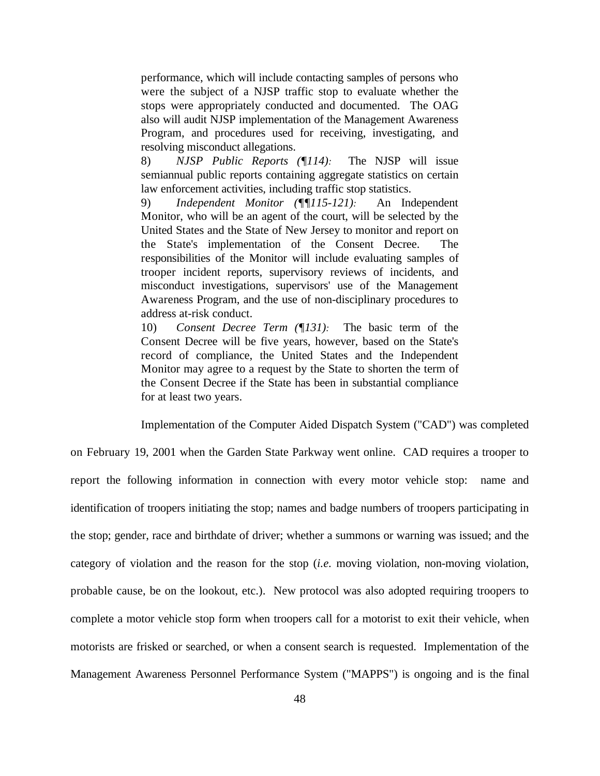performance, which will include contacting samples of persons who were the subject of a NJSP traffic stop to evaluate whether the stops were appropriately conducted and documented. The OAG also will audit NJSP implementation of the Management Awareness Program, and procedures used for receiving, investigating, and resolving misconduct allegations.

8) *NJSP Public Reports (¶114):* The NJSP will issue semiannual public reports containing aggregate statistics on certain law enforcement activities, including traffic stop statistics.

9) *Independent Monitor (¶¶115-121):* An Independent Monitor, who will be an agent of the court, will be selected by the United States and the State of New Jersey to monitor and report on the State's implementation of the Consent Decree. The responsibilities of the Monitor will include evaluating samples of trooper incident reports, supervisory reviews of incidents, and misconduct investigations, supervisors' use of the Management Awareness Program, and the use of non-disciplinary procedures to address at-risk conduct.

10) *Consent Decree Term (¶131):* The basic term of the Consent Decree will be five years, however, based on the State's record of compliance, the United States and the Independent Monitor may agree to a request by the State to shorten the term of the Consent Decree if the State has been in substantial compliance for at least two years.

Implementation of the Computer Aided Dispatch System ("CAD") was completed

on February 19, 2001 when the Garden State Parkway went online. CAD requires a trooper to report the following information in connection with every motor vehicle stop: name and identification of troopers initiating the stop; names and badge numbers of troopers participating in the stop; gender, race and birthdate of driver; whether a summons or warning was issued; and the category of violation and the reason for the stop (*i.e.* moving violation, non-moving violation, probable cause, be on the lookout, etc.). New protocol was also adopted requiring troopers to complete a motor vehicle stop form when troopers call for a motorist to exit their vehicle, when motorists are frisked or searched, or when a consent search is requested. Implementation of the Management Awareness Personnel Performance System ("MAPPS") is ongoing and is the final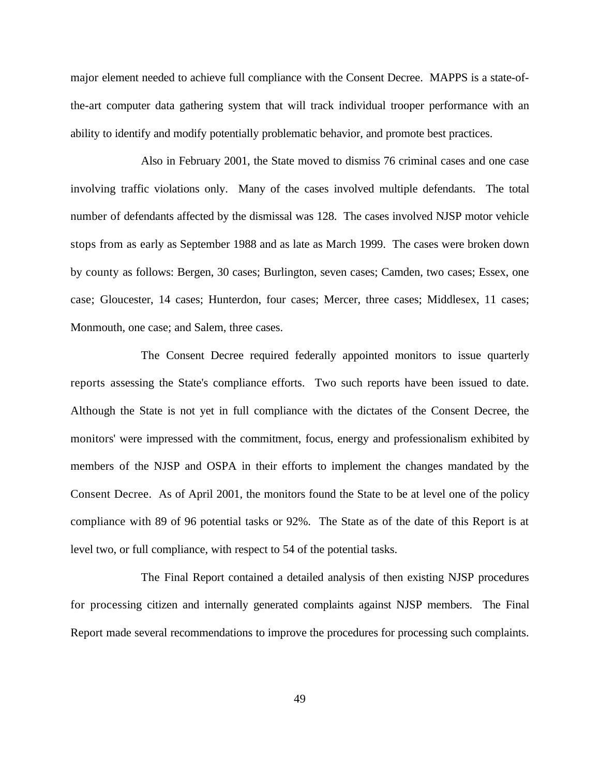major element needed to achieve full compliance with the Consent Decree. MAPPS is a state-ofthe-art computer data gathering system that will track individual trooper performance with an ability to identify and modify potentially problematic behavior, and promote best practices.

Also in February 2001, the State moved to dismiss 76 criminal cases and one case involving traffic violations only. Many of the cases involved multiple defendants. The total number of defendants affected by the dismissal was 128. The cases involved NJSP motor vehicle stops from as early as September 1988 and as late as March 1999. The cases were broken down by county as follows: Bergen, 30 cases; Burlington, seven cases; Camden, two cases; Essex, one case; Gloucester, 14 cases; Hunterdon, four cases; Mercer, three cases; Middlesex, 11 cases; Monmouth, one case; and Salem, three cases.

The Consent Decree required federally appointed monitors to issue quarterly reports assessing the State's compliance efforts. Two such reports have been issued to date. Although the State is not yet in full compliance with the dictates of the Consent Decree, the monitors' were impressed with the commitment, focus, energy and professionalism exhibited by members of the NJSP and OSPA in their efforts to implement the changes mandated by the Consent Decree. As of April 2001, the monitors found the State to be at level one of the policy compliance with 89 of 96 potential tasks or 92%. The State as of the date of this Report is at level two, or full compliance, with respect to 54 of the potential tasks.

The Final Report contained a detailed analysis of then existing NJSP procedures for processing citizen and internally generated complaints against NJSP members. The Final Report made several recommendations to improve the procedures for processing such complaints.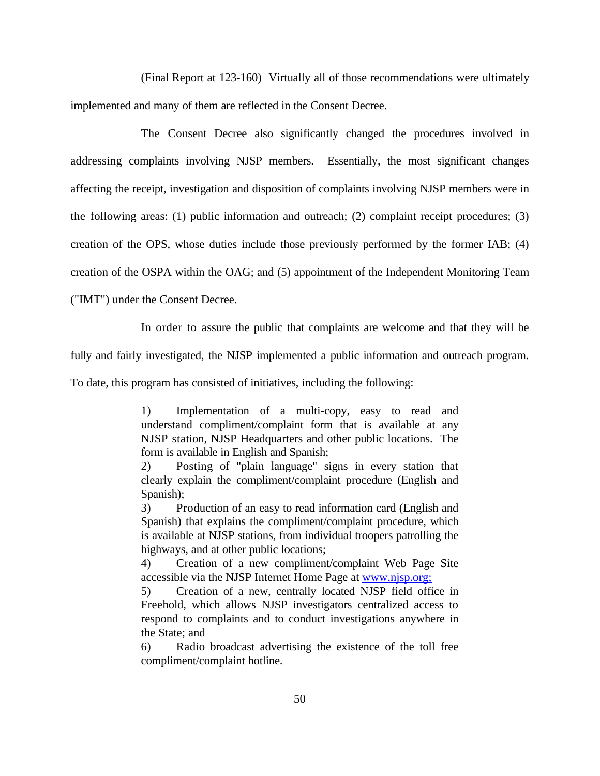(Final Report at 123-160) Virtually all of those recommendations were ultimately implemented and many of them are reflected in the Consent Decree.

The Consent Decree also significantly changed the procedures involved in addressing complaints involving NJSP members. Essentially, the most significant changes affecting the receipt, investigation and disposition of complaints involving NJSP members were in the following areas: (1) public information and outreach; (2) complaint receipt procedures; (3) creation of the OPS, whose duties include those previously performed by the former IAB; (4) creation of the OSPA within the OAG; and (5) appointment of the Independent Monitoring Team

("IMT") under the Consent Decree.

In order to assure the public that complaints are welcome and that they will be

fully and fairly investigated, the NJSP implemented a public information and outreach program.

To date, this program has consisted of initiatives, including the following:

1) Implementation of a multi-copy, easy to read and understand compliment/complaint form that is available at any NJSP station, NJSP Headquarters and other public locations. The form is available in English and Spanish;

2) Posting of "plain language" signs in every station that clearly explain the compliment/complaint procedure (English and Spanish);

3) Production of an easy to read information card (English and Spanish) that explains the compliment/complaint procedure, which is available at NJSP stations, from individual troopers patrolling the highways, and at other public locations;

4) Creation of a new compliment/complaint Web Page Site accessible via the NJSP Internet Home Page at www.njsp.org;

5) Creation of a new, centrally located NJSP field office in Freehold, which allows NJSP investigators centralized access to respond to complaints and to conduct investigations anywhere in the State; and

6) Radio broadcast advertising the existence of the toll free compliment/complaint hotline.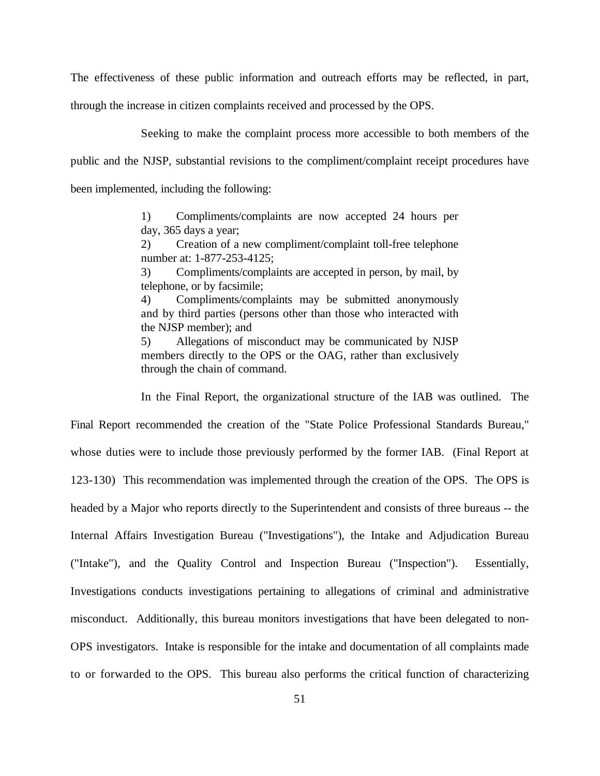The effectiveness of these public information and outreach efforts may be reflected, in part,

through the increase in citizen complaints received and processed by the OPS.

Seeking to make the complaint process more accessible to both members of the public and the NJSP, substantial revisions to the compliment/complaint receipt procedures have been implemented, including the following:

> 1) Compliments/complaints are now accepted 24 hours per day, 365 days a year;

> 2) Creation of a new compliment/complaint toll-free telephone number at: 1-877-253-4125;

> 3) Compliments/complaints are accepted in person, by mail, by telephone, or by facsimile;

> 4) Compliments/complaints may be submitted anonymously and by third parties (persons other than those who interacted with the NJSP member); and

> 5) Allegations of misconduct may be communicated by NJSP members directly to the OPS or the OAG, rather than exclusively through the chain of command.

In the Final Report, the organizational structure of the IAB was outlined. The

Final Report recommended the creation of the "State Police Professional Standards Bureau," whose duties were to include those previously performed by the former IAB. (Final Report at 123-130) This recommendation was implemented through the creation of the OPS. The OPS is headed by a Major who reports directly to the Superintendent and consists of three bureaus -- the Internal Affairs Investigation Bureau ("Investigations"), the Intake and Adjudication Bureau ("Intake"), and the Quality Control and Inspection Bureau ("Inspection"). Essentially, Investigations conducts investigations pertaining to allegations of criminal and administrative misconduct. Additionally, this bureau monitors investigations that have been delegated to non-OPS investigators. Intake is responsible for the intake and documentation of all complaints made to or forwarded to the OPS. This bureau also performs the critical function of characterizing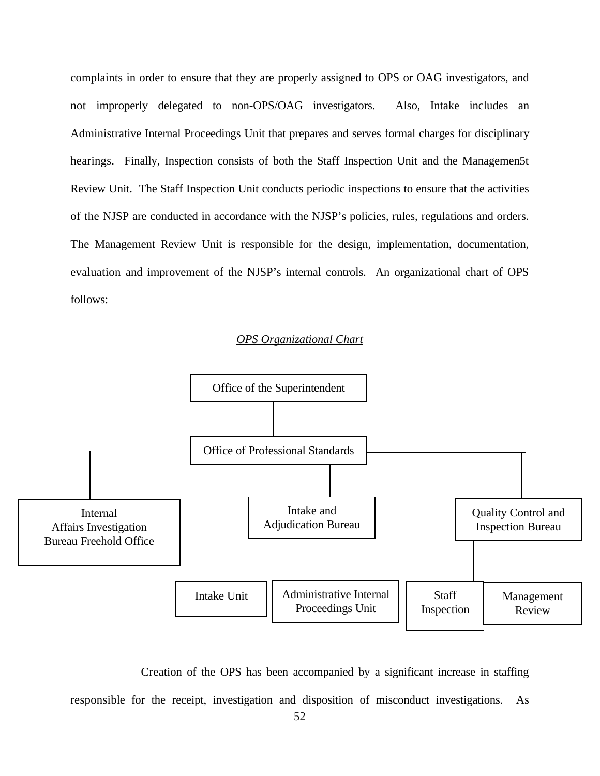complaints in order to ensure that they are properly assigned to OPS or OAG investigators, and not improperly delegated to non-OPS/OAG investigators. Also, Intake includes an Administrative Internal Proceedings Unit that prepares and serves formal charges for disciplinary hearings. Finally, Inspection consists of both the Staff Inspection Unit and the Managemen5t Review Unit. The Staff Inspection Unit conducts periodic inspections to ensure that the activities of the NJSP are conducted in accordance with the NJSP's policies, rules, regulations and orders. The Management Review Unit is responsible for the design, implementation, documentation, evaluation and improvement of the NJSP's internal controls. An organizational chart of OPS follows:

### *OPS Organizational Chart*



Creation of the OPS has been accompanied by a significant increase in staffing

responsible for the receipt, investigation and disposition of misconduct investigations. As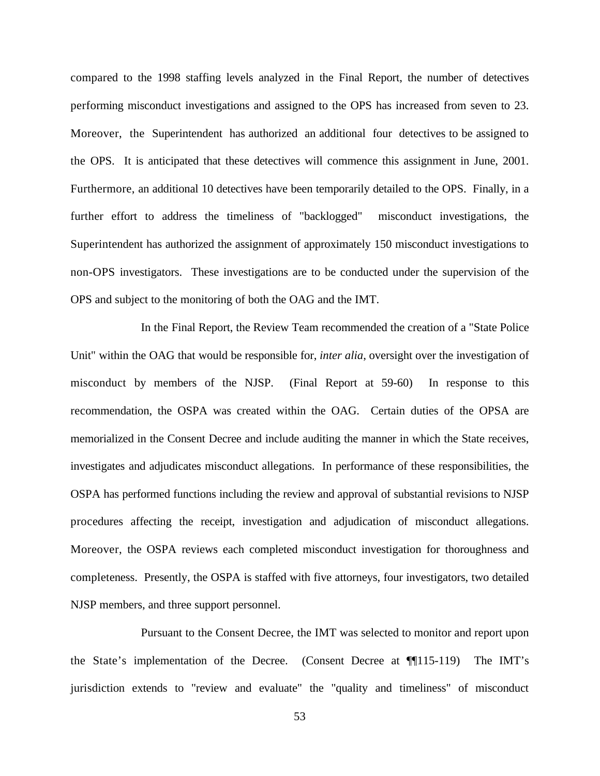compared to the 1998 staffing levels analyzed in the Final Report, the number of detectives performing misconduct investigations and assigned to the OPS has increased from seven to 23. Moreover, the Superintendent has authorized an additional four detectives to be assigned to the OPS. It is anticipated that these detectives will commence this assignment in June, 2001. Furthermore, an additional 10 detectives have been temporarily detailed to the OPS. Finally, in a further effort to address the timeliness of "backlogged" misconduct investigations, the Superintendent has authorized the assignment of approximately 150 misconduct investigations to non-OPS investigators. These investigations are to be conducted under the supervision of the OPS and subject to the monitoring of both the OAG and the IMT.

In the Final Report, the Review Team recommended the creation of a "State Police Unit" within the OAG that would be responsible for, *inter alia*, oversight over the investigation of misconduct by members of the NJSP. (Final Report at 59-60) In response to this recommendation, the OSPA was created within the OAG. Certain duties of the OPSA are memorialized in the Consent Decree and include auditing the manner in which the State receives, investigates and adjudicates misconduct allegations. In performance of these responsibilities, the OSPA has performed functions including the review and approval of substantial revisions to NJSP procedures affecting the receipt, investigation and adjudication of misconduct allegations. Moreover, the OSPA reviews each completed misconduct investigation for thoroughness and completeness. Presently, the OSPA is staffed with five attorneys, four investigators, two detailed NJSP members, and three support personnel.

Pursuant to the Consent Decree, the IMT was selected to monitor and report upon the State's implementation of the Decree. (Consent Decree at ¶¶115-119) The IMT's jurisdiction extends to "review and evaluate" the "quality and timeliness" of misconduct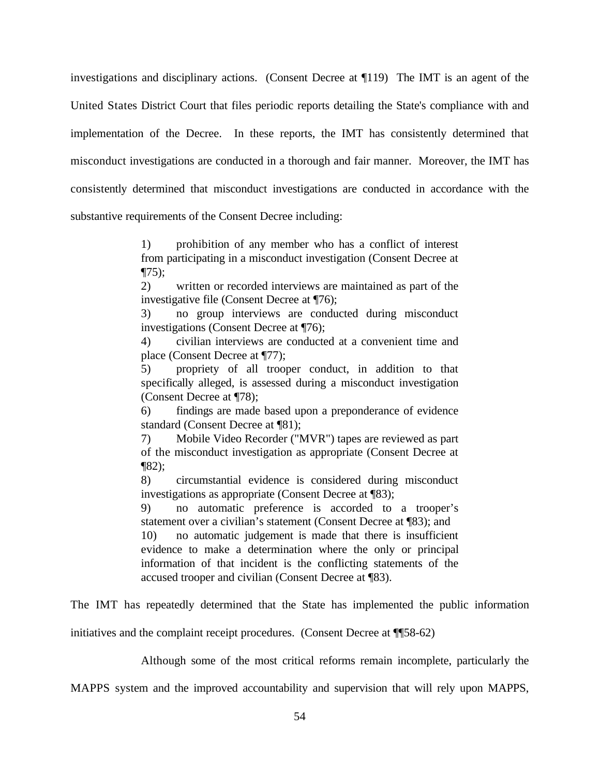investigations and disciplinary actions. (Consent Decree at ¶119) The IMT is an agent of the United States District Court that files periodic reports detailing the State's compliance with and implementation of the Decree. In these reports, the IMT has consistently determined that misconduct investigations are conducted in a thorough and fair manner. Moreover, the IMT has consistently determined that misconduct investigations are conducted in accordance with the substantive requirements of the Consent Decree including:

> 1) prohibition of any member who has a conflict of interest from participating in a misconduct investigation (Consent Decree at  $\P(75)$ ;

> 2) written or recorded interviews are maintained as part of the investigative file (Consent Decree at ¶76);

> 3) no group interviews are conducted during misconduct investigations (Consent Decree at ¶76);

> 4) civilian interviews are conducted at a convenient time and place (Consent Decree at ¶77);

> 5) propriety of all trooper conduct, in addition to that specifically alleged, is assessed during a misconduct investigation (Consent Decree at ¶78);

> 6) findings are made based upon a preponderance of evidence standard (Consent Decree at ¶81);

> 7) Mobile Video Recorder ("MVR") tapes are reviewed as part of the misconduct investigation as appropriate (Consent Decree at  $\P(82)$ ;

> 8) circumstantial evidence is considered during misconduct investigations as appropriate (Consent Decree at ¶83);

> 9) no automatic preference is accorded to a trooper's statement over a civilian's statement (Consent Decree at ¶83); and

> 10) no automatic judgement is made that there is insufficient evidence to make a determination where the only or principal information of that incident is the conflicting statements of the accused trooper and civilian (Consent Decree at ¶83).

The IMT has repeatedly determined that the State has implemented the public information

initiatives and the complaint receipt procedures. (Consent Decree at ¶¶58-62)

Although some of the most critical reforms remain incomplete, particularly the

MAPPS system and the improved accountability and supervision that will rely upon MAPPS,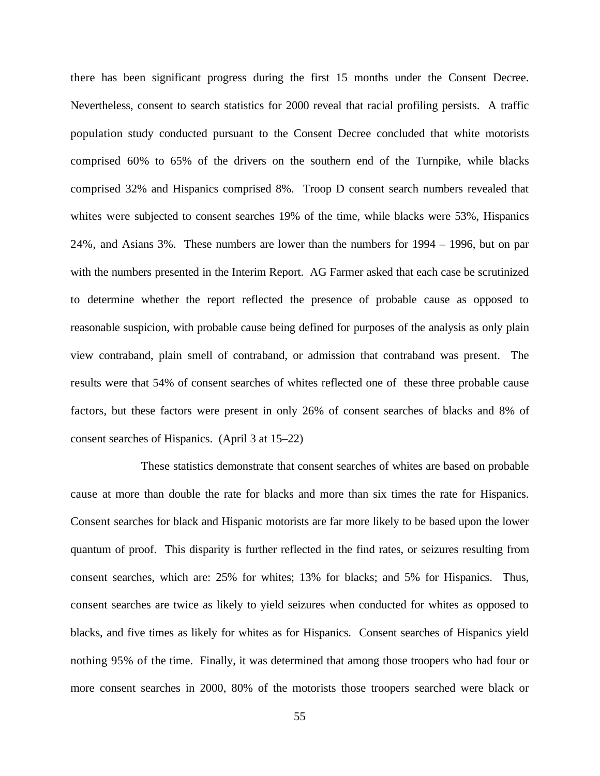there has been significant progress during the first 15 months under the Consent Decree. Nevertheless, consent to search statistics for 2000 reveal that racial profiling persists. A traffic population study conducted pursuant to the Consent Decree concluded that white motorists comprised 60% to 65% of the drivers on the southern end of the Turnpike, while blacks comprised 32% and Hispanics comprised 8%. Troop D consent search numbers revealed that whites were subjected to consent searches 19% of the time, while blacks were 53%, Hispanics 24%, and Asians 3%. These numbers are lower than the numbers for 1994 – 1996, but on par with the numbers presented in the Interim Report. AG Farmer asked that each case be scrutinized to determine whether the report reflected the presence of probable cause as opposed to reasonable suspicion, with probable cause being defined for purposes of the analysis as only plain view contraband, plain smell of contraband, or admission that contraband was present. The results were that 54% of consent searches of whites reflected one of these three probable cause factors, but these factors were present in only 26% of consent searches of blacks and 8% of consent searches of Hispanics. (April 3 at 15–22)

These statistics demonstrate that consent searches of whites are based on probable cause at more than double the rate for blacks and more than six times the rate for Hispanics. Consent searches for black and Hispanic motorists are far more likely to be based upon the lower quantum of proof. This disparity is further reflected in the find rates, or seizures resulting from consent searches, which are: 25% for whites; 13% for blacks; and 5% for Hispanics. Thus, consent searches are twice as likely to yield seizures when conducted for whites as opposed to blacks, and five times as likely for whites as for Hispanics. Consent searches of Hispanics yield nothing 95% of the time. Finally, it was determined that among those troopers who had four or more consent searches in 2000, 80% of the motorists those troopers searched were black or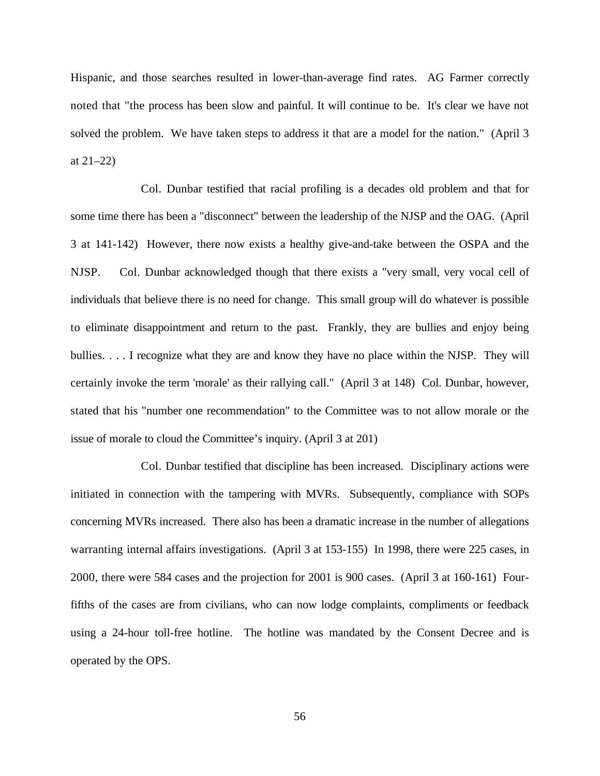Hispanic, and those searches resulted in lower-than-average find rates. AG Farmer correctly noted that "the process has been slow and painful. It will continue to be. It's clear we have not solved the problem. We have taken steps to address it that are a model for the nation." (April 3 at  $21-22$ )

Col. Dunbar testified that racial profiling is a decades old problem and that for some time there has been a "disconnect" between the leadership of the NJSP and the OAG. (April 3 at 141-142) However, there now exists a healthy give-and-take between the OSPA and the NJSP. Col. Dunbar acknowledged though that there exists a "very small, very vocal cell of individuals that believe there is no need for change. This small group will do whatever is possible to eliminate disappointment and return to the past. Frankly, they are bullies and enjoy being bullies. . . . I recognize what they are and know they have no place within the NJSP. They will certainly invoke the term 'morale' as their rallying call." (April 3 at 148) Col. Dunbar, however, stated that his "number one recommendation" to the Committee was to not allow morale or the issue of morale to cloud the Committee's inquiry. (April 3 at 201)

Col. Dunbar testified that discipline has been increased. Disciplinary actions were initiated in connection with the tampering with MVRs. Subsequently, compliance with SOPs concerning MVRs increased. There also has been a dramatic increase in the number of allegations warranting internal affairs investigations. (April 3 at 153-155) In 1998, there were 225 cases, in 2000, there were 584 cases and the projection for 2001 is 900 cases. (April 3 at 160-161) Fourfifths of the cases are from civilians, who can now lodge complaints, compliments or feedback using a 24-hour toll-free hotline. The hotline was mandated by the Consent Decree and is operated by the OPS.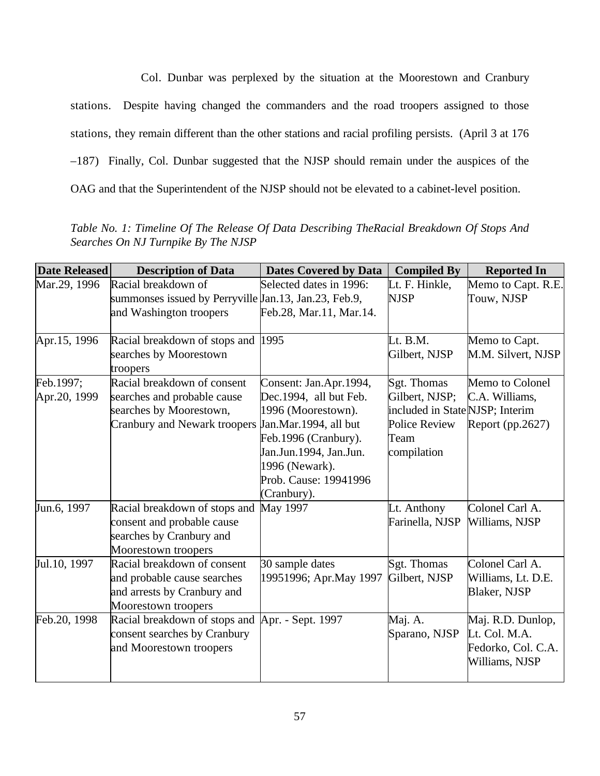Col. Dunbar was perplexed by the situation at the Moorestown and Cranbury stations. Despite having changed the commanders and the road troopers assigned to those stations, they remain different than the other stations and racial profiling persists. (April 3 at 176 –187) Finally, Col. Dunbar suggested that the NJSP should remain under the auspices of the OAG and that the Superintendent of the NJSP should not be elevated to a cabinet-level position.

*Table No. 1: Timeline Of The Release Of Data Describing TheRacial Breakdown Of Stops And Searches On NJ Turnpike By The NJSP*

| <b>Date Released</b> | <b>Description of Data</b>                            | <b>Dates Covered by Data</b> | <b>Compiled By</b>              | <b>Reported In</b> |
|----------------------|-------------------------------------------------------|------------------------------|---------------------------------|--------------------|
| Mar.29, 1996         | Racial breakdown of                                   | Selected dates in 1996:      | Lt. F. Hinkle,                  | Memo to Capt. R.E. |
|                      | summonses issued by Perryville Jan.13, Jan.23, Feb.9, |                              | <b>NJSP</b>                     | Touw, NJSP         |
|                      | and Washington troopers                               | Feb.28, Mar.11, Mar.14.      |                                 |                    |
|                      |                                                       |                              |                                 |                    |
| Apr.15, 1996         | Racial breakdown of stops and 1995                    |                              | Lt. B.M.                        | Memo to Capt.      |
|                      | searches by Moorestown                                |                              | Gilbert, NJSP                   | M.M. Silvert, NJSP |
|                      | troopers                                              |                              |                                 |                    |
| Feb.1997;            | Racial breakdown of consent                           | Consent: Jan.Apr.1994,       | Sgt. Thomas                     | Memo to Colonel    |
| Apr.20, 1999         | searches and probable cause                           | Dec.1994, all but Feb.       | Gilbert, NJSP;                  | C.A. Williams,     |
|                      | searches by Moorestown,                               | 1996 (Moorestown).           | included in State NJSP; Interim |                    |
|                      | <b>Cranbury and Newark troopers</b>                   | Jan.Mar.1994, all but        | <b>Police Review</b>            | Report (pp.2627)   |
|                      |                                                       | Feb.1996 (Cranbury).         | Team                            |                    |
|                      |                                                       | Jan.Jun.1994, Jan.Jun.       | compilation                     |                    |
|                      |                                                       | 1996 (Newark).               |                                 |                    |
|                      |                                                       | Prob. Cause: 19941996        |                                 |                    |
|                      |                                                       | (Cranbury).                  |                                 |                    |
| Jun.6, 1997          | Racial breakdown of stops and                         | <b>May 1997</b>              | Lt. Anthony                     | Colonel Carl A.    |
|                      | consent and probable cause                            |                              | Farinella, NJSP                 | Williams, NJSP     |
|                      | searches by Cranbury and                              |                              |                                 |                    |
|                      | Moorestown troopers                                   |                              |                                 |                    |
| Jul.10, 1997         | Racial breakdown of consent                           | 30 sample dates              | Sgt. Thomas                     | Colonel Carl A.    |
|                      | and probable cause searches                           | 19951996; Apr.May 1997       | Gilbert, NJSP                   | Williams, Lt. D.E. |
|                      | and arrests by Cranbury and                           |                              |                                 | Blaker, NJSP       |
|                      | Moorestown troopers                                   |                              |                                 |                    |
| Feb.20, 1998         | Racial breakdown of stops and                         | Apr. - Sept. 1997            | Maj. A.                         | Maj. R.D. Dunlop,  |
|                      | consent searches by Cranbury                          |                              | Sparano, NJSP                   | Lt. Col. M.A.      |
|                      | and Moorestown troopers                               |                              |                                 | Fedorko, Col. C.A. |
|                      |                                                       |                              |                                 | Williams, NJSP     |
|                      |                                                       |                              |                                 |                    |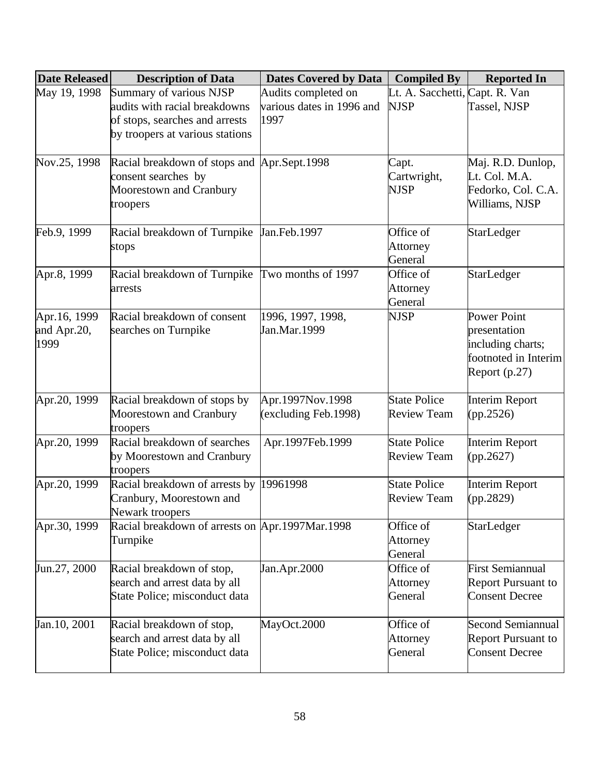| <b>Date Released</b> | <b>Description of Data</b>                      | <b>Dates Covered by Data</b> | <b>Compiled By</b>             | <b>Reported In</b>        |
|----------------------|-------------------------------------------------|------------------------------|--------------------------------|---------------------------|
| May 19, 1998         | Summary of various NJSP                         | Audits completed on          | Lt. A. Sacchetti, Capt. R. Van |                           |
|                      | audits with racial breakdowns                   | various dates in 1996 and    | <b>NJSP</b>                    | Tassel, NJSP              |
|                      | of stops, searches and arrests                  | 1997                         |                                |                           |
|                      | by troopers at various stations                 |                              |                                |                           |
| Nov.25, 1998         | Racial breakdown of stops and Apr.Sept.1998     |                              | Capt.                          | Maj. R.D. Dunlop,         |
|                      | consent searches by                             |                              | Cartwright,                    | Lt. Col. M.A.             |
|                      | Moorestown and Cranbury                         |                              | <b>NJSP</b>                    | Fedorko, Col. C.A.        |
|                      | troopers                                        |                              |                                | Williams, NJSP            |
| Feb.9, 1999          | Racial breakdown of Turnpike Jan.Feb.1997       |                              | Office of                      | StarLedger                |
|                      | stops                                           |                              | Attorney                       |                           |
|                      |                                                 |                              | General                        |                           |
| Apr.8, 1999          | Racial breakdown of Turnpike                    | Two months of 1997           | Office of                      | StarLedger                |
|                      | arrests                                         |                              | Attorney                       |                           |
|                      |                                                 |                              | General                        |                           |
| Apr.16, 1999         | Racial breakdown of consent                     | 1996, 1997, 1998,            | <b>NJSP</b>                    | <b>Power Point</b>        |
| and Apr.20,          | searches on Turnpike                            | Jan.Mar.1999                 |                                | presentation              |
| 1999                 |                                                 |                              |                                | including charts;         |
|                      |                                                 |                              |                                | footnoted in Interim      |
|                      |                                                 |                              |                                | Report $(p.27)$           |
| Apr.20, 1999         | Racial breakdown of stops by                    | Apr.1997Nov.1998             | <b>State Police</b>            | <b>Interim Report</b>     |
|                      | Moorestown and Cranbury                         | (excluding Feb.1998)         | <b>Review Team</b>             | (pp.2526)                 |
|                      | troopers                                        |                              |                                |                           |
| Apr.20, 1999         | Racial breakdown of searches                    | Apr.1997Feb.1999             | <b>State Police</b>            | <b>Interim Report</b>     |
|                      | by Moorestown and Cranbury                      |                              | <b>Review Team</b>             | (pp.2627)                 |
|                      | troopers                                        |                              |                                |                           |
| Apr.20, 1999         | Racial breakdown of arrests by                  | 19961998                     | <b>State Police</b>            | Interim Report            |
|                      | Cranbury, Moorestown and<br>Newark troopers     |                              | <b>Review Team</b>             | (pp.2829)                 |
| Apr.30, 1999         | Racial breakdown of arrests on Apr.1997Mar.1998 |                              | Office of                      | StarLedger                |
|                      | Turnpike                                        |                              | Attorney                       |                           |
|                      |                                                 |                              | General                        |                           |
| Jun.27, 2000         | Racial breakdown of stop,                       | Jan.Apr.2000                 | Office of                      | <b>First Semiannual</b>   |
|                      | search and arrest data by all                   |                              | Attorney                       | <b>Report Pursuant to</b> |
|                      | State Police; misconduct data                   |                              | General                        | <b>Consent Decree</b>     |
| Jan. 10, 2001        | Racial breakdown of stop,                       | MayOct.2000                  | Office of                      | <b>Second Semiannual</b>  |
|                      | search and arrest data by all                   |                              | Attorney                       | <b>Report Pursuant to</b> |
|                      | State Police; misconduct data                   |                              | General                        | <b>Consent Decree</b>     |
|                      |                                                 |                              |                                |                           |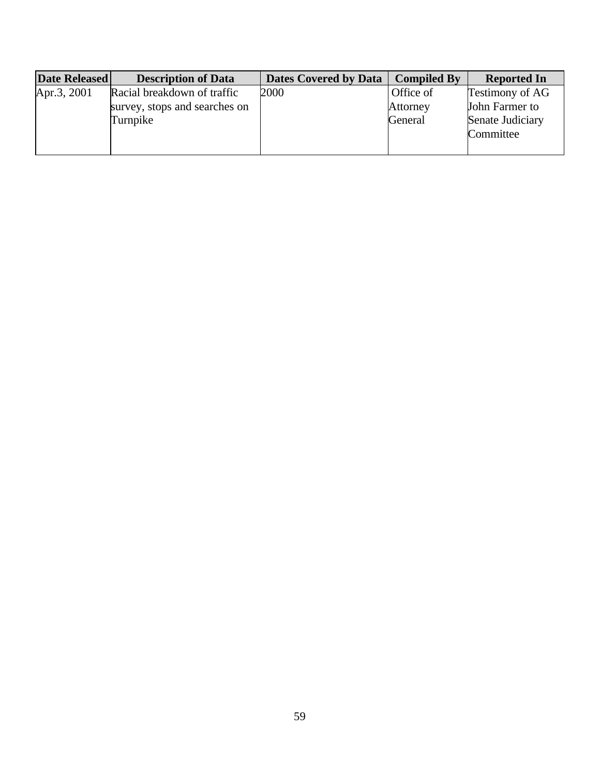| Date Released | <b>Description of Data</b>    | <b>Dates Covered by Data</b> | <b>Compiled By</b> | <b>Reported In</b>     |
|---------------|-------------------------------|------------------------------|--------------------|------------------------|
| Apr.3, 2001   | Racial breakdown of traffic   | 2000                         | Office of          | <b>Testimony of AG</b> |
|               | survey, stops and searches on |                              | Attorney           | John Farmer to         |
|               | Turnpike                      |                              | General            | Senate Judiciary       |
|               |                               |                              |                    | Committee              |
|               |                               |                              |                    |                        |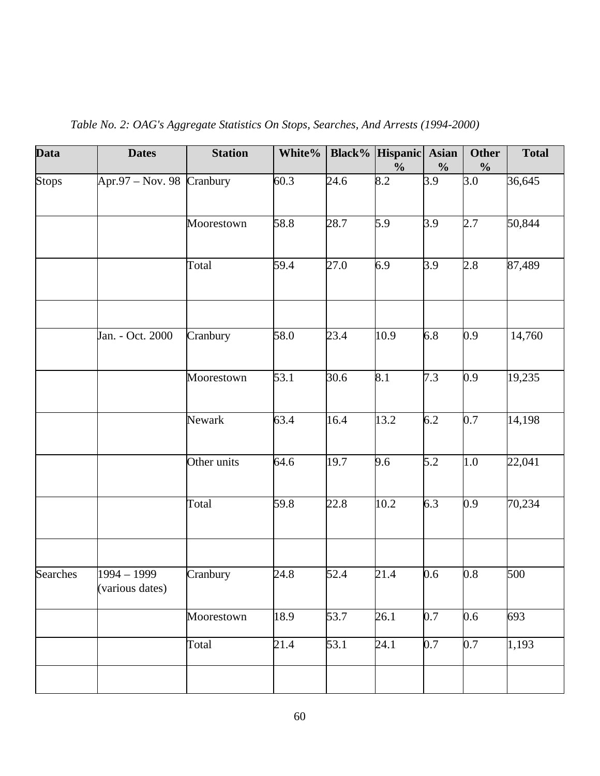| <b>Data</b>     | <b>Dates</b>                   | <b>Station</b> | White% |                   | Black% Hispanic<br>$\frac{0}{0}$ | <b>Asian</b><br>$\frac{0}{0}$ | <b>Other</b><br>$\frac{0}{0}$ | <b>Total</b> |
|-----------------|--------------------------------|----------------|--------|-------------------|----------------------------------|-------------------------------|-------------------------------|--------------|
| <b>Stops</b>    | Apr.97 – Nov. 98 Cranbury      |                | 60.3   | 24.6              | 8.2                              | 3.9                           | 3.0                           | 36,645       |
|                 |                                | Moorestown     | 58.8   | 28.7              | 5.9                              | 3.9                           | 2.7                           | 50,844       |
|                 |                                | Total          | 59.4   | 27.0              | 6.9                              | 3.9                           | 2.8                           | 87,489       |
|                 | Jan. - Oct. 2000               | Cranbury       | 58.0   | 23.4              | 10.9                             | 6.8                           | 0.9                           | 14,760       |
|                 |                                |                |        |                   |                                  |                               |                               |              |
|                 |                                | Moorestown     | 53.1   | 30.6              | 8.1                              | 7.3                           | 0.9                           | 19,235       |
|                 |                                | Newark         | 63.4   | 16.4              | 13.2                             | 6.2                           | 0.7                           | 14,198       |
|                 |                                | Other units    | 64.6   | 19.7              | 9.6                              | 5.2                           | 1.0                           | 22,041       |
|                 |                                | Total          | 59.8   | 22.8              | 10.2                             | 6.3                           | 0.9                           | 70,234       |
|                 |                                |                |        |                   |                                  |                               |                               |              |
| <b>Searches</b> | 1994 - 1999<br>(various dates) | Cranbury       | 24.8   | 52.4              | 21.4                             | 0.6                           | 0.8                           | 500          |
|                 |                                | Moorestown     | 18.9   | 53.7              | 26.1                             | 0.7                           | 0.6                           | 693          |
|                 |                                | Total          | 21.4   | $\overline{53.1}$ | 24.1                             | 0.7                           | 0.7                           | 1,193        |
|                 |                                |                |        |                   |                                  |                               |                               |              |

*Table No. 2: OAG's Aggregate Statistics On Stops, Searches, And Arrests (1994-2000)*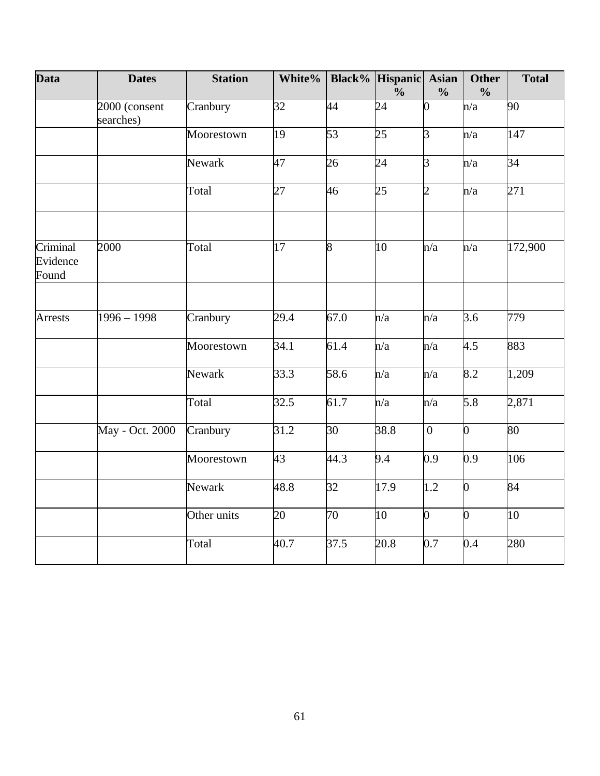| <b>Data</b>                   | <b>Dates</b>               | <b>Station</b> | White%          |                 | <b>Black%</b> Hispanic Asian<br>$\frac{0}{0}$ | $\frac{0}{0}$    | <b>Other</b><br>$\frac{0}{0}$ | <b>Total</b> |
|-------------------------------|----------------------------|----------------|-----------------|-----------------|-----------------------------------------------|------------------|-------------------------------|--------------|
|                               | 2000 (consent<br>searches) | Cranbury       | 32              | 44              | 24                                            | 0                | n/a                           | 90           |
|                               |                            | Moorestown     | 19              | $\overline{53}$ | 25                                            | $\overline{3}$   | n/a                           | 147          |
|                               |                            | Newark         | 47              | 26              | 24                                            | 3                | n/a                           | 34           |
|                               |                            | Total          | 27              | 46              | 25                                            | $\overline{2}$   | n/a                           | 271          |
| Criminal<br>Evidence<br>Found | 2000                       | Total          | $\overline{17}$ | $\overline{8}$  | 10                                            | n/a              | n/a                           | 172,900      |
|                               |                            |                |                 |                 |                                               |                  |                               |              |
| <b>Arrests</b>                | $1996 - 1998$              | Cranbury       | 29.4            | 67.0            | n/a                                           | n/a              | 3.6                           | 779          |
|                               |                            | Moorestown     | 34.1            | 61.4            | n/a                                           | n/a              | 4.5                           | 883          |
|                               |                            | Newark         | 33.3            | 58.6            | n/a                                           | n/a              | 8.2                           | 1,209        |
|                               |                            | Total          | 32.5            | 61.7            | n/a                                           | n/a              | 5.8                           | 2,871        |
|                               | May - Oct. 2000            | Cranbury       | 31.2            | 30              | 38.8                                          | $\boldsymbol{0}$ | $\overline{0}$                | 80           |
|                               |                            | Moorestown     | 43              | 44.3            | 9.4                                           | 0.9              | 0.9                           | 106          |
|                               |                            | Newark         | 48.8            | 32              | 17.9                                          | 1.2              | $\overline{0}$                | 84           |
|                               |                            | Other units    | 20              | $\overline{70}$ | 10                                            | $\overline{0}$   | $\overline{0}$                | 10           |
|                               |                            | Total          | 40.7            | 37.5            | 20.8                                          | 0.7              | 0.4                           | 280          |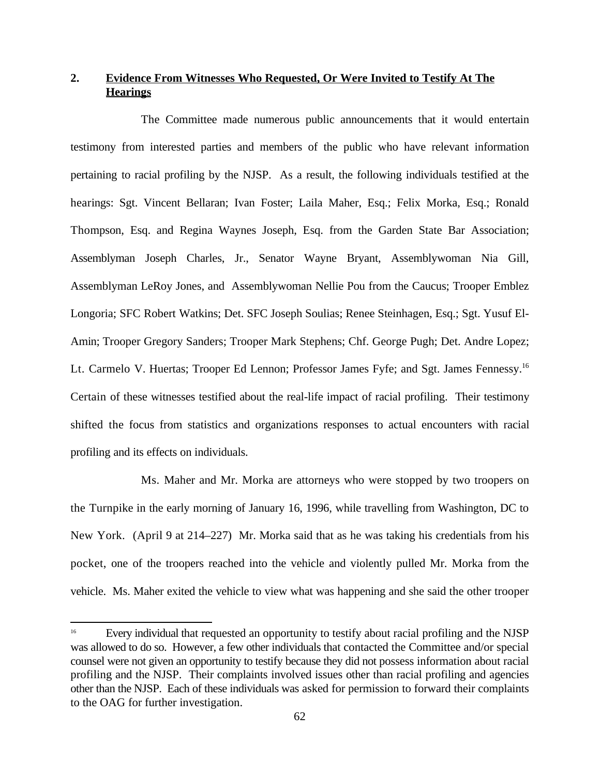# **2. Evidence From Witnesses Who Requested, Or Were Invited to Testify At The Hearings**

The Committee made numerous public announcements that it would entertain testimony from interested parties and members of the public who have relevant information pertaining to racial profiling by the NJSP. As a result, the following individuals testified at the hearings: Sgt. Vincent Bellaran; Ivan Foster; Laila Maher, Esq.; Felix Morka, Esq.; Ronald Thompson, Esq. and Regina Waynes Joseph, Esq. from the Garden State Bar Association; Assemblyman Joseph Charles, Jr., Senator Wayne Bryant, Assemblywoman Nia Gill, Assemblyman LeRoy Jones, and Assemblywoman Nellie Pou from the Caucus; Trooper Emblez Longoria; SFC Robert Watkins; Det. SFC Joseph Soulias; Renee Steinhagen, Esq.; Sgt. Yusuf El-Amin; Trooper Gregory Sanders; Trooper Mark Stephens; Chf. George Pugh; Det. Andre Lopez; Lt. Carmelo V. Huertas; Trooper Ed Lennon; Professor James Fyfe; and Sgt. James Fennessy.<sup>16</sup> Certain of these witnesses testified about the real-life impact of racial profiling. Their testimony shifted the focus from statistics and organizations responses to actual encounters with racial profiling and its effects on individuals.

Ms. Maher and Mr. Morka are attorneys who were stopped by two troopers on the Turnpike in the early morning of January 16, 1996, while travelling from Washington, DC to New York. (April 9 at 214–227) Mr. Morka said that as he was taking his credentials from his pocket, one of the troopers reached into the vehicle and violently pulled Mr. Morka from the vehicle. Ms. Maher exited the vehicle to view what was happening and she said the other trooper

Every individual that requested an opportunity to testify about racial profiling and the NJSP <sup>16</sup> was allowed to do so. However, a few other individuals that contacted the Committee and/or special counsel were not given an opportunity to testify because they did not possess information about racial profiling and the NJSP. Their complaints involved issues other than racial profiling and agencies other than the NJSP. Each of these individuals was asked for permission to forward their complaints to the OAG for further investigation.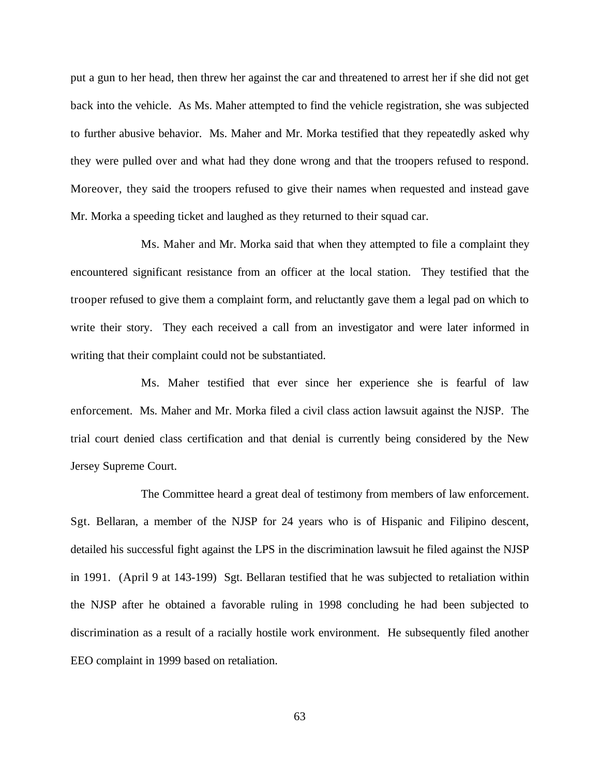put a gun to her head, then threw her against the car and threatened to arrest her if she did not get back into the vehicle. As Ms. Maher attempted to find the vehicle registration, she was subjected to further abusive behavior. Ms. Maher and Mr. Morka testified that they repeatedly asked why they were pulled over and what had they done wrong and that the troopers refused to respond. Moreover, they said the troopers refused to give their names when requested and instead gave Mr. Morka a speeding ticket and laughed as they returned to their squad car.

Ms. Maher and Mr. Morka said that when they attempted to file a complaint they encountered significant resistance from an officer at the local station. They testified that the trooper refused to give them a complaint form, and reluctantly gave them a legal pad on which to write their story. They each received a call from an investigator and were later informed in writing that their complaint could not be substantiated.

Ms. Maher testified that ever since her experience she is fearful of law enforcement. Ms. Maher and Mr. Morka filed a civil class action lawsuit against the NJSP. The trial court denied class certification and that denial is currently being considered by the New Jersey Supreme Court.

The Committee heard a great deal of testimony from members of law enforcement. Sgt. Bellaran, a member of the NJSP for 24 years who is of Hispanic and Filipino descent, detailed his successful fight against the LPS in the discrimination lawsuit he filed against the NJSP in 1991. (April 9 at 143-199) Sgt. Bellaran testified that he was subjected to retaliation within the NJSP after he obtained a favorable ruling in 1998 concluding he had been subjected to discrimination as a result of a racially hostile work environment. He subsequently filed another EEO complaint in 1999 based on retaliation.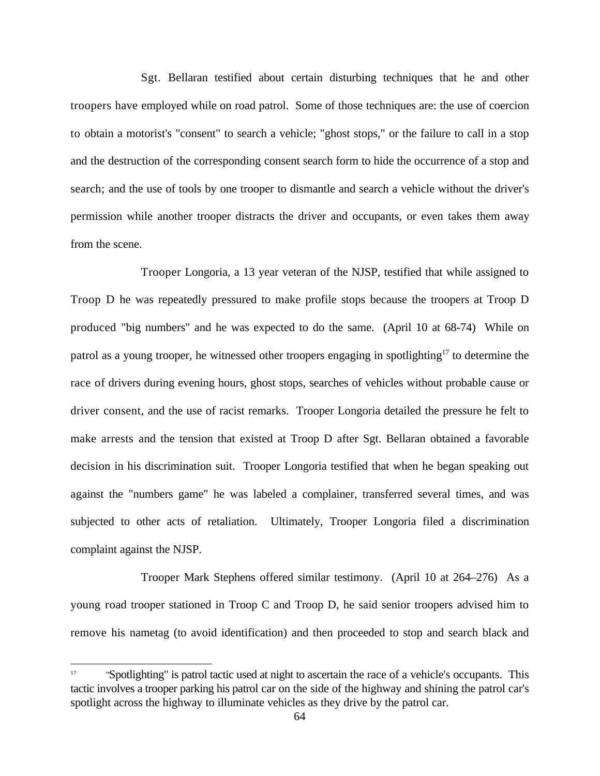Sgt. Bellaran testified about certain disturbing techniques that he and other troopers have employed while on road patrol. Some of those techniques are: the use of coercion to obtain a motorist's "consent" to search a vehicle; "ghost stops," or the failure to call in a stop and the destruction of the corresponding consent search form to hide the occurrence of a stop and search; and the use of tools by one trooper to dismantle and search a vehicle without the driver's permission while another trooper distracts the driver and occupants, or even takes them away from the scene.

Trooper Longoria, a 13 year veteran of the NJSP, testified that while assigned to Troop D he was repeatedly pressured to make profile stops because the troopers at Troop D produced "big numbers" and he was expected to do the same. (April 10 at 68-74) While on patrol as a young trooper, he witnessed other troopers engaging in spotlighting<sup>17</sup> to determine the race of drivers during evening hours, ghost stops, searches of vehicles without probable cause or driver consent, and the use of racist remarks. Trooper Longoria detailed the pressure he felt to make arrests and the tension that existed at Troop D after Sgt. Bellaran obtained a favorable decision in his discrimination suit. Trooper Longoria testified that when he began speaking out against the "numbers game" he was labeled a complainer, transferred several times, and was subjected to other acts of retaliation. Ultimately, Trooper Longoria filed a discrimination complaint against the NJSP.

Trooper Mark Stephens offered similar testimony. (April 10 at 264–276) As a young road trooper stationed in Troop C and Troop D, he said senior troopers advised him to remove his nametag (to avoid identification) and then proceeded to stop and search black and

<sup>&</sup>quot;Spotlighting" is patrol tactic used at night to ascertain the race of a vehicle's occupants. This <sup>17</sup> tactic involves a trooper parking his patrol car on the side of the highway and shining the patrol car's spotlight across the highway to illuminate vehicles as they drive by the patrol car.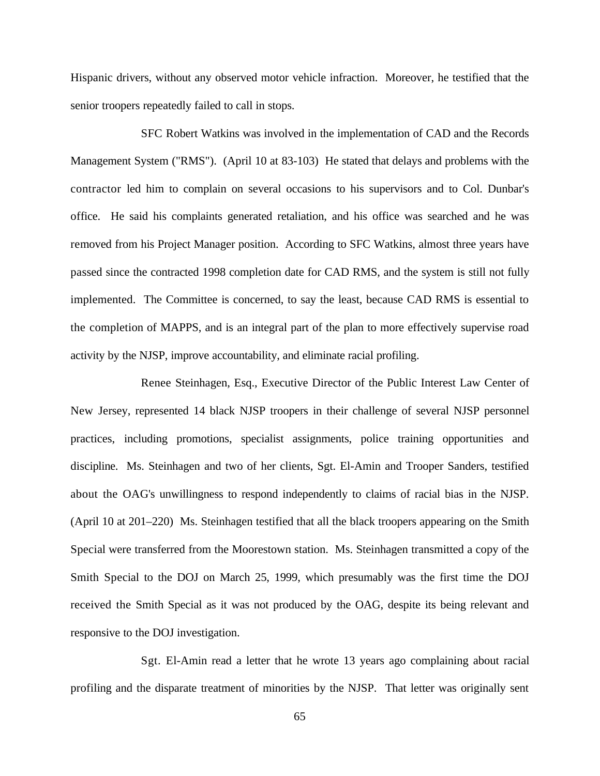Hispanic drivers, without any observed motor vehicle infraction. Moreover, he testified that the senior troopers repeatedly failed to call in stops.

SFC Robert Watkins was involved in the implementation of CAD and the Records Management System ("RMS"). (April 10 at 83-103) He stated that delays and problems with the contractor led him to complain on several occasions to his supervisors and to Col. Dunbar's office. He said his complaints generated retaliation, and his office was searched and he was removed from his Project Manager position. According to SFC Watkins, almost three years have passed since the contracted 1998 completion date for CAD RMS, and the system is still not fully implemented. The Committee is concerned, to say the least, because CAD RMS is essential to the completion of MAPPS, and is an integral part of the plan to more effectively supervise road activity by the NJSP, improve accountability, and eliminate racial profiling.

Renee Steinhagen, Esq., Executive Director of the Public Interest Law Center of New Jersey, represented 14 black NJSP troopers in their challenge of several NJSP personnel practices, including promotions, specialist assignments, police training opportunities and discipline. Ms. Steinhagen and two of her clients, Sgt. El-Amin and Trooper Sanders, testified about the OAG's unwillingness to respond independently to claims of racial bias in the NJSP. (April 10 at 201–220) Ms. Steinhagen testified that all the black troopers appearing on the Smith Special were transferred from the Moorestown station. Ms. Steinhagen transmitted a copy of the Smith Special to the DOJ on March 25, 1999, which presumably was the first time the DOJ received the Smith Special as it was not produced by the OAG, despite its being relevant and responsive to the DOJ investigation.

Sgt. El-Amin read a letter that he wrote 13 years ago complaining about racial profiling and the disparate treatment of minorities by the NJSP. That letter was originally sent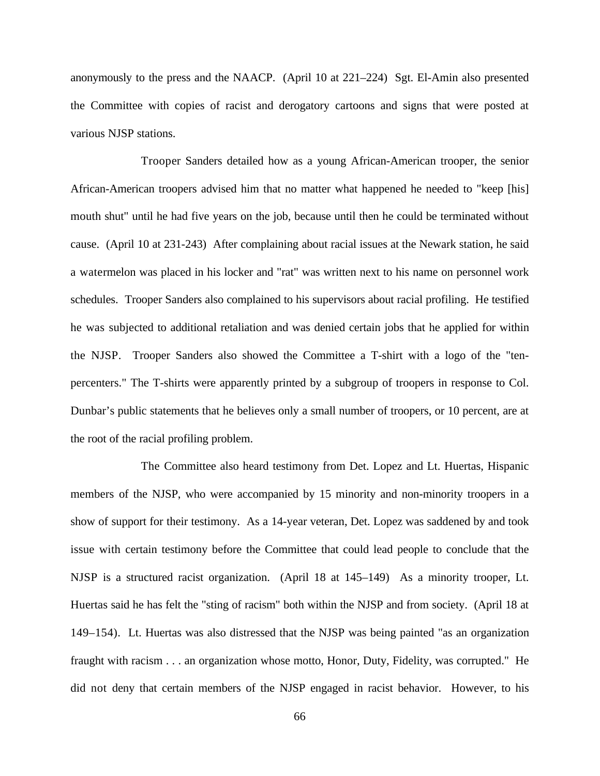anonymously to the press and the NAACP. (April 10 at 221–224) Sgt. El-Amin also presented the Committee with copies of racist and derogatory cartoons and signs that were posted at various NJSP stations.

Trooper Sanders detailed how as a young African-American trooper, the senior African-American troopers advised him that no matter what happened he needed to "keep [his] mouth shut" until he had five years on the job, because until then he could be terminated without cause. (April 10 at 231-243) After complaining about racial issues at the Newark station, he said a watermelon was placed in his locker and "rat" was written next to his name on personnel work schedules. Trooper Sanders also complained to his supervisors about racial profiling. He testified he was subjected to additional retaliation and was denied certain jobs that he applied for within the NJSP. Trooper Sanders also showed the Committee a T-shirt with a logo of the "tenpercenters." The T-shirts were apparently printed by a subgroup of troopers in response to Col. Dunbar's public statements that he believes only a small number of troopers, or 10 percent, are at the root of the racial profiling problem.

The Committee also heard testimony from Det. Lopez and Lt. Huertas, Hispanic members of the NJSP, who were accompanied by 15 minority and non-minority troopers in a show of support for their testimony. As a 14-year veteran, Det. Lopez was saddened by and took issue with certain testimony before the Committee that could lead people to conclude that the NJSP is a structured racist organization. (April 18 at 145–149) As a minority trooper, Lt. Huertas said he has felt the "sting of racism" both within the NJSP and from society. (April 18 at 149–154). Lt. Huertas was also distressed that the NJSP was being painted "as an organization fraught with racism . . . an organization whose motto, Honor, Duty, Fidelity, was corrupted." He did not deny that certain members of the NJSP engaged in racist behavior. However, to his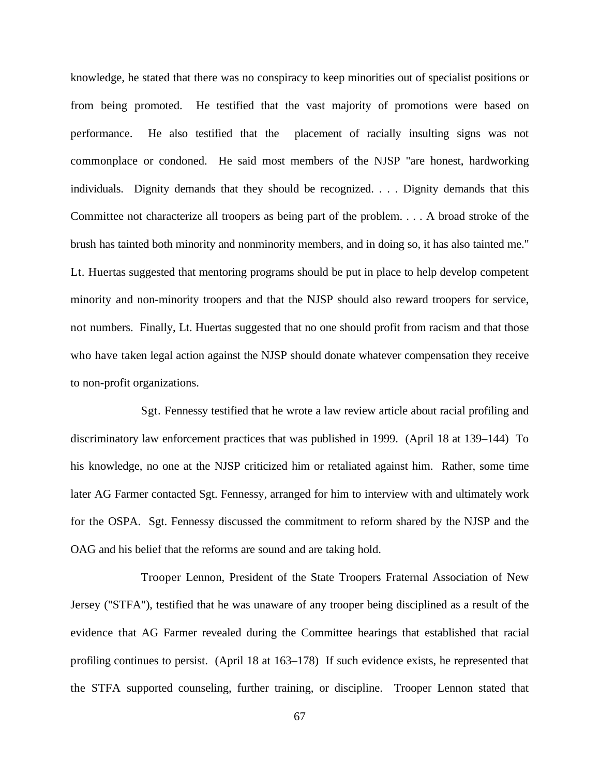knowledge, he stated that there was no conspiracy to keep minorities out of specialist positions or from being promoted. He testified that the vast majority of promotions were based on performance. He also testified that the placement of racially insulting signs was not commonplace or condoned. He said most members of the NJSP "are honest, hardworking individuals. Dignity demands that they should be recognized. . . . Dignity demands that this Committee not characterize all troopers as being part of the problem. . . . A broad stroke of the brush has tainted both minority and nonminority members, and in doing so, it has also tainted me." Lt. Huertas suggested that mentoring programs should be put in place to help develop competent minority and non-minority troopers and that the NJSP should also reward troopers for service, not numbers. Finally, Lt. Huertas suggested that no one should profit from racism and that those who have taken legal action against the NJSP should donate whatever compensation they receive to non-profit organizations.

Sgt. Fennessy testified that he wrote a law review article about racial profiling and discriminatory law enforcement practices that was published in 1999. (April 18 at 139–144) To his knowledge, no one at the NJSP criticized him or retaliated against him. Rather, some time later AG Farmer contacted Sgt. Fennessy, arranged for him to interview with and ultimately work for the OSPA. Sgt. Fennessy discussed the commitment to reform shared by the NJSP and the OAG and his belief that the reforms are sound and are taking hold.

Trooper Lennon, President of the State Troopers Fraternal Association of New Jersey ("STFA"), testified that he was unaware of any trooper being disciplined as a result of the evidence that AG Farmer revealed during the Committee hearings that established that racial profiling continues to persist. (April 18 at 163–178) If such evidence exists, he represented that the STFA supported counseling, further training, or discipline. Trooper Lennon stated that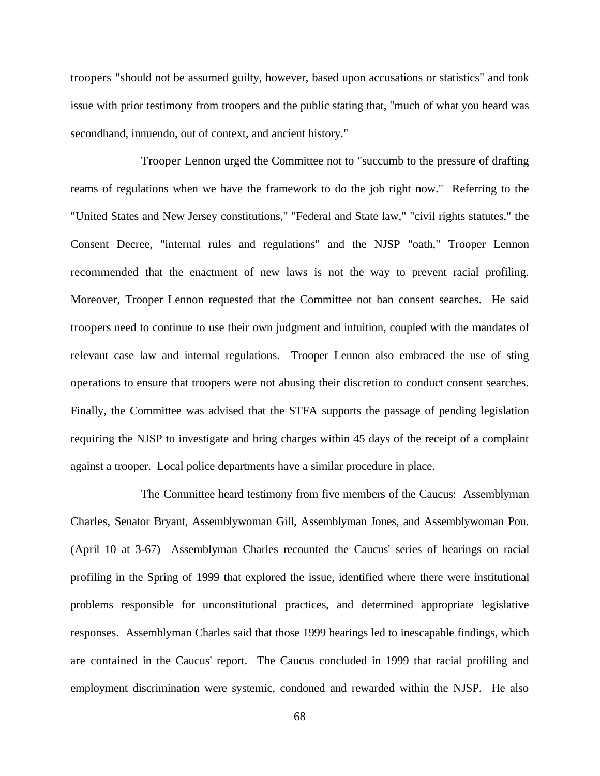troopers "should not be assumed guilty, however, based upon accusations or statistics" and took issue with prior testimony from troopers and the public stating that, "much of what you heard was secondhand, innuendo, out of context, and ancient history."

Trooper Lennon urged the Committee not to "succumb to the pressure of drafting reams of regulations when we have the framework to do the job right now." Referring to the "United States and New Jersey constitutions," "Federal and State law," "civil rights statutes," the Consent Decree, "internal rules and regulations" and the NJSP "oath," Trooper Lennon recommended that the enactment of new laws is not the way to prevent racial profiling. Moreover, Trooper Lennon requested that the Committee not ban consent searches. He said troopers need to continue to use their own judgment and intuition, coupled with the mandates of relevant case law and internal regulations. Trooper Lennon also embraced the use of sting operations to ensure that troopers were not abusing their discretion to conduct consent searches. Finally, the Committee was advised that the STFA supports the passage of pending legislation requiring the NJSP to investigate and bring charges within 45 days of the receipt of a complaint against a trooper. Local police departments have a similar procedure in place.

The Committee heard testimony from five members of the Caucus: Assemblyman Charles, Senator Bryant, Assemblywoman Gill, Assemblyman Jones, and Assemblywoman Pou. (April 10 at 3-67) Assemblyman Charles recounted the Caucus' series of hearings on racial profiling in the Spring of 1999 that explored the issue, identified where there were institutional problems responsible for unconstitutional practices, and determined appropriate legislative responses. Assemblyman Charles said that those 1999 hearings led to inescapable findings, which are contained in the Caucus' report. The Caucus concluded in 1999 that racial profiling and employment discrimination were systemic, condoned and rewarded within the NJSP. He also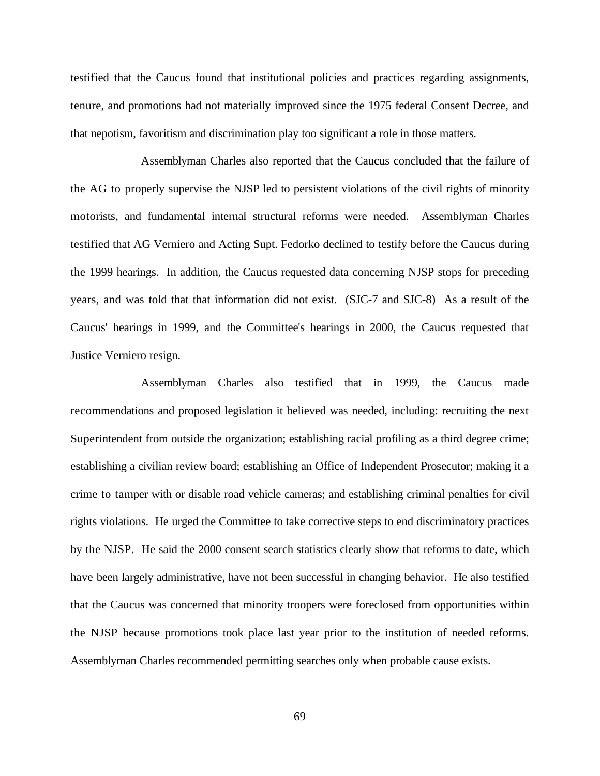testified that the Caucus found that institutional policies and practices regarding assignments, tenure, and promotions had not materially improved since the 1975 federal Consent Decree, and that nepotism, favoritism and discrimination play too significant a role in those matters.

Assemblyman Charles also reported that the Caucus concluded that the failure of the AG to properly supervise the NJSP led to persistent violations of the civil rights of minority motorists, and fundamental internal structural reforms were needed. Assemblyman Charles testified that AG Verniero and Acting Supt. Fedorko declined to testify before the Caucus during the 1999 hearings. In addition, the Caucus requested data concerning NJSP stops for preceding years, and was told that that information did not exist. (SJC-7 and SJC-8) As a result of the Caucus' hearings in 1999, and the Committee's hearings in 2000, the Caucus requested that Justice Verniero resign.

Assemblyman Charles also testified that in 1999, the Caucus made recommendations and proposed legislation it believed was needed, including: recruiting the next Superintendent from outside the organization; establishing racial profiling as a third degree crime; establishing a civilian review board; establishing an Office of Independent Prosecutor; making it a crime to tamper with or disable road vehicle cameras; and establishing criminal penalties for civil rights violations. He urged the Committee to take corrective steps to end discriminatory practices by the NJSP. He said the 2000 consent search statistics clearly show that reforms to date, which have been largely administrative, have not been successful in changing behavior. He also testified that the Caucus was concerned that minority troopers were foreclosed from opportunities within the NJSP because promotions took place last year prior to the institution of needed reforms. Assemblyman Charles recommended permitting searches only when probable cause exists.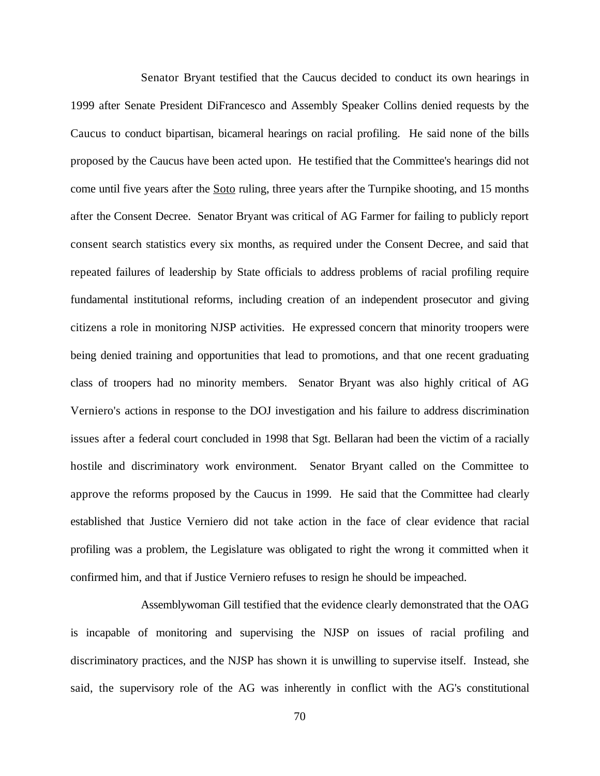Senator Bryant testified that the Caucus decided to conduct its own hearings in 1999 after Senate President DiFrancesco and Assembly Speaker Collins denied requests by the Caucus to conduct bipartisan, bicameral hearings on racial profiling. He said none of the bills proposed by the Caucus have been acted upon. He testified that the Committee's hearings did not come until five years after the Soto ruling, three years after the Turnpike shooting, and 15 months after the Consent Decree. Senator Bryant was critical of AG Farmer for failing to publicly report consent search statistics every six months, as required under the Consent Decree, and said that repeated failures of leadership by State officials to address problems of racial profiling require fundamental institutional reforms, including creation of an independent prosecutor and giving citizens a role in monitoring NJSP activities. He expressed concern that minority troopers were being denied training and opportunities that lead to promotions, and that one recent graduating class of troopers had no minority members. Senator Bryant was also highly critical of AG Verniero's actions in response to the DOJ investigation and his failure to address discrimination issues after a federal court concluded in 1998 that Sgt. Bellaran had been the victim of a racially hostile and discriminatory work environment. Senator Bryant called on the Committee to approve the reforms proposed by the Caucus in 1999. He said that the Committee had clearly established that Justice Verniero did not take action in the face of clear evidence that racial profiling was a problem, the Legislature was obligated to right the wrong it committed when it confirmed him, and that if Justice Verniero refuses to resign he should be impeached.

Assemblywoman Gill testified that the evidence clearly demonstrated that the OAG is incapable of monitoring and supervising the NJSP on issues of racial profiling and discriminatory practices, and the NJSP has shown it is unwilling to supervise itself. Instead, she said, the supervisory role of the AG was inherently in conflict with the AG's constitutional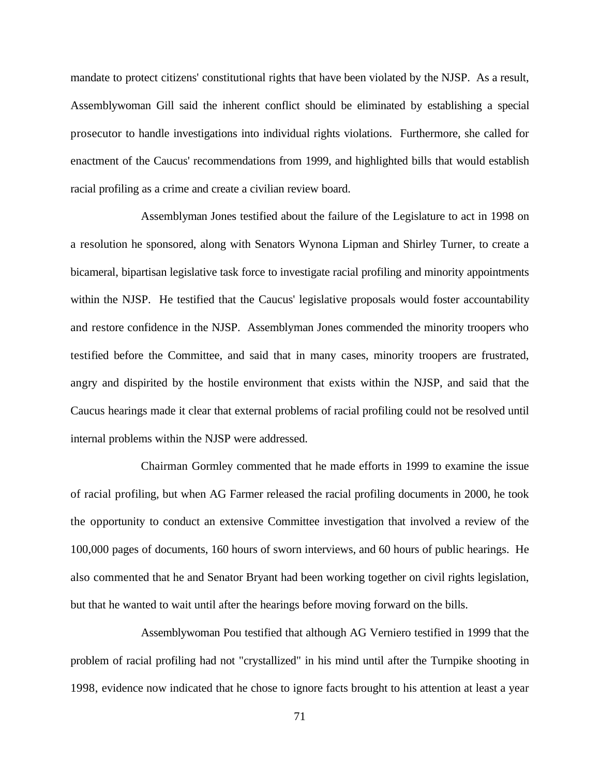mandate to protect citizens' constitutional rights that have been violated by the NJSP. As a result, Assemblywoman Gill said the inherent conflict should be eliminated by establishing a special prosecutor to handle investigations into individual rights violations. Furthermore, she called for enactment of the Caucus' recommendations from 1999, and highlighted bills that would establish racial profiling as a crime and create a civilian review board.

Assemblyman Jones testified about the failure of the Legislature to act in 1998 on a resolution he sponsored, along with Senators Wynona Lipman and Shirley Turner, to create a bicameral, bipartisan legislative task force to investigate racial profiling and minority appointments within the NJSP. He testified that the Caucus' legislative proposals would foster accountability and restore confidence in the NJSP. Assemblyman Jones commended the minority troopers who testified before the Committee, and said that in many cases, minority troopers are frustrated, angry and dispirited by the hostile environment that exists within the NJSP, and said that the Caucus hearings made it clear that external problems of racial profiling could not be resolved until internal problems within the NJSP were addressed.

Chairman Gormley commented that he made efforts in 1999 to examine the issue of racial profiling, but when AG Farmer released the racial profiling documents in 2000, he took the opportunity to conduct an extensive Committee investigation that involved a review of the 100,000 pages of documents, 160 hours of sworn interviews, and 60 hours of public hearings. He also commented that he and Senator Bryant had been working together on civil rights legislation, but that he wanted to wait until after the hearings before moving forward on the bills.

Assemblywoman Pou testified that although AG Verniero testified in 1999 that the problem of racial profiling had not "crystallized" in his mind until after the Turnpike shooting in 1998, evidence now indicated that he chose to ignore facts brought to his attention at least a year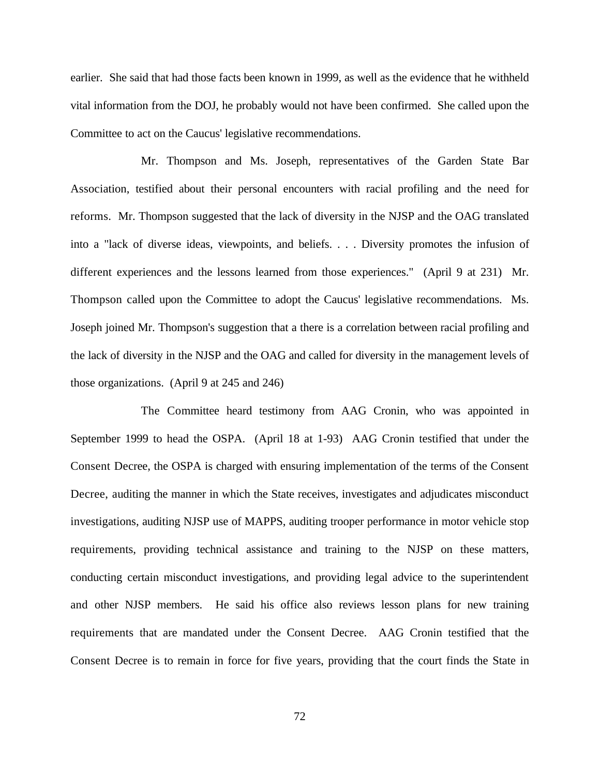earlier. She said that had those facts been known in 1999, as well as the evidence that he withheld vital information from the DOJ, he probably would not have been confirmed. She called upon the Committee to act on the Caucus' legislative recommendations.

Mr. Thompson and Ms. Joseph, representatives of the Garden State Bar Association, testified about their personal encounters with racial profiling and the need for reforms. Mr. Thompson suggested that the lack of diversity in the NJSP and the OAG translated into a "lack of diverse ideas, viewpoints, and beliefs. . . . Diversity promotes the infusion of different experiences and the lessons learned from those experiences." (April 9 at 231) Mr. Thompson called upon the Committee to adopt the Caucus' legislative recommendations. Ms. Joseph joined Mr. Thompson's suggestion that a there is a correlation between racial profiling and the lack of diversity in the NJSP and the OAG and called for diversity in the management levels of those organizations. (April 9 at 245 and 246)

The Committee heard testimony from AAG Cronin, who was appointed in September 1999 to head the OSPA. (April 18 at 1-93) AAG Cronin testified that under the Consent Decree, the OSPA is charged with ensuring implementation of the terms of the Consent Decree, auditing the manner in which the State receives, investigates and adjudicates misconduct investigations, auditing NJSP use of MAPPS, auditing trooper performance in motor vehicle stop requirements, providing technical assistance and training to the NJSP on these matters, conducting certain misconduct investigations, and providing legal advice to the superintendent and other NJSP members. He said his office also reviews lesson plans for new training requirements that are mandated under the Consent Decree. AAG Cronin testified that the Consent Decree is to remain in force for five years, providing that the court finds the State in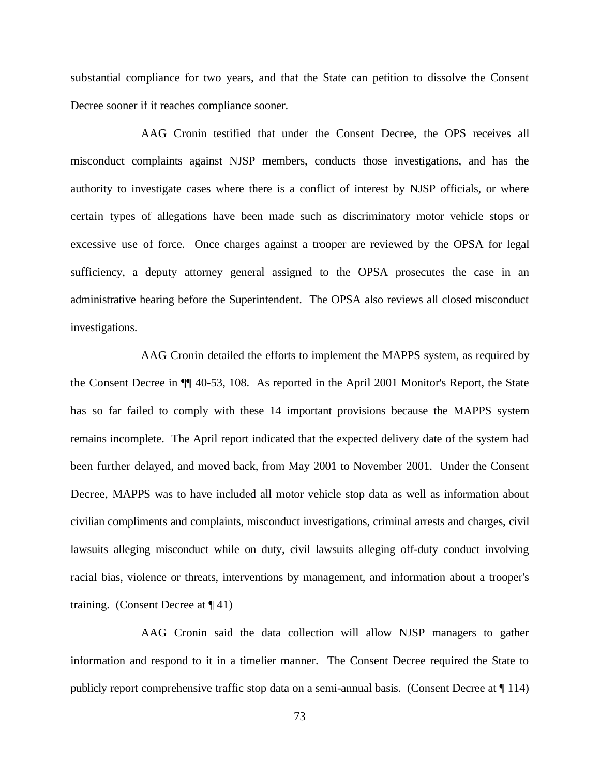substantial compliance for two years, and that the State can petition to dissolve the Consent Decree sooner if it reaches compliance sooner.

AAG Cronin testified that under the Consent Decree, the OPS receives all misconduct complaints against NJSP members, conducts those investigations, and has the authority to investigate cases where there is a conflict of interest by NJSP officials, or where certain types of allegations have been made such as discriminatory motor vehicle stops or excessive use of force. Once charges against a trooper are reviewed by the OPSA for legal sufficiency, a deputy attorney general assigned to the OPSA prosecutes the case in an administrative hearing before the Superintendent. The OPSA also reviews all closed misconduct investigations.

AAG Cronin detailed the efforts to implement the MAPPS system, as required by the Consent Decree in ¶¶ 40-53, 108. As reported in the April 2001 Monitor's Report, the State has so far failed to comply with these 14 important provisions because the MAPPS system remains incomplete. The April report indicated that the expected delivery date of the system had been further delayed, and moved back, from May 2001 to November 2001. Under the Consent Decree, MAPPS was to have included all motor vehicle stop data as well as information about civilian compliments and complaints, misconduct investigations, criminal arrests and charges, civil lawsuits alleging misconduct while on duty, civil lawsuits alleging off-duty conduct involving racial bias, violence or threats, interventions by management, and information about a trooper's training. (Consent Decree at  $\P$  41)

AAG Cronin said the data collection will allow NJSP managers to gather information and respond to it in a timelier manner. The Consent Decree required the State to publicly report comprehensive traffic stop data on a semi-annual basis. (Consent Decree at ¶ 114)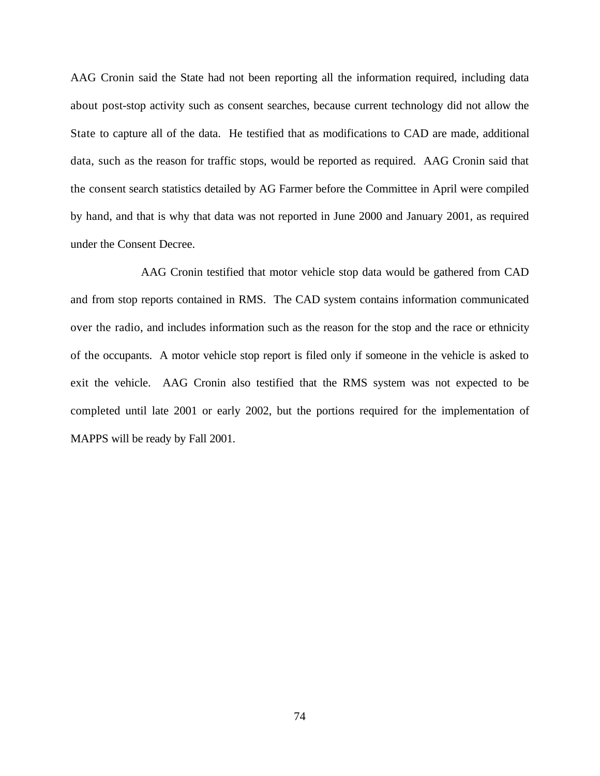AAG Cronin said the State had not been reporting all the information required, including data about post-stop activity such as consent searches, because current technology did not allow the State to capture all of the data. He testified that as modifications to CAD are made, additional data, such as the reason for traffic stops, would be reported as required. AAG Cronin said that the consent search statistics detailed by AG Farmer before the Committee in April were compiled by hand, and that is why that data was not reported in June 2000 and January 2001, as required under the Consent Decree.

AAG Cronin testified that motor vehicle stop data would be gathered from CAD and from stop reports contained in RMS. The CAD system contains information communicated over the radio, and includes information such as the reason for the stop and the race or ethnicity of the occupants. A motor vehicle stop report is filed only if someone in the vehicle is asked to exit the vehicle. AAG Cronin also testified that the RMS system was not expected to be completed until late 2001 or early 2002, but the portions required for the implementation of MAPPS will be ready by Fall 2001.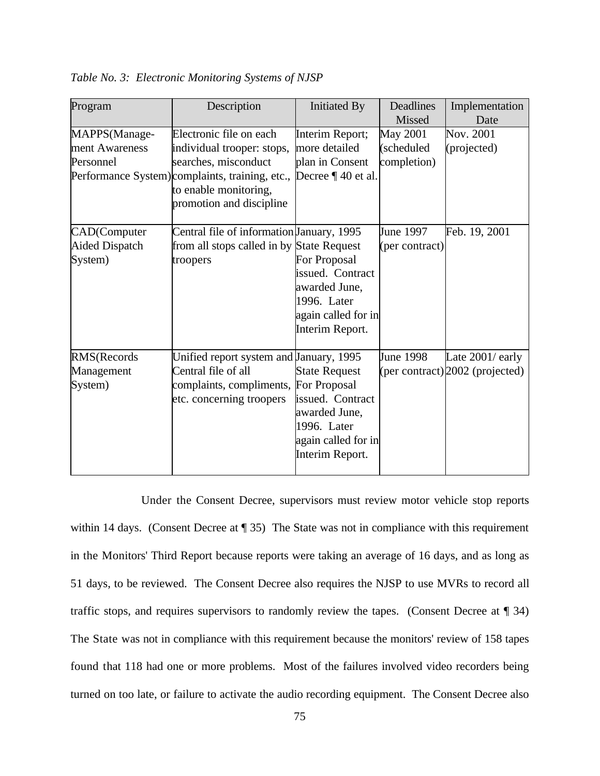| Program                                          | Description                                                                                                                                                                           | <b>Initiated By</b>                                                                                                | Deadlines<br>Missed                          | Implementation<br>Date                                |
|--------------------------------------------------|---------------------------------------------------------------------------------------------------------------------------------------------------------------------------------------|--------------------------------------------------------------------------------------------------------------------|----------------------------------------------|-------------------------------------------------------|
| MAPPS(Manage-<br>ment Awareness<br>Personnel     | Electronic file on each<br>individual trooper: stops,<br>searches, misconduct<br>Performance System) complaints, training, etc.,<br>to enable monitoring,<br>promotion and discipline | Interim Report;<br>more detailed<br>plan in Consent<br>Decree $\P$ 40 et al.                                       | <b>May 2001</b><br>(scheduled<br>completion) | Nov. 2001<br>(projected)                              |
| CAD(Computer<br><b>Aided Dispatch</b><br>System) | Central file of information January, 1995<br>from all stops called in by State Request<br>troopers                                                                                    | For Proposal<br>issued. Contract<br>awarded June,<br>1996. Later<br>again called for in<br>Interim Report.         | June 1997<br>(per contract)                  | Feb. 19, 2001                                         |
| RMS(Records<br>Management<br>System)             | Unified report system and January, 1995<br>Central file of all<br>complaints, compliments, For Proposal<br>etc. concerning troopers                                                   | <b>State Request</b><br>issued. Contract<br>awarded June,<br>1996. Later<br>again called for in<br>Interim Report. | June 1998                                    | Late 2001/ early<br>(per contract) $2002$ (projected) |

*Table No. 3: Electronic Monitoring Systems of NJSP*

Under the Consent Decree, supervisors must review motor vehicle stop reports within 14 days. (Consent Decree at ¶ 35) The State was not in compliance with this requirement in the Monitors' Third Report because reports were taking an average of 16 days, and as long as 51 days, to be reviewed. The Consent Decree also requires the NJSP to use MVRs to record all traffic stops, and requires supervisors to randomly review the tapes. (Consent Decree at ¶ 34) The State was not in compliance with this requirement because the monitors' review of 158 tapes found that 118 had one or more problems. Most of the failures involved video recorders being turned on too late, or failure to activate the audio recording equipment. The Consent Decree also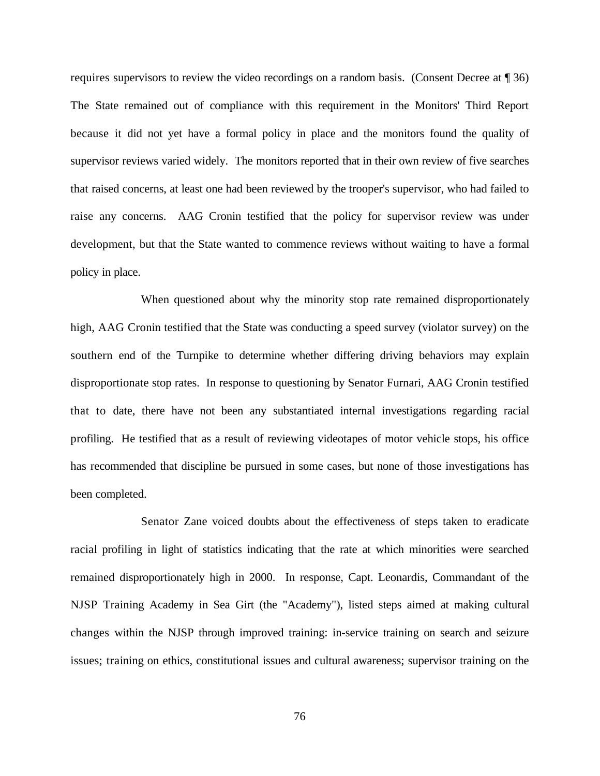requires supervisors to review the video recordings on a random basis. (Consent Decree at ¶ 36) The State remained out of compliance with this requirement in the Monitors' Third Report because it did not yet have a formal policy in place and the monitors found the quality of supervisor reviews varied widely. The monitors reported that in their own review of five searches that raised concerns, at least one had been reviewed by the trooper's supervisor, who had failed to raise any concerns. AAG Cronin testified that the policy for supervisor review was under development, but that the State wanted to commence reviews without waiting to have a formal policy in place.

When questioned about why the minority stop rate remained disproportionately high, AAG Cronin testified that the State was conducting a speed survey (violator survey) on the southern end of the Turnpike to determine whether differing driving behaviors may explain disproportionate stop rates. In response to questioning by Senator Furnari, AAG Cronin testified that to date, there have not been any substantiated internal investigations regarding racial profiling. He testified that as a result of reviewing videotapes of motor vehicle stops, his office has recommended that discipline be pursued in some cases, but none of those investigations has been completed.

Senator Zane voiced doubts about the effectiveness of steps taken to eradicate racial profiling in light of statistics indicating that the rate at which minorities were searched remained disproportionately high in 2000. In response, Capt. Leonardis, Commandant of the NJSP Training Academy in Sea Girt (the "Academy"), listed steps aimed at making cultural changes within the NJSP through improved training: in-service training on search and seizure issues; training on ethics, constitutional issues and cultural awareness; supervisor training on the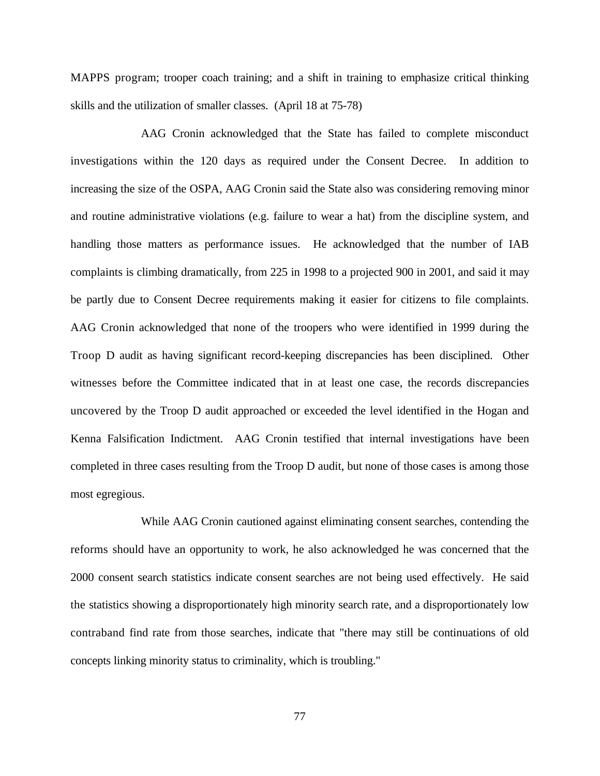MAPPS program; trooper coach training; and a shift in training to emphasize critical thinking skills and the utilization of smaller classes. (April 18 at 75-78)

AAG Cronin acknowledged that the State has failed to complete misconduct investigations within the 120 days as required under the Consent Decree. In addition to increasing the size of the OSPA, AAG Cronin said the State also was considering removing minor and routine administrative violations (e.g. failure to wear a hat) from the discipline system, and handling those matters as performance issues. He acknowledged that the number of IAB complaints is climbing dramatically, from 225 in 1998 to a projected 900 in 2001, and said it may be partly due to Consent Decree requirements making it easier for citizens to file complaints. AAG Cronin acknowledged that none of the troopers who were identified in 1999 during the Troop D audit as having significant record-keeping discrepancies has been disciplined. Other witnesses before the Committee indicated that in at least one case, the records discrepancies uncovered by the Troop D audit approached or exceeded the level identified in the Hogan and Kenna Falsification Indictment. AAG Cronin testified that internal investigations have been completed in three cases resulting from the Troop D audit, but none of those cases is among those most egregious.

While AAG Cronin cautioned against eliminating consent searches, contending the reforms should have an opportunity to work, he also acknowledged he was concerned that the 2000 consent search statistics indicate consent searches are not being used effectively. He said the statistics showing a disproportionately high minority search rate, and a disproportionately low contraband find rate from those searches, indicate that "there may still be continuations of old concepts linking minority status to criminality, which is troubling."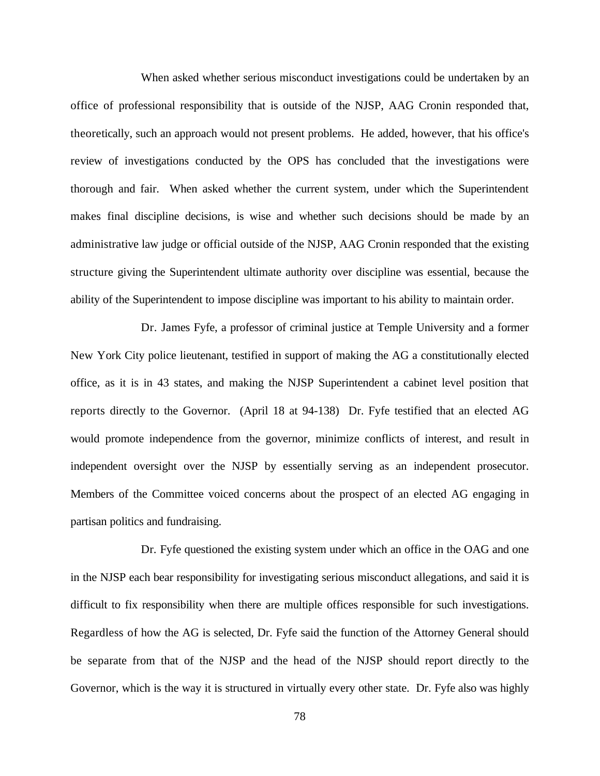When asked whether serious misconduct investigations could be undertaken by an office of professional responsibility that is outside of the NJSP, AAG Cronin responded that, theoretically, such an approach would not present problems. He added, however, that his office's review of investigations conducted by the OPS has concluded that the investigations were thorough and fair. When asked whether the current system, under which the Superintendent makes final discipline decisions, is wise and whether such decisions should be made by an administrative law judge or official outside of the NJSP, AAG Cronin responded that the existing structure giving the Superintendent ultimate authority over discipline was essential, because the ability of the Superintendent to impose discipline was important to his ability to maintain order.

Dr. James Fyfe, a professor of criminal justice at Temple University and a former New York City police lieutenant, testified in support of making the AG a constitutionally elected office, as it is in 43 states, and making the NJSP Superintendent a cabinet level position that reports directly to the Governor. (April 18 at 94-138) Dr. Fyfe testified that an elected AG would promote independence from the governor, minimize conflicts of interest, and result in independent oversight over the NJSP by essentially serving as an independent prosecutor. Members of the Committee voiced concerns about the prospect of an elected AG engaging in partisan politics and fundraising.

Dr. Fyfe questioned the existing system under which an office in the OAG and one in the NJSP each bear responsibility for investigating serious misconduct allegations, and said it is difficult to fix responsibility when there are multiple offices responsible for such investigations. Regardless of how the AG is selected, Dr. Fyfe said the function of the Attorney General should be separate from that of the NJSP and the head of the NJSP should report directly to the Governor, which is the way it is structured in virtually every other state. Dr. Fyfe also was highly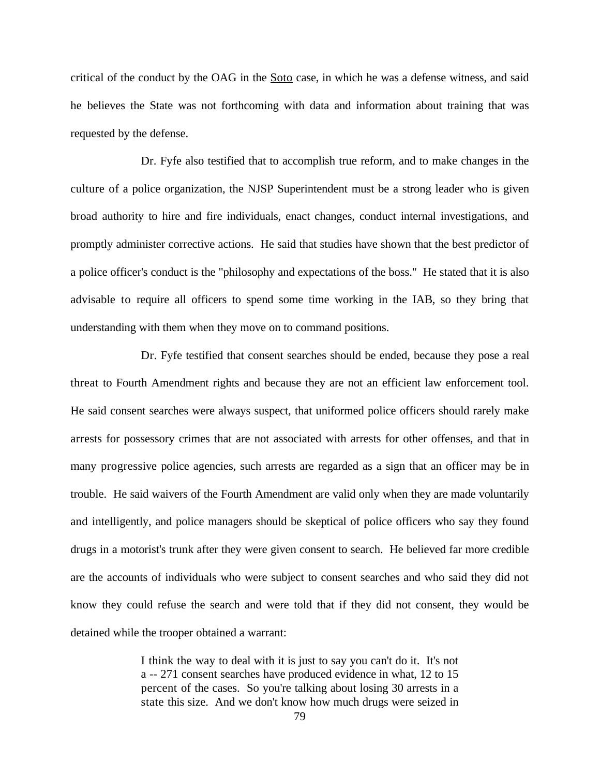critical of the conduct by the OAG in the Soto case, in which he was a defense witness, and said he believes the State was not forthcoming with data and information about training that was requested by the defense.

Dr. Fyfe also testified that to accomplish true reform, and to make changes in the culture of a police organization, the NJSP Superintendent must be a strong leader who is given broad authority to hire and fire individuals, enact changes, conduct internal investigations, and promptly administer corrective actions. He said that studies have shown that the best predictor of a police officer's conduct is the "philosophy and expectations of the boss." He stated that it is also advisable to require all officers to spend some time working in the IAB, so they bring that understanding with them when they move on to command positions.

Dr. Fyfe testified that consent searches should be ended, because they pose a real threat to Fourth Amendment rights and because they are not an efficient law enforcement tool. He said consent searches were always suspect, that uniformed police officers should rarely make arrests for possessory crimes that are not associated with arrests for other offenses, and that in many progressive police agencies, such arrests are regarded as a sign that an officer may be in trouble. He said waivers of the Fourth Amendment are valid only when they are made voluntarily and intelligently, and police managers should be skeptical of police officers who say they found drugs in a motorist's trunk after they were given consent to search. He believed far more credible are the accounts of individuals who were subject to consent searches and who said they did not know they could refuse the search and were told that if they did not consent, they would be detained while the trooper obtained a warrant:

> I think the way to deal with it is just to say you can't do it. It's not a -- 271 consent searches have produced evidence in what, 12 to 15 percent of the cases. So you're talking about losing 30 arrests in a state this size. And we don't know how much drugs were seized in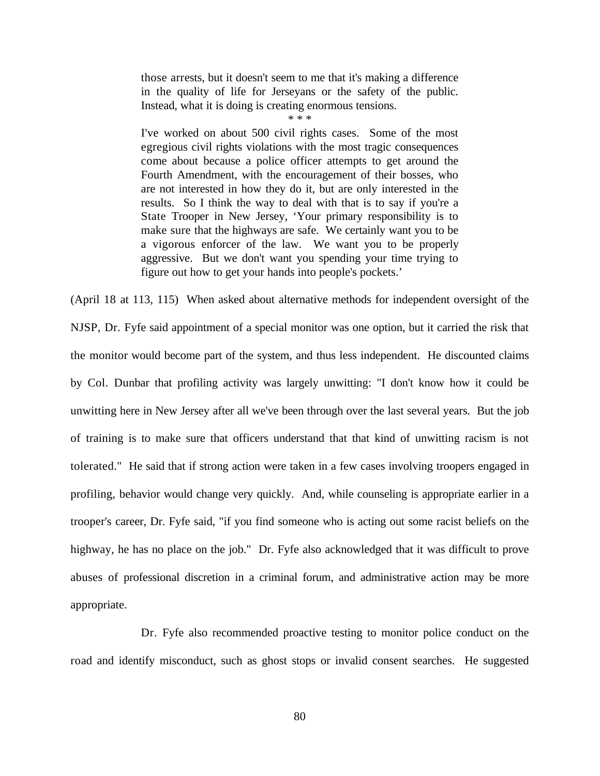those arrests, but it doesn't seem to me that it's making a difference in the quality of life for Jerseyans or the safety of the public. Instead, what it is doing is creating enormous tensions.

\* \* \*

I've worked on about 500 civil rights cases. Some of the most egregious civil rights violations with the most tragic consequences come about because a police officer attempts to get around the Fourth Amendment, with the encouragement of their bosses, who are not interested in how they do it, but are only interested in the results. So I think the way to deal with that is to say if you're a State Trooper in New Jersey, 'Your primary responsibility is to make sure that the highways are safe. We certainly want you to be a vigorous enforcer of the law. We want you to be properly aggressive. But we don't want you spending your time trying to figure out how to get your hands into people's pockets.'

(April 18 at 113, 115) When asked about alternative methods for independent oversight of the NJSP, Dr. Fyfe said appointment of a special monitor was one option, but it carried the risk that the monitor would become part of the system, and thus less independent. He discounted claims by Col. Dunbar that profiling activity was largely unwitting: "I don't know how it could be unwitting here in New Jersey after all we've been through over the last several years. But the job of training is to make sure that officers understand that that kind of unwitting racism is not tolerated." He said that if strong action were taken in a few cases involving troopers engaged in profiling, behavior would change very quickly. And, while counseling is appropriate earlier in a trooper's career, Dr. Fyfe said, "if you find someone who is acting out some racist beliefs on the highway, he has no place on the job." Dr. Fyfe also acknowledged that it was difficult to prove abuses of professional discretion in a criminal forum, and administrative action may be more appropriate.

Dr. Fyfe also recommended proactive testing to monitor police conduct on the road and identify misconduct, such as ghost stops or invalid consent searches. He suggested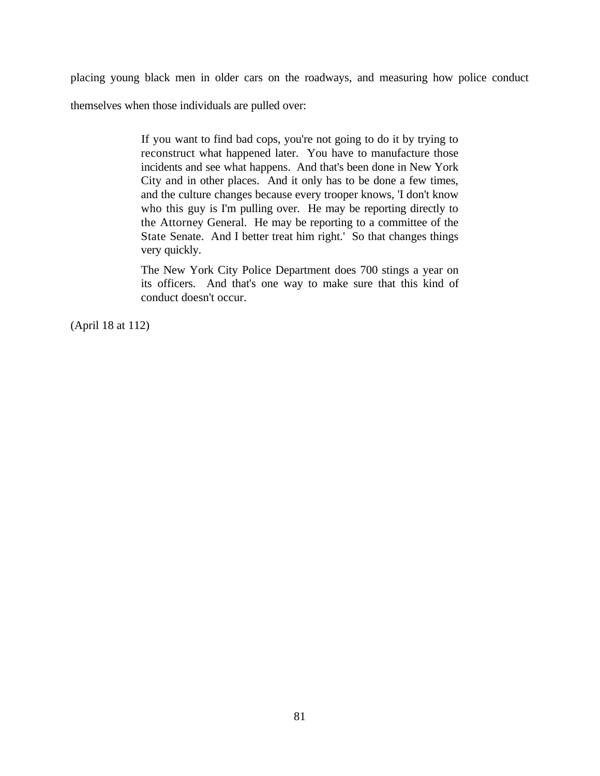placing young black men in older cars on the roadways, and measuring how police conduct

themselves when those individuals are pulled over:

If you want to find bad cops, you're not going to do it by trying to reconstruct what happened later. You have to manufacture those incidents and see what happens. And that's been done in New York City and in other places. And it only has to be done a few times, and the culture changes because every trooper knows, 'I don't know who this guy is I'm pulling over. He may be reporting directly to the Attorney General. He may be reporting to a committee of the State Senate. And I better treat him right.' So that changes things very quickly.

The New York City Police Department does 700 stings a year on its officers. And that's one way to make sure that this kind of conduct doesn't occur.

(April 18 at 112)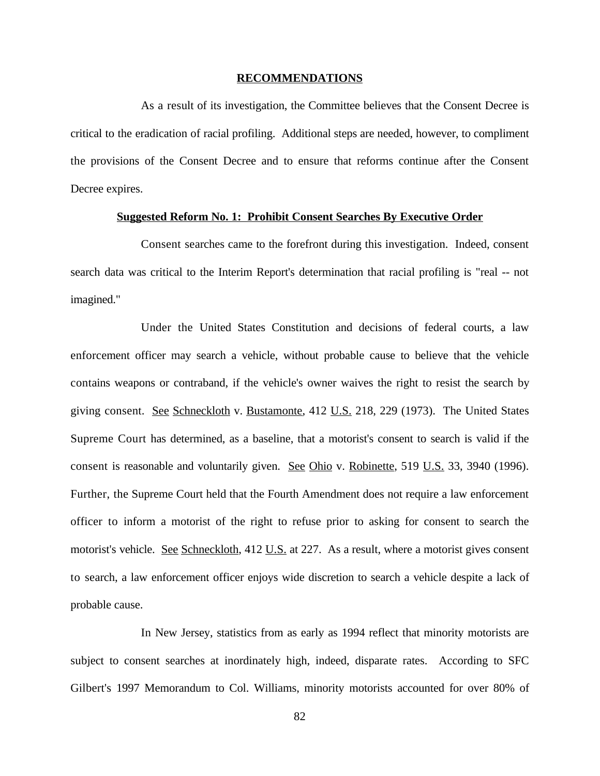#### **RECOMMENDATIONS**

As a result of its investigation, the Committee believes that the Consent Decree is critical to the eradication of racial profiling. Additional steps are needed, however, to compliment the provisions of the Consent Decree and to ensure that reforms continue after the Consent Decree expires.

### **Suggested Reform No. 1: Prohibit Consent Searches By Executive Order**

Consent searches came to the forefront during this investigation. Indeed, consent search data was critical to the Interim Report's determination that racial profiling is "real -- not imagined."

Under the United States Constitution and decisions of federal courts, a law enforcement officer may search a vehicle, without probable cause to believe that the vehicle contains weapons or contraband, if the vehicle's owner waives the right to resist the search by giving consent. See Schneckloth v. Bustamonte, 412 U.S. 218, 229 (1973). The United States Supreme Court has determined, as a baseline, that a motorist's consent to search is valid if the consent is reasonable and voluntarily given. See Ohio v. Robinette, 519 U.S. 33, 3940 (1996). Further, the Supreme Court held that the Fourth Amendment does not require a law enforcement officer to inform a motorist of the right to refuse prior to asking for consent to search the motorist's vehicle. See Schneckloth, 412 U.S. at 227. As a result, where a motorist gives consent to search, a law enforcement officer enjoys wide discretion to search a vehicle despite a lack of probable cause.

In New Jersey, statistics from as early as 1994 reflect that minority motorists are subject to consent searches at inordinately high, indeed, disparate rates. According to SFC Gilbert's 1997 Memorandum to Col. Williams, minority motorists accounted for over 80% of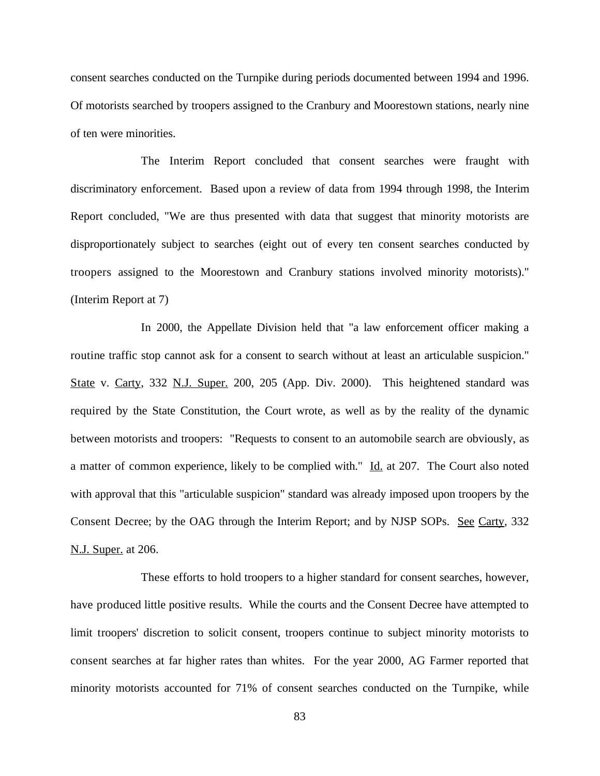consent searches conducted on the Turnpike during periods documented between 1994 and 1996. Of motorists searched by troopers assigned to the Cranbury and Moorestown stations, nearly nine of ten were minorities.

The Interim Report concluded that consent searches were fraught with discriminatory enforcement. Based upon a review of data from 1994 through 1998, the Interim Report concluded, "We are thus presented with data that suggest that minority motorists are disproportionately subject to searches (eight out of every ten consent searches conducted by troopers assigned to the Moorestown and Cranbury stations involved minority motorists)." (Interim Report at 7)

In 2000, the Appellate Division held that "a law enforcement officer making a routine traffic stop cannot ask for a consent to search without at least an articulable suspicion." State v. Carty, 332 N.J. Super. 200, 205 (App. Div. 2000). This heightened standard was required by the State Constitution, the Court wrote, as well as by the reality of the dynamic between motorists and troopers: "Requests to consent to an automobile search are obviously, as a matter of common experience, likely to be complied with." Id. at 207. The Court also noted with approval that this "articulable suspicion" standard was already imposed upon troopers by the Consent Decree; by the OAG through the Interim Report; and by NJSP SOPs. See Carty, 332 N.J. Super. at 206.

These efforts to hold troopers to a higher standard for consent searches, however, have produced little positive results. While the courts and the Consent Decree have attempted to limit troopers' discretion to solicit consent, troopers continue to subject minority motorists to consent searches at far higher rates than whites. For the year 2000, AG Farmer reported that minority motorists accounted for 71% of consent searches conducted on the Turnpike, while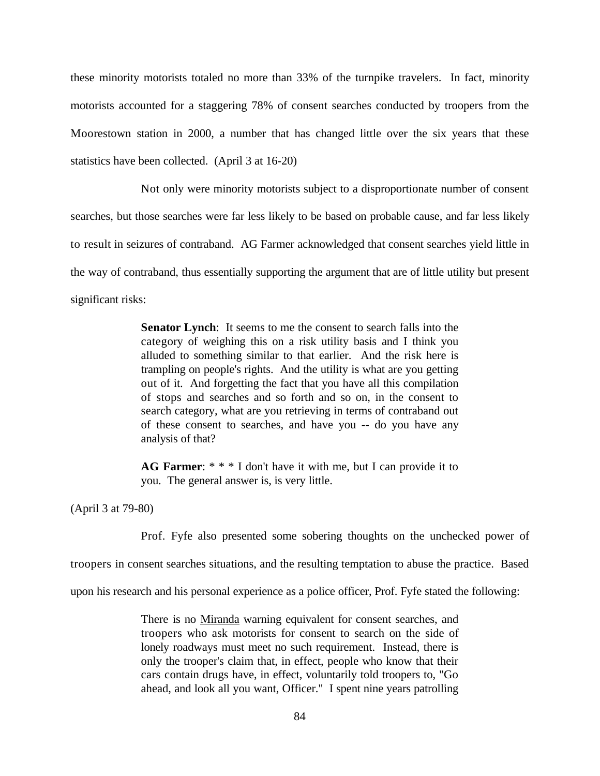these minority motorists totaled no more than 33% of the turnpike travelers. In fact, minority motorists accounted for a staggering 78% of consent searches conducted by troopers from the Moorestown station in 2000, a number that has changed little over the six years that these statistics have been collected. (April 3 at 16-20)

Not only were minority motorists subject to a disproportionate number of consent searches, but those searches were far less likely to be based on probable cause, and far less likely to result in seizures of contraband. AG Farmer acknowledged that consent searches yield little in the way of contraband, thus essentially supporting the argument that are of little utility but present

significant risks:

**Senator Lynch**: It seems to me the consent to search falls into the category of weighing this on a risk utility basis and I think you alluded to something similar to that earlier. And the risk here is trampling on people's rights. And the utility is what are you getting out of it. And forgetting the fact that you have all this compilation of stops and searches and so forth and so on, in the consent to search category, what are you retrieving in terms of contraband out of these consent to searches, and have you -- do you have any analysis of that?

**AG Farmer**: \* \* \* I don't have it with me, but I can provide it to you. The general answer is, is very little.

(April 3 at 79-80)

Prof. Fyfe also presented some sobering thoughts on the unchecked power of

troopers in consent searches situations, and the resulting temptation to abuse the practice. Based

upon his research and his personal experience as a police officer, Prof. Fyfe stated the following:

There is no Miranda warning equivalent for consent searches, and troopers who ask motorists for consent to search on the side of lonely roadways must meet no such requirement. Instead, there is only the trooper's claim that, in effect, people who know that their cars contain drugs have, in effect, voluntarily told troopers to, "Go ahead, and look all you want, Officer." I spent nine years patrolling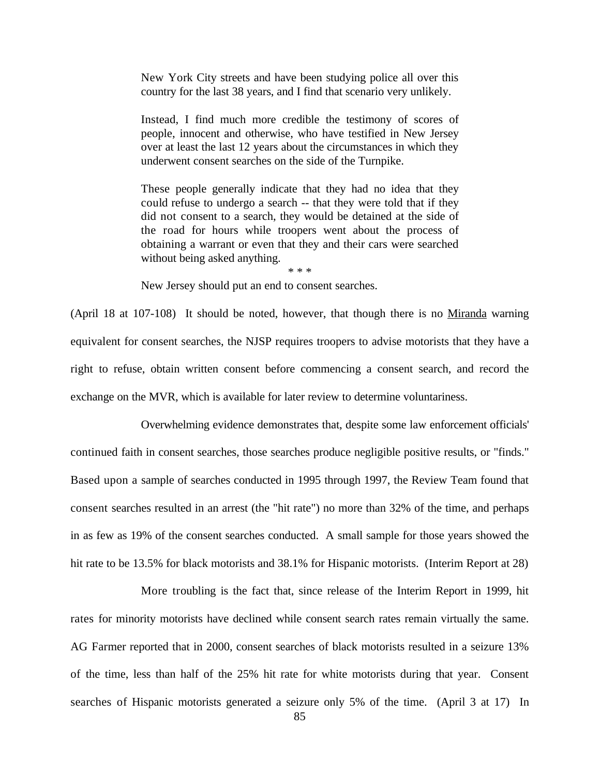New York City streets and have been studying police all over this country for the last 38 years, and I find that scenario very unlikely.

Instead, I find much more credible the testimony of scores of people, innocent and otherwise, who have testified in New Jersey over at least the last 12 years about the circumstances in which they underwent consent searches on the side of the Turnpike.

These people generally indicate that they had no idea that they could refuse to undergo a search -- that they were told that if they did not consent to a search, they would be detained at the side of the road for hours while troopers went about the process of obtaining a warrant or even that they and their cars were searched without being asked anything.

\* \* \*

New Jersey should put an end to consent searches.

(April 18 at 107-108) It should be noted, however, that though there is no Miranda warning equivalent for consent searches, the NJSP requires troopers to advise motorists that they have a right to refuse, obtain written consent before commencing a consent search, and record the exchange on the MVR, which is available for later review to determine voluntariness.

Overwhelming evidence demonstrates that, despite some law enforcement officials' continued faith in consent searches, those searches produce negligible positive results, or "finds." Based upon a sample of searches conducted in 1995 through 1997, the Review Team found that consent searches resulted in an arrest (the "hit rate") no more than 32% of the time, and perhaps in as few as 19% of the consent searches conducted. A small sample for those years showed the hit rate to be 13.5% for black motorists and 38.1% for Hispanic motorists. (Interim Report at 28)

More troubling is the fact that, since release of the Interim Report in 1999, hit rates for minority motorists have declined while consent search rates remain virtually the same. AG Farmer reported that in 2000, consent searches of black motorists resulted in a seizure 13% of the time, less than half of the 25% hit rate for white motorists during that year. Consent searches of Hispanic motorists generated a seizure only 5% of the time. (April 3 at 17) In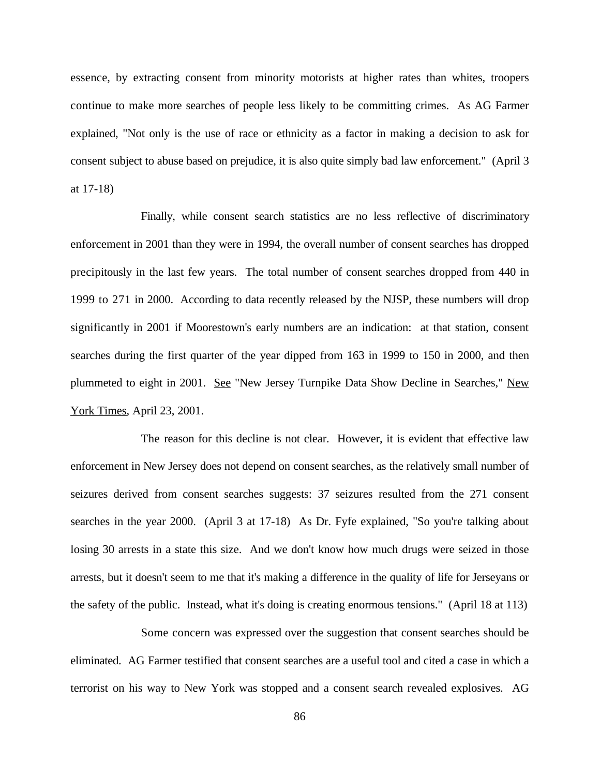essence, by extracting consent from minority motorists at higher rates than whites, troopers continue to make more searches of people less likely to be committing crimes. As AG Farmer explained, "Not only is the use of race or ethnicity as a factor in making a decision to ask for consent subject to abuse based on prejudice, it is also quite simply bad law enforcement." (April 3 at 17-18)

Finally, while consent search statistics are no less reflective of discriminatory enforcement in 2001 than they were in 1994, the overall number of consent searches has dropped precipitously in the last few years. The total number of consent searches dropped from 440 in 1999 to 271 in 2000. According to data recently released by the NJSP, these numbers will drop significantly in 2001 if Moorestown's early numbers are an indication: at that station, consent searches during the first quarter of the year dipped from 163 in 1999 to 150 in 2000, and then plummeted to eight in 2001. See "New Jersey Turnpike Data Show Decline in Searches," New York Times, April 23, 2001.

The reason for this decline is not clear. However, it is evident that effective law enforcement in New Jersey does not depend on consent searches, as the relatively small number of seizures derived from consent searches suggests: 37 seizures resulted from the 271 consent searches in the year 2000. (April 3 at 17-18) As Dr. Fyfe explained, "So you're talking about losing 30 arrests in a state this size. And we don't know how much drugs were seized in those arrests, but it doesn't seem to me that it's making a difference in the quality of life for Jerseyans or the safety of the public. Instead, what it's doing is creating enormous tensions." (April 18 at 113)

Some concern was expressed over the suggestion that consent searches should be eliminated. AG Farmer testified that consent searches are a useful tool and cited a case in which a terrorist on his way to New York was stopped and a consent search revealed explosives. AG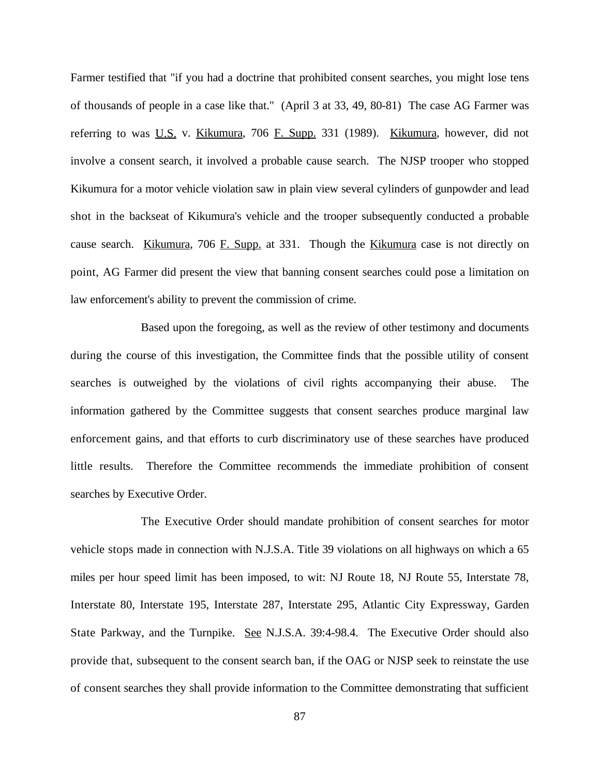Farmer testified that "if you had a doctrine that prohibited consent searches, you might lose tens of thousands of people in a case like that." (April 3 at 33, 49, 80-81) The case AG Farmer was referring to was U.S. v. Kikumura, 706 F. Supp. 331 (1989). Kikumura, however, did not involve a consent search, it involved a probable cause search. The NJSP trooper who stopped Kikumura for a motor vehicle violation saw in plain view several cylinders of gunpowder and lead shot in the backseat of Kikumura's vehicle and the trooper subsequently conducted a probable cause search. Kikumura, 706 F. Supp. at 331. Though the Kikumura case is not directly on point, AG Farmer did present the view that banning consent searches could pose a limitation on law enforcement's ability to prevent the commission of crime.

Based upon the foregoing, as well as the review of other testimony and documents during the course of this investigation, the Committee finds that the possible utility of consent searches is outweighed by the violations of civil rights accompanying their abuse. The information gathered by the Committee suggests that consent searches produce marginal law enforcement gains, and that efforts to curb discriminatory use of these searches have produced little results. Therefore the Committee recommends the immediate prohibition of consent searches by Executive Order.

The Executive Order should mandate prohibition of consent searches for motor vehicle stops made in connection with N.J.S.A. Title 39 violations on all highways on which a 65 miles per hour speed limit has been imposed, to wit: NJ Route 18, NJ Route 55, Interstate 78, Interstate 80, Interstate 195, Interstate 287, Interstate 295, Atlantic City Expressway, Garden State Parkway, and the Turnpike. See N.J.S.A. 39:4-98.4. The Executive Order should also provide that, subsequent to the consent search ban, if the OAG or NJSP seek to reinstate the use of consent searches they shall provide information to the Committee demonstrating that sufficient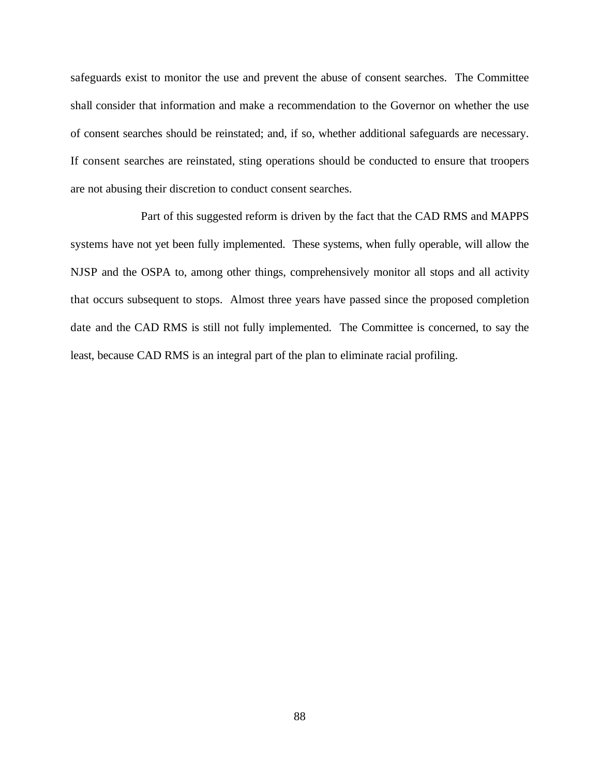safeguards exist to monitor the use and prevent the abuse of consent searches. The Committee shall consider that information and make a recommendation to the Governor on whether the use of consent searches should be reinstated; and, if so, whether additional safeguards are necessary. If consent searches are reinstated, sting operations should be conducted to ensure that troopers are not abusing their discretion to conduct consent searches.

Part of this suggested reform is driven by the fact that the CAD RMS and MAPPS systems have not yet been fully implemented. These systems, when fully operable, will allow the NJSP and the OSPA to, among other things, comprehensively monitor all stops and all activity that occurs subsequent to stops. Almost three years have passed since the proposed completion date and the CAD RMS is still not fully implemented. The Committee is concerned, to say the least, because CAD RMS is an integral part of the plan to eliminate racial profiling.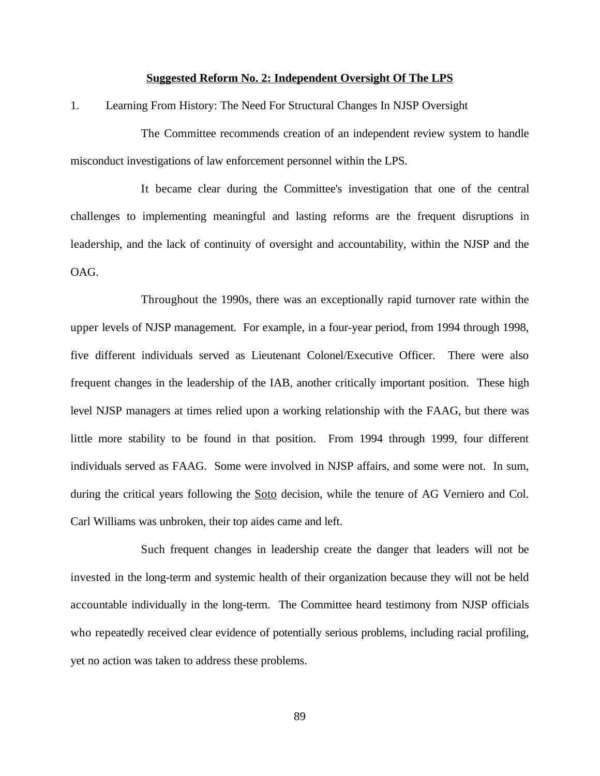### **Suggested Reform No. 2: Independent Oversight Of The LPS**

1. Learning From History: The Need For Structural Changes In NJSP Oversight

The Committee recommends creation of an independent review system to handle misconduct investigations of law enforcement personnel within the LPS.

It became clear during the Committee's investigation that one of the central challenges to implementing meaningful and lasting reforms are the frequent disruptions in leadership, and the lack of continuity of oversight and accountability, within the NJSP and the OAG.

Throughout the 1990s, there was an exceptionally rapid turnover rate within the upper levels of NJSP management. For example, in a four-year period, from 1994 through 1998, five different individuals served as Lieutenant Colonel/Executive Officer. There were also frequent changes in the leadership of the IAB, another critically important position. These high level NJSP managers at times relied upon a working relationship with the FAAG, but there was little more stability to be found in that position. From 1994 through 1999, four different individuals served as FAAG. Some were involved in NJSP affairs, and some were not. In sum, during the critical years following the **Soto** decision, while the tenure of AG Verniero and Col. Carl Williams was unbroken, their top aides came and left.

Such frequent changes in leadership create the danger that leaders will not be invested in the long-term and systemic health of their organization because they will not be held accountable individually in the long-term. The Committee heard testimony from NJSP officials who repeatedly received clear evidence of potentially serious problems, including racial profiling, yet no action was taken to address these problems.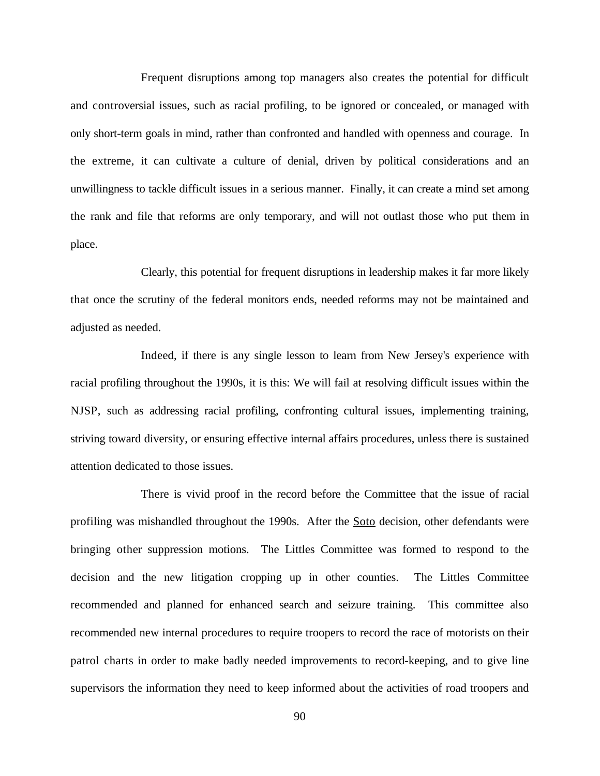Frequent disruptions among top managers also creates the potential for difficult and controversial issues, such as racial profiling, to be ignored or concealed, or managed with only short-term goals in mind, rather than confronted and handled with openness and courage. In the extreme, it can cultivate a culture of denial, driven by political considerations and an unwillingness to tackle difficult issues in a serious manner. Finally, it can create a mind set among the rank and file that reforms are only temporary, and will not outlast those who put them in place.

Clearly, this potential for frequent disruptions in leadership makes it far more likely that once the scrutiny of the federal monitors ends, needed reforms may not be maintained and adjusted as needed.

Indeed, if there is any single lesson to learn from New Jersey's experience with racial profiling throughout the 1990s, it is this: We will fail at resolving difficult issues within the NJSP, such as addressing racial profiling, confronting cultural issues, implementing training, striving toward diversity, or ensuring effective internal affairs procedures, unless there is sustained attention dedicated to those issues.

There is vivid proof in the record before the Committee that the issue of racial profiling was mishandled throughout the 1990s. After the Soto decision, other defendants were bringing other suppression motions. The Littles Committee was formed to respond to the decision and the new litigation cropping up in other counties. The Littles Committee recommended and planned for enhanced search and seizure training. This committee also recommended new internal procedures to require troopers to record the race of motorists on their patrol charts in order to make badly needed improvements to record-keeping, and to give line supervisors the information they need to keep informed about the activities of road troopers and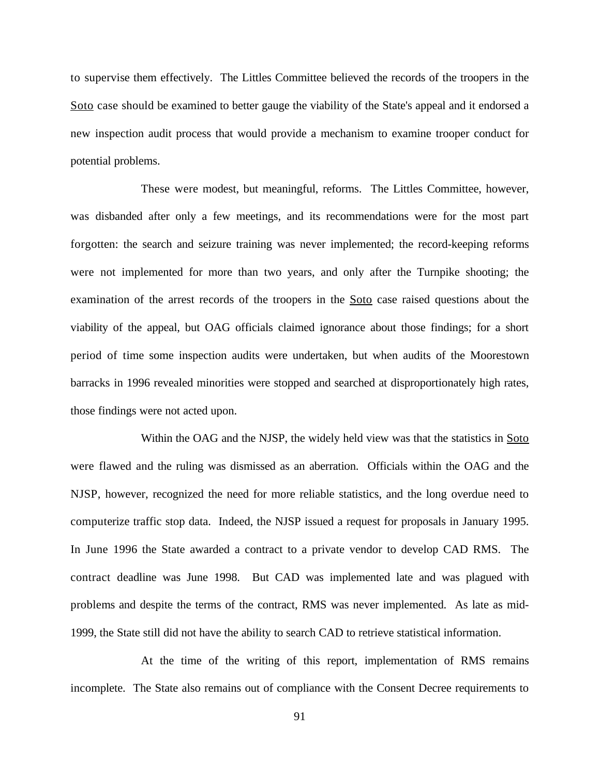to supervise them effectively. The Littles Committee believed the records of the troopers in the Soto case should be examined to better gauge the viability of the State's appeal and it endorsed a new inspection audit process that would provide a mechanism to examine trooper conduct for potential problems.

These were modest, but meaningful, reforms. The Littles Committee, however, was disbanded after only a few meetings, and its recommendations were for the most part forgotten: the search and seizure training was never implemented; the record-keeping reforms were not implemented for more than two years, and only after the Turnpike shooting; the examination of the arrest records of the troopers in the Soto case raised questions about the viability of the appeal, but OAG officials claimed ignorance about those findings; for a short period of time some inspection audits were undertaken, but when audits of the Moorestown barracks in 1996 revealed minorities were stopped and searched at disproportionately high rates, those findings were not acted upon.

Within the OAG and the NJSP, the widely held view was that the statistics in Soto were flawed and the ruling was dismissed as an aberration. Officials within the OAG and the NJSP, however, recognized the need for more reliable statistics, and the long overdue need to computerize traffic stop data. Indeed, the NJSP issued a request for proposals in January 1995. In June 1996 the State awarded a contract to a private vendor to develop CAD RMS. The contract deadline was June 1998. But CAD was implemented late and was plagued with problems and despite the terms of the contract, RMS was never implemented. As late as mid-1999, the State still did not have the ability to search CAD to retrieve statistical information.

At the time of the writing of this report, implementation of RMS remains incomplete. The State also remains out of compliance with the Consent Decree requirements to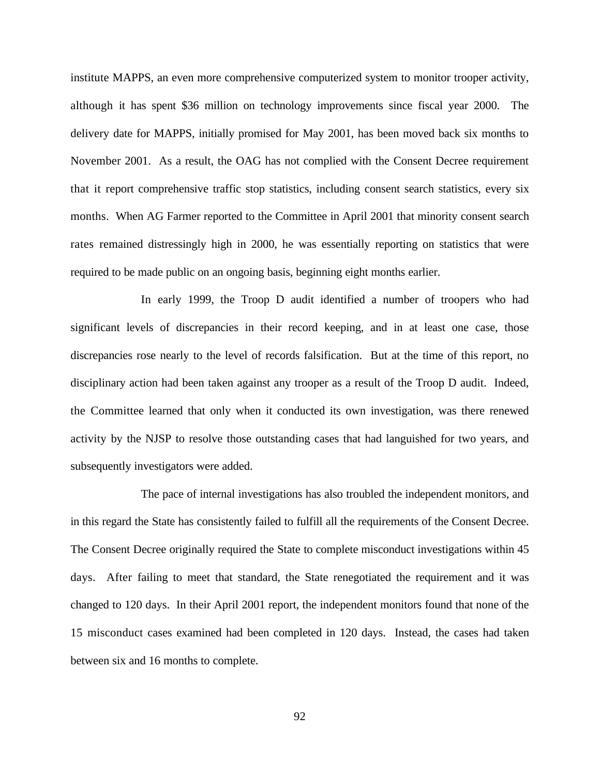institute MAPPS, an even more comprehensive computerized system to monitor trooper activity, although it has spent \$36 million on technology improvements since fiscal year 2000. The delivery date for MAPPS, initially promised for May 2001, has been moved back six months to November 2001. As a result, the OAG has not complied with the Consent Decree requirement that it report comprehensive traffic stop statistics, including consent search statistics, every six months. When AG Farmer reported to the Committee in April 2001 that minority consent search rates remained distressingly high in 2000, he was essentially reporting on statistics that were required to be made public on an ongoing basis, beginning eight months earlier.

In early 1999, the Troop D audit identified a number of troopers who had significant levels of discrepancies in their record keeping, and in at least one case, those discrepancies rose nearly to the level of records falsification. But at the time of this report, no disciplinary action had been taken against any trooper as a result of the Troop D audit. Indeed, the Committee learned that only when it conducted its own investigation, was there renewed activity by the NJSP to resolve those outstanding cases that had languished for two years, and subsequently investigators were added.

The pace of internal investigations has also troubled the independent monitors, and in this regard the State has consistently failed to fulfill all the requirements of the Consent Decree. The Consent Decree originally required the State to complete misconduct investigations within 45 days. After failing to meet that standard, the State renegotiated the requirement and it was changed to 120 days. In their April 2001 report, the independent monitors found that none of the 15 misconduct cases examined had been completed in 120 days. Instead, the cases had taken between six and 16 months to complete.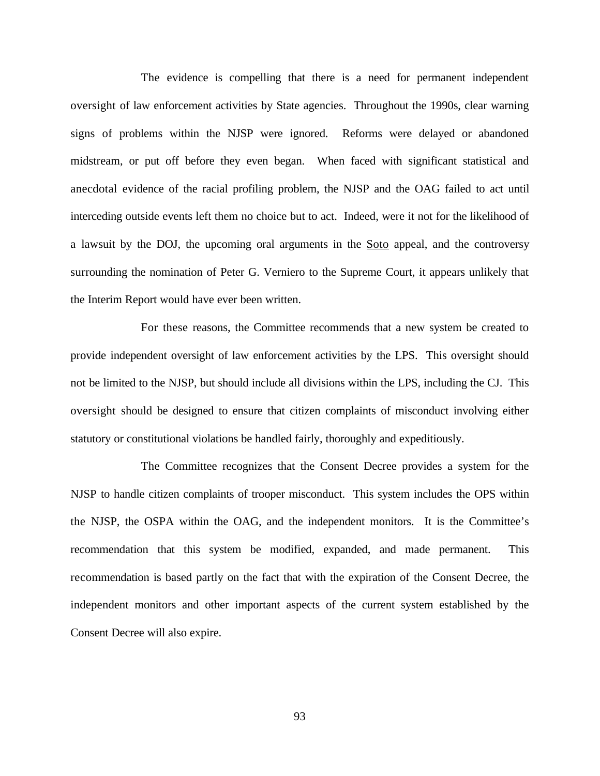The evidence is compelling that there is a need for permanent independent oversight of law enforcement activities by State agencies. Throughout the 1990s, clear warning signs of problems within the NJSP were ignored. Reforms were delayed or abandoned midstream, or put off before they even began. When faced with significant statistical and anecdotal evidence of the racial profiling problem, the NJSP and the OAG failed to act until interceding outside events left them no choice but to act. Indeed, were it not for the likelihood of a lawsuit by the DOJ, the upcoming oral arguments in the Soto appeal, and the controversy surrounding the nomination of Peter G. Verniero to the Supreme Court, it appears unlikely that the Interim Report would have ever been written.

For these reasons, the Committee recommends that a new system be created to provide independent oversight of law enforcement activities by the LPS. This oversight should not be limited to the NJSP, but should include all divisions within the LPS, including the CJ. This oversight should be designed to ensure that citizen complaints of misconduct involving either statutory or constitutional violations be handled fairly, thoroughly and expeditiously.

The Committee recognizes that the Consent Decree provides a system for the NJSP to handle citizen complaints of trooper misconduct. This system includes the OPS within the NJSP, the OSPA within the OAG, and the independent monitors. It is the Committee's recommendation that this system be modified, expanded, and made permanent. This recommendation is based partly on the fact that with the expiration of the Consent Decree, the independent monitors and other important aspects of the current system established by the Consent Decree will also expire.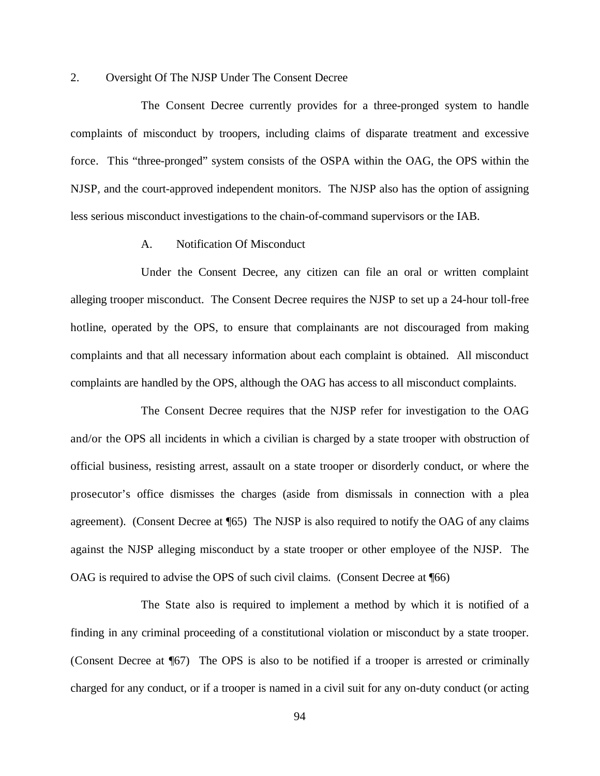### 2. Oversight Of The NJSP Under The Consent Decree

The Consent Decree currently provides for a three-pronged system to handle complaints of misconduct by troopers, including claims of disparate treatment and excessive force. This "three-pronged" system consists of the OSPA within the OAG, the OPS within the NJSP, and the court-approved independent monitors. The NJSP also has the option of assigning less serious misconduct investigations to the chain-of-command supervisors or the IAB.

## A. Notification Of Misconduct

Under the Consent Decree, any citizen can file an oral or written complaint alleging trooper misconduct. The Consent Decree requires the NJSP to set up a 24-hour toll-free hotline, operated by the OPS, to ensure that complainants are not discouraged from making complaints and that all necessary information about each complaint is obtained. All misconduct complaints are handled by the OPS, although the OAG has access to all misconduct complaints.

The Consent Decree requires that the NJSP refer for investigation to the OAG and/or the OPS all incidents in which a civilian is charged by a state trooper with obstruction of official business, resisting arrest, assault on a state trooper or disorderly conduct, or where the prosecutor's office dismisses the charges (aside from dismissals in connection with a plea agreement). (Consent Decree at ¶65) The NJSP is also required to notify the OAG of any claims against the NJSP alleging misconduct by a state trooper or other employee of the NJSP. The OAG is required to advise the OPS of such civil claims. (Consent Decree at ¶66)

The State also is required to implement a method by which it is notified of a finding in any criminal proceeding of a constitutional violation or misconduct by a state trooper. (Consent Decree at ¶67) The OPS is also to be notified if a trooper is arrested or criminally charged for any conduct, or if a trooper is named in a civil suit for any on-duty conduct (or acting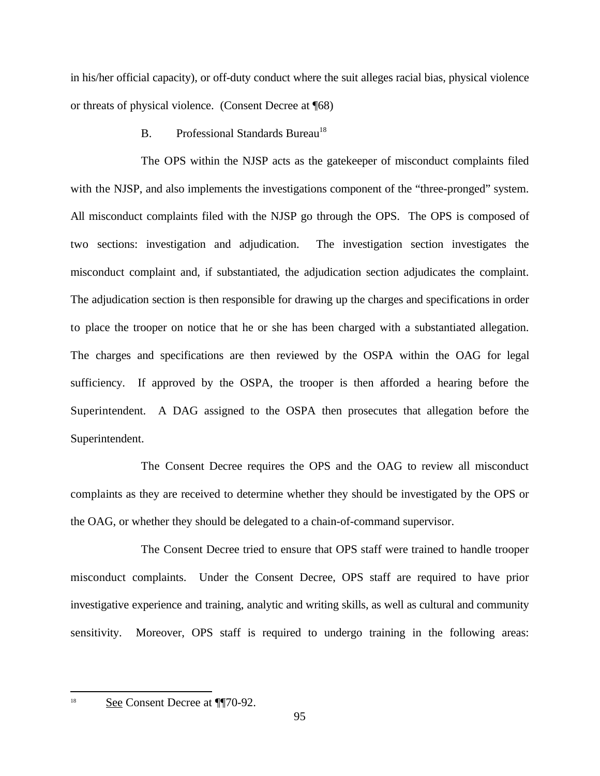in his/her official capacity), or off-duty conduct where the suit alleges racial bias, physical violence or threats of physical violence. (Consent Decree at ¶68)

B. Professional Standards Bureau<sup>18</sup>

The OPS within the NJSP acts as the gatekeeper of misconduct complaints filed with the NJSP, and also implements the investigations component of the "three-pronged" system. All misconduct complaints filed with the NJSP go through the OPS. The OPS is composed of two sections: investigation and adjudication. The investigation section investigates the misconduct complaint and, if substantiated, the adjudication section adjudicates the complaint. The adjudication section is then responsible for drawing up the charges and specifications in order to place the trooper on notice that he or she has been charged with a substantiated allegation. The charges and specifications are then reviewed by the OSPA within the OAG for legal sufficiency. If approved by the OSPA, the trooper is then afforded a hearing before the Superintendent. A DAG assigned to the OSPA then prosecutes that allegation before the Superintendent.

The Consent Decree requires the OPS and the OAG to review all misconduct complaints as they are received to determine whether they should be investigated by the OPS or the OAG, or whether they should be delegated to a chain-of-command supervisor.

The Consent Decree tried to ensure that OPS staff were trained to handle trooper misconduct complaints. Under the Consent Decree, OPS staff are required to have prior investigative experience and training, analytic and writing skills, as well as cultural and community sensitivity. Moreover, OPS staff is required to undergo training in the following areas:

<sup>&</sup>lt;sup>18</sup> See Consent Decree at ¶¶70-92.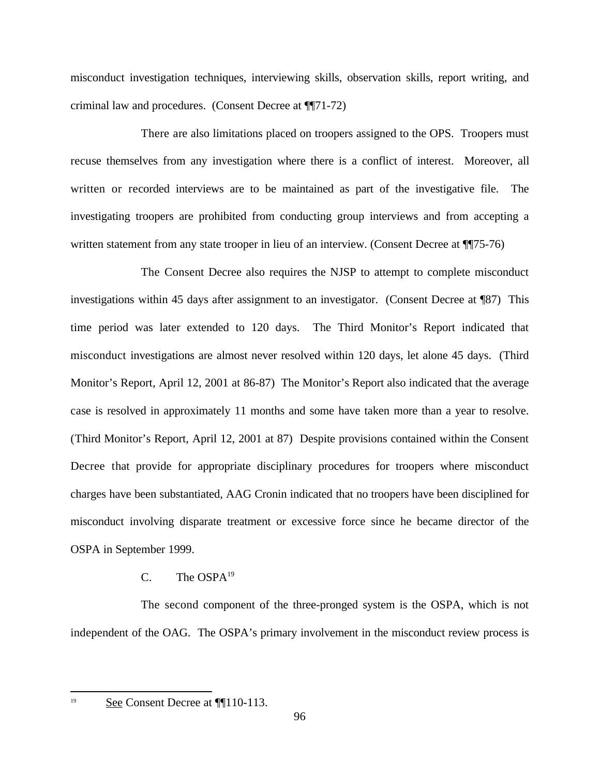misconduct investigation techniques, interviewing skills, observation skills, report writing, and criminal law and procedures. (Consent Decree at ¶¶71-72)

There are also limitations placed on troopers assigned to the OPS. Troopers must recuse themselves from any investigation where there is a conflict of interest. Moreover, all written or recorded interviews are to be maintained as part of the investigative file. The investigating troopers are prohibited from conducting group interviews and from accepting a written statement from any state trooper in lieu of an interview. (Consent Decree at  $\P$ [75-76)

The Consent Decree also requires the NJSP to attempt to complete misconduct investigations within 45 days after assignment to an investigator. (Consent Decree at ¶87) This time period was later extended to 120 days. The Third Monitor's Report indicated that misconduct investigations are almost never resolved within 120 days, let alone 45 days. (Third Monitor's Report, April 12, 2001 at 86-87) The Monitor's Report also indicated that the average case is resolved in approximately 11 months and some have taken more than a year to resolve. (Third Monitor's Report, April 12, 2001 at 87) Despite provisions contained within the Consent Decree that provide for appropriate disciplinary procedures for troopers where misconduct charges have been substantiated, AAG Cronin indicated that no troopers have been disciplined for misconduct involving disparate treatment or excessive force since he became director of the OSPA in September 1999.

## $C.$  The OSPA<sup>19</sup>

The second component of the three-pronged system is the OSPA, which is not independent of the OAG. The OSPA's primary involvement in the misconduct review process is

 $See$  Consent Decree at  $\P$ [110-113.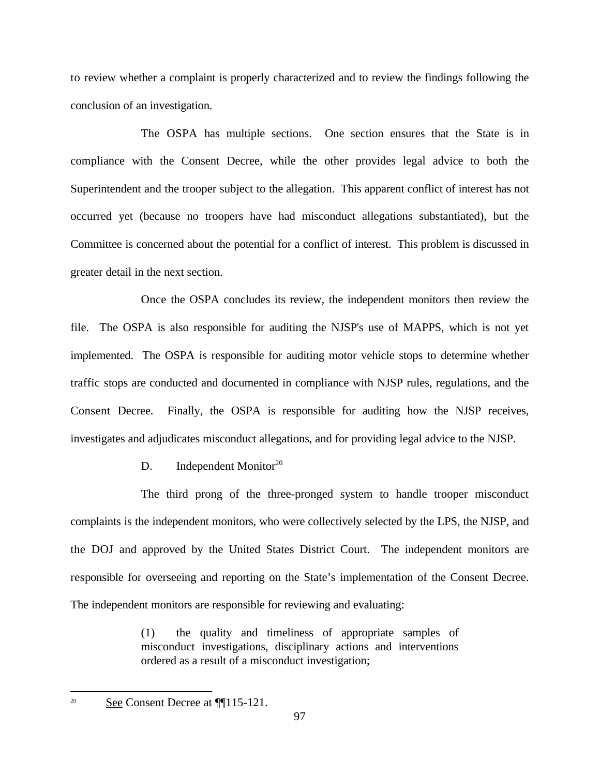to review whether a complaint is properly characterized and to review the findings following the conclusion of an investigation.

The OSPA has multiple sections. One section ensures that the State is in compliance with the Consent Decree, while the other provides legal advice to both the Superintendent and the trooper subject to the allegation. This apparent conflict of interest has not occurred yet (because no troopers have had misconduct allegations substantiated), but the Committee is concerned about the potential for a conflict of interest. This problem is discussed in greater detail in the next section.

Once the OSPA concludes its review, the independent monitors then review the file. The OSPA is also responsible for auditing the NJSP's use of MAPPS, which is not yet implemented. The OSPA is responsible for auditing motor vehicle stops to determine whether traffic stops are conducted and documented in compliance with NJSP rules, regulations, and the Consent Decree. Finally, the OSPA is responsible for auditing how the NJSP receives, investigates and adjudicates misconduct allegations, and for providing legal advice to the NJSP.

# D. Independent Monitor<sup>20</sup>

The third prong of the three-pronged system to handle trooper misconduct complaints is the independent monitors, who were collectively selected by the LPS, the NJSP, and the DOJ and approved by the United States District Court. The independent monitors are responsible for overseeing and reporting on the State's implementation of the Consent Decree. The independent monitors are responsible for reviewing and evaluating:

> (1) the quality and timeliness of appropriate samples of misconduct investigations, disciplinary actions and interventions ordered as a result of a misconduct investigation;

 $\sum_{n=1}^{\infty}$  See Consent Decree at ¶[115-121.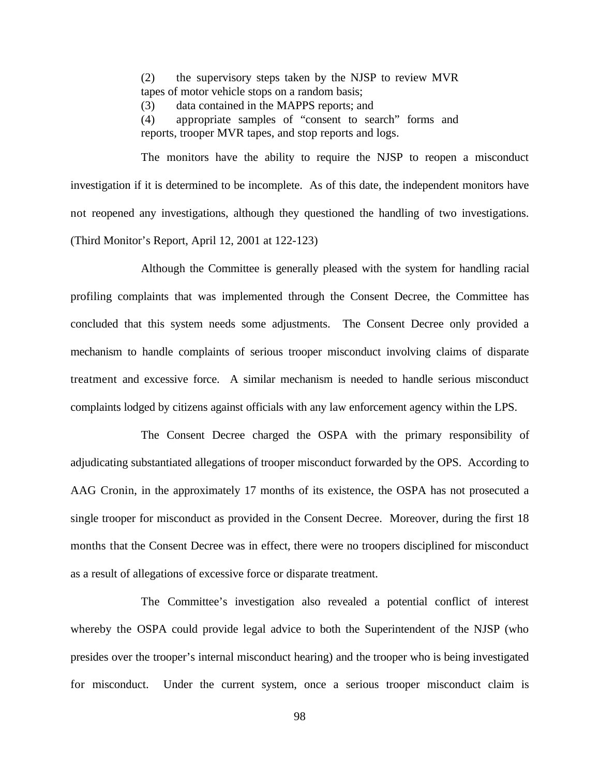(2) the supervisory steps taken by the NJSP to review MVR tapes of motor vehicle stops on a random basis;

(3) data contained in the MAPPS reports; and

(4) appropriate samples of "consent to search" forms and reports, trooper MVR tapes, and stop reports and logs.

The monitors have the ability to require the NJSP to reopen a misconduct investigation if it is determined to be incomplete. As of this date, the independent monitors have not reopened any investigations, although they questioned the handling of two investigations. (Third Monitor's Report, April 12, 2001 at 122-123)

Although the Committee is generally pleased with the system for handling racial profiling complaints that was implemented through the Consent Decree, the Committee has concluded that this system needs some adjustments. The Consent Decree only provided a mechanism to handle complaints of serious trooper misconduct involving claims of disparate treatment and excessive force. A similar mechanism is needed to handle serious misconduct complaints lodged by citizens against officials with any law enforcement agency within the LPS.

The Consent Decree charged the OSPA with the primary responsibility of adjudicating substantiated allegations of trooper misconduct forwarded by the OPS. According to AAG Cronin, in the approximately 17 months of its existence, the OSPA has not prosecuted a single trooper for misconduct as provided in the Consent Decree. Moreover, during the first 18 months that the Consent Decree was in effect, there were no troopers disciplined for misconduct as a result of allegations of excessive force or disparate treatment.

The Committee's investigation also revealed a potential conflict of interest whereby the OSPA could provide legal advice to both the Superintendent of the NJSP (who presides over the trooper's internal misconduct hearing) and the trooper who is being investigated for misconduct. Under the current system, once a serious trooper misconduct claim is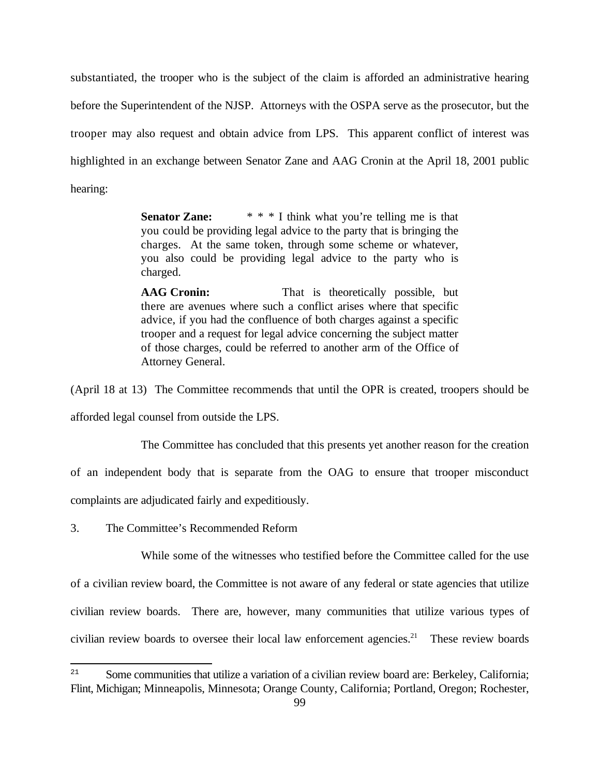substantiated, the trooper who is the subject of the claim is afforded an administrative hearing before the Superintendent of the NJSP. Attorneys with the OSPA serve as the prosecutor, but the trooper may also request and obtain advice from LPS. This apparent conflict of interest was highlighted in an exchange between Senator Zane and AAG Cronin at the April 18, 2001 public hearing:

> **Senator Zane:** \* \* \* I think what you're telling me is that you could be providing legal advice to the party that is bringing the charges. At the same token, through some scheme or whatever, you also could be providing legal advice to the party who is charged.

> **AAG Cronin:** That is theoretically possible, but there are avenues where such a conflict arises where that specific advice, if you had the confluence of both charges against a specific trooper and a request for legal advice concerning the subject matter of those charges, could be referred to another arm of the Office of Attorney General.

(April 18 at 13) The Committee recommends that until the OPR is created, troopers should be afforded legal counsel from outside the LPS.

The Committee has concluded that this presents yet another reason for the creation

of an independent body that is separate from the OAG to ensure that trooper misconduct

complaints are adjudicated fairly and expeditiously.

3. The Committee's Recommended Reform

While some of the witnesses who testified before the Committee called for the use of a civilian review board, the Committee is not aware of any federal or state agencies that utilize civilian review boards. There are, however, many communities that utilize various types of civilian review boards to oversee their local law enforcement agencies.<sup>21</sup> These review boards

<sup>&</sup>lt;sup>21</sup> Some communities that utilize a variation of a civilian review board are: Berkeley, California; Flint, Michigan; Minneapolis, Minnesota; Orange County, California; Portland, Oregon; Rochester,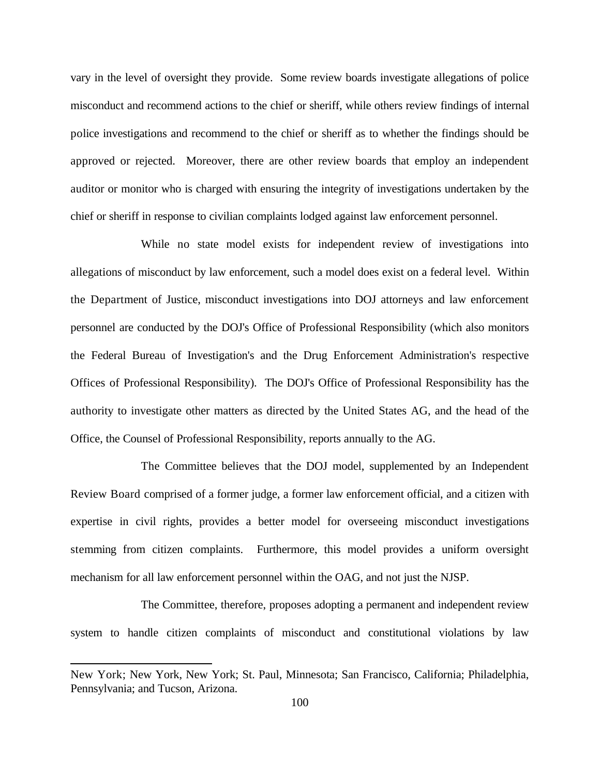vary in the level of oversight they provide. Some review boards investigate allegations of police misconduct and recommend actions to the chief or sheriff, while others review findings of internal police investigations and recommend to the chief or sheriff as to whether the findings should be approved or rejected. Moreover, there are other review boards that employ an independent auditor or monitor who is charged with ensuring the integrity of investigations undertaken by the chief or sheriff in response to civilian complaints lodged against law enforcement personnel.

While no state model exists for independent review of investigations into allegations of misconduct by law enforcement, such a model does exist on a federal level. Within the Department of Justice, misconduct investigations into DOJ attorneys and law enforcement personnel are conducted by the DOJ's Office of Professional Responsibility (which also monitors the Federal Bureau of Investigation's and the Drug Enforcement Administration's respective Offices of Professional Responsibility). The DOJ's Office of Professional Responsibility has the authority to investigate other matters as directed by the United States AG, and the head of the Office, the Counsel of Professional Responsibility, reports annually to the AG.

The Committee believes that the DOJ model, supplemented by an Independent Review Board comprised of a former judge, a former law enforcement official, and a citizen with expertise in civil rights, provides a better model for overseeing misconduct investigations stemming from citizen complaints. Furthermore, this model provides a uniform oversight mechanism for all law enforcement personnel within the OAG, and not just the NJSP.

The Committee, therefore, proposes adopting a permanent and independent review system to handle citizen complaints of misconduct and constitutional violations by law

New York; New York, New York; St. Paul, Minnesota; San Francisco, California; Philadelphia, Pennsylvania; and Tucson, Arizona.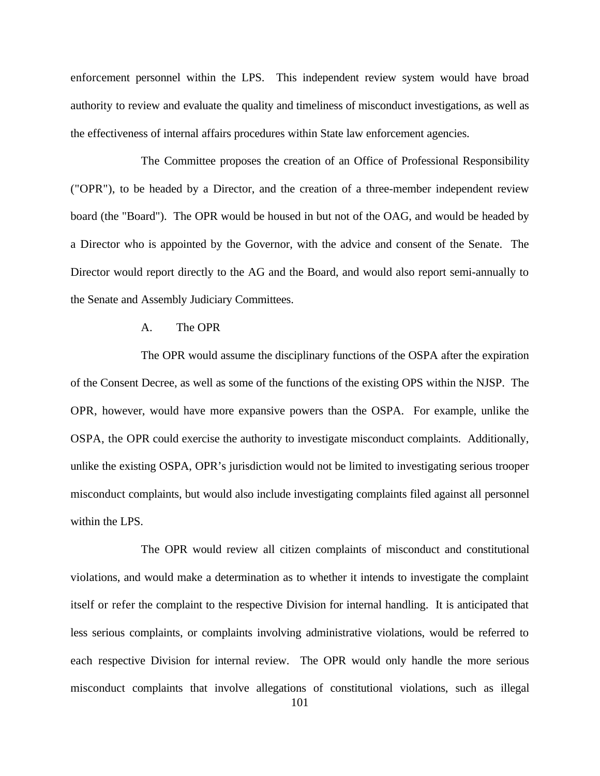enforcement personnel within the LPS. This independent review system would have broad authority to review and evaluate the quality and timeliness of misconduct investigations, as well as the effectiveness of internal affairs procedures within State law enforcement agencies.

The Committee proposes the creation of an Office of Professional Responsibility ("OPR"), to be headed by a Director, and the creation of a three-member independent review board (the "Board"). The OPR would be housed in but not of the OAG, and would be headed by a Director who is appointed by the Governor, with the advice and consent of the Senate. The Director would report directly to the AG and the Board, and would also report semi-annually to the Senate and Assembly Judiciary Committees.

### A. The OPR

The OPR would assume the disciplinary functions of the OSPA after the expiration of the Consent Decree, as well as some of the functions of the existing OPS within the NJSP. The OPR, however, would have more expansive powers than the OSPA. For example, unlike the OSPA, the OPR could exercise the authority to investigate misconduct complaints. Additionally, unlike the existing OSPA, OPR's jurisdiction would not be limited to investigating serious trooper misconduct complaints, but would also include investigating complaints filed against all personnel within the LPS.

The OPR would review all citizen complaints of misconduct and constitutional violations, and would make a determination as to whether it intends to investigate the complaint itself or refer the complaint to the respective Division for internal handling. It is anticipated that less serious complaints, or complaints involving administrative violations, would be referred to each respective Division for internal review. The OPR would only handle the more serious misconduct complaints that involve allegations of constitutional violations, such as illegal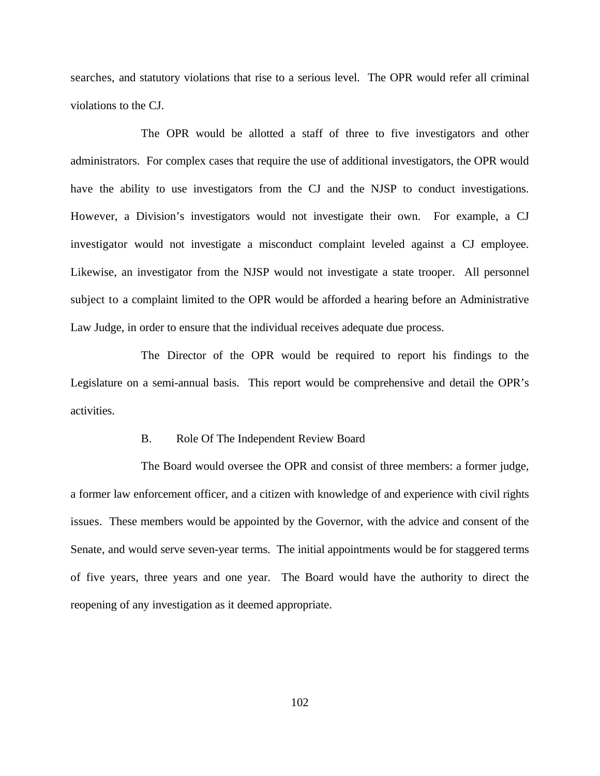searches, and statutory violations that rise to a serious level. The OPR would refer all criminal violations to the CJ.

The OPR would be allotted a staff of three to five investigators and other administrators. For complex cases that require the use of additional investigators, the OPR would have the ability to use investigators from the CJ and the NJSP to conduct investigations. However, a Division's investigators would not investigate their own. For example, a CJ investigator would not investigate a misconduct complaint leveled against a CJ employee. Likewise, an investigator from the NJSP would not investigate a state trooper. All personnel subject to a complaint limited to the OPR would be afforded a hearing before an Administrative Law Judge, in order to ensure that the individual receives adequate due process.

The Director of the OPR would be required to report his findings to the Legislature on a semi-annual basis. This report would be comprehensive and detail the OPR's activities.

### B. Role Of The Independent Review Board

The Board would oversee the OPR and consist of three members: a former judge, a former law enforcement officer, and a citizen with knowledge of and experience with civil rights issues. These members would be appointed by the Governor, with the advice and consent of the Senate, and would serve seven-year terms. The initial appointments would be for staggered terms of five years, three years and one year. The Board would have the authority to direct the reopening of any investigation as it deemed appropriate.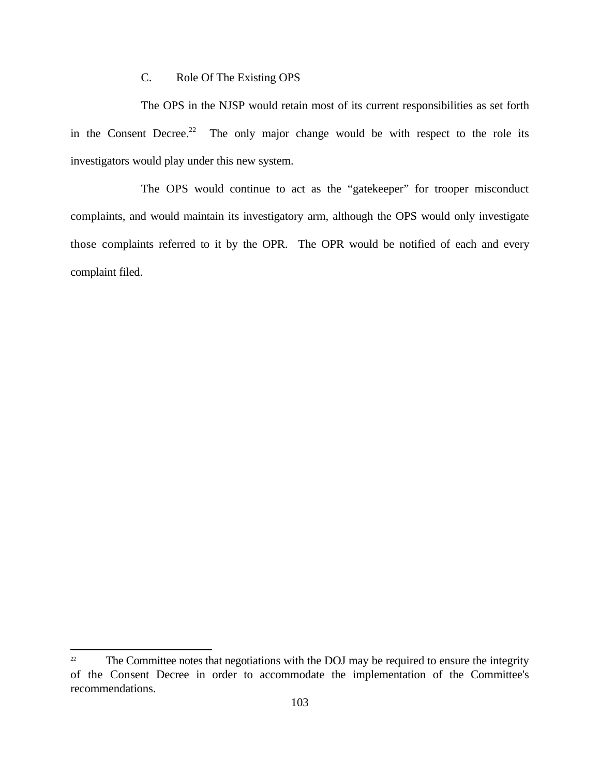# C. Role Of The Existing OPS

The OPS in the NJSP would retain most of its current responsibilities as set forth in the Consent Decree.<sup>22</sup> The only major change would be with respect to the role its investigators would play under this new system.

The OPS would continue to act as the "gatekeeper" for trooper misconduct complaints, and would maintain its investigatory arm, although the OPS would only investigate those complaints referred to it by the OPR. The OPR would be notified of each and every complaint filed.

 $\mu$ <sup>22</sup> The Committee notes that negotiations with the DOJ may be required to ensure the integrity of the Consent Decree in order to accommodate the implementation of the Committee's recommendations.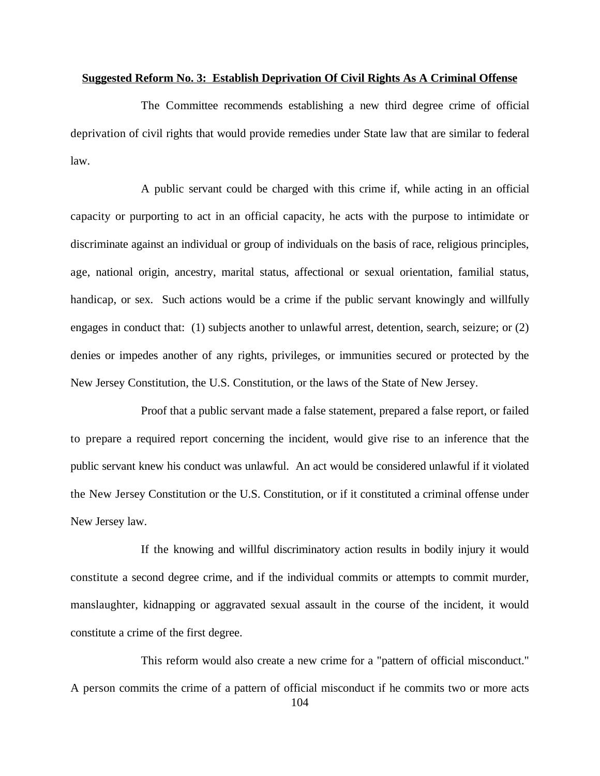#### **Suggested Reform No. 3: Establish Deprivation Of Civil Rights As A Criminal Offense**

The Committee recommends establishing a new third degree crime of official deprivation of civil rights that would provide remedies under State law that are similar to federal law.

A public servant could be charged with this crime if, while acting in an official capacity or purporting to act in an official capacity, he acts with the purpose to intimidate or discriminate against an individual or group of individuals on the basis of race, religious principles, age, national origin, ancestry, marital status, affectional or sexual orientation, familial status, handicap, or sex. Such actions would be a crime if the public servant knowingly and willfully engages in conduct that: (1) subjects another to unlawful arrest, detention, search, seizure; or (2) denies or impedes another of any rights, privileges, or immunities secured or protected by the New Jersey Constitution, the U.S. Constitution, or the laws of the State of New Jersey.

Proof that a public servant made a false statement, prepared a false report, or failed to prepare a required report concerning the incident, would give rise to an inference that the public servant knew his conduct was unlawful. An act would be considered unlawful if it violated the New Jersey Constitution or the U.S. Constitution, or if it constituted a criminal offense under New Jersey law.

If the knowing and willful discriminatory action results in bodily injury it would constitute a second degree crime, and if the individual commits or attempts to commit murder, manslaughter, kidnapping or aggravated sexual assault in the course of the incident, it would constitute a crime of the first degree.

This reform would also create a new crime for a "pattern of official misconduct." A person commits the crime of a pattern of official misconduct if he commits two or more acts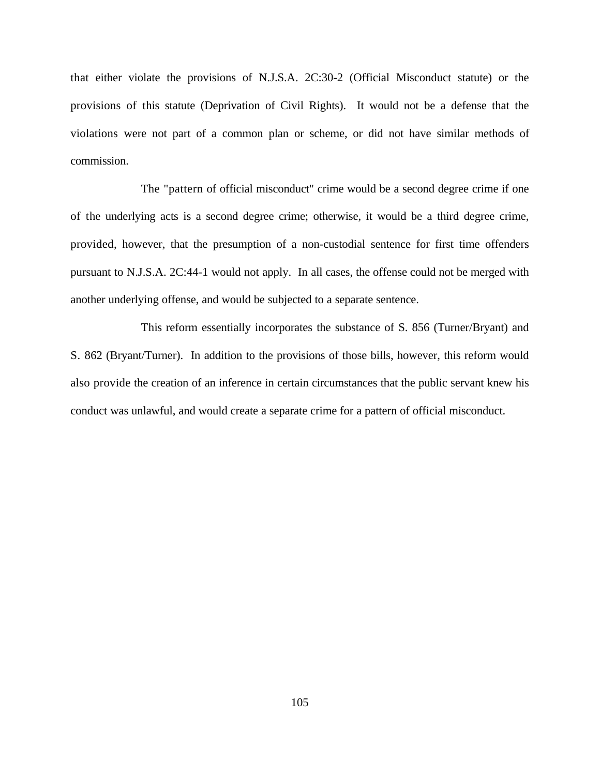that either violate the provisions of N.J.S.A. 2C:30-2 (Official Misconduct statute) or the provisions of this statute (Deprivation of Civil Rights). It would not be a defense that the violations were not part of a common plan or scheme, or did not have similar methods of commission.

The "pattern of official misconduct" crime would be a second degree crime if one of the underlying acts is a second degree crime; otherwise, it would be a third degree crime, provided, however, that the presumption of a non-custodial sentence for first time offenders pursuant to N.J.S.A. 2C:44-1 would not apply. In all cases, the offense could not be merged with another underlying offense, and would be subjected to a separate sentence.

This reform essentially incorporates the substance of S. 856 (Turner/Bryant) and S. 862 (Bryant/Turner). In addition to the provisions of those bills, however, this reform would also provide the creation of an inference in certain circumstances that the public servant knew his conduct was unlawful, and would create a separate crime for a pattern of official misconduct.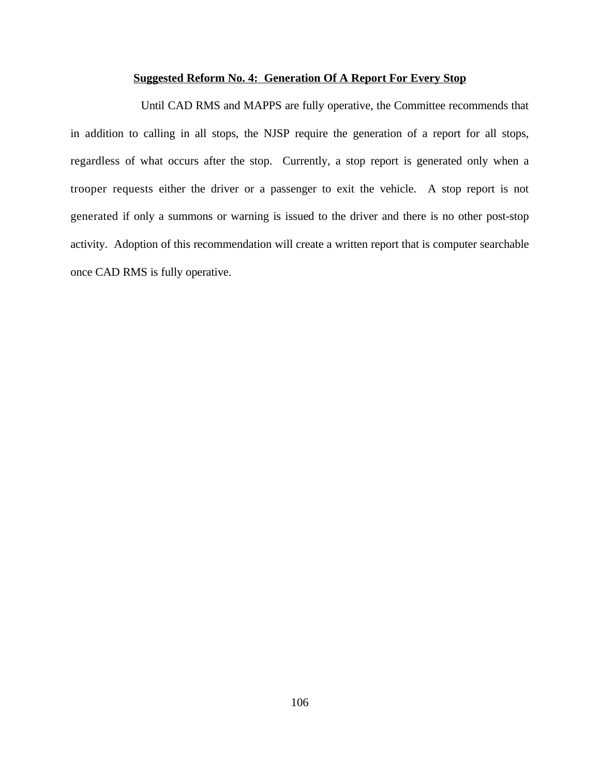### **Suggested Reform No. 4: Generation Of A Report For Every Stop**

Until CAD RMS and MAPPS are fully operative, the Committee recommends that in addition to calling in all stops, the NJSP require the generation of a report for all stops, regardless of what occurs after the stop. Currently, a stop report is generated only when a trooper requests either the driver or a passenger to exit the vehicle. A stop report is not generated if only a summons or warning is issued to the driver and there is no other post-stop activity. Adoption of this recommendation will create a written report that is computer searchable once CAD RMS is fully operative.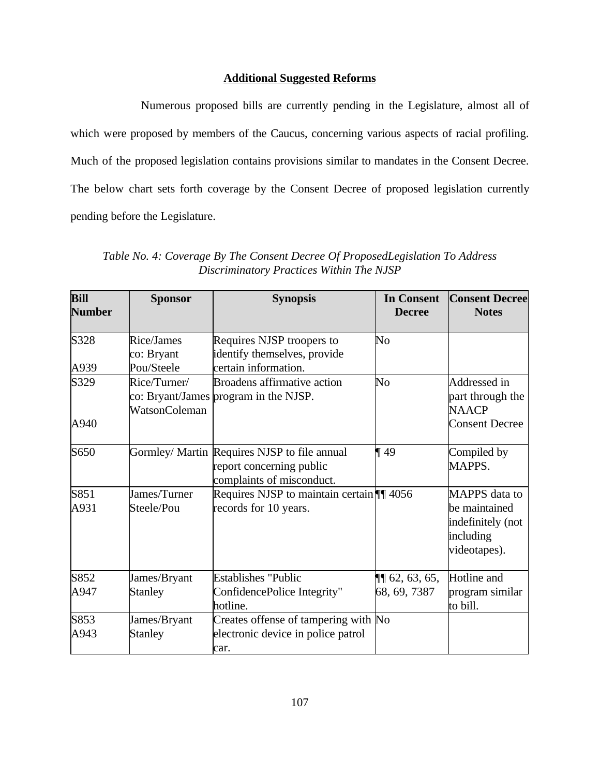# **Additional Suggested Reforms**

Numerous proposed bills are currently pending in the Legislature, almost all of which were proposed by members of the Caucus, concerning various aspects of racial profiling. Much of the proposed legislation contains provisions similar to mandates in the Consent Decree. The below chart sets forth coverage by the Consent Decree of proposed legislation currently pending before the Legislature.

*Table No. 4: Coverage By The Consent Decree Of ProposedLegislation To Address Discriminatory Practices Within The NJSP*

| <b>Bill</b><br><b>Number</b> | <b>Sponsor</b>                | <b>Synopsis</b>                                                                                       | <b>In Consent</b><br><b>Decree</b> | <b>Consent Decree</b><br><b>Notes</b>                                            |
|------------------------------|-------------------------------|-------------------------------------------------------------------------------------------------------|------------------------------------|----------------------------------------------------------------------------------|
| S328                         | Rice/James                    | Requires NJSP troopers to                                                                             | $\overline{\text{No}}$             |                                                                                  |
|                              | co: Bryant                    | identify themselves, provide                                                                          |                                    |                                                                                  |
| A939                         | Pou/Steele                    | certain information.                                                                                  |                                    |                                                                                  |
| S329                         | Rice/Turner/<br>WatsonColeman | <b>Broadens affirmative action</b><br>co: Bryant/James program in the NJSP.                           | $\overline{\text{No}}$             | Addressed in<br>part through the<br><b>NAACP</b>                                 |
| A940                         |                               |                                                                                                       |                                    | <b>Consent Decree</b>                                                            |
| S650                         |                               | Gormley/ Martin Requires NJSP to file annual<br>report concerning public<br>complaints of misconduct. | $\P$ 49                            | Compiled by<br>MAPPS.                                                            |
| S851<br>A931                 | James/Turner<br>Steele/Pou    | Requires NJSP to maintain certain ¶¶ 4056<br>records for 10 years.                                    |                                    | MAPPS data to<br>be maintained<br>indefinitely (not<br>including<br>videotapes). |
| S852                         | James/Bryant                  | <b>Establishes "Public</b>                                                                            | $\P\P$ 62, 63, 65,                 | Hotline and                                                                      |
| A947                         | <b>Stanley</b>                | ConfidencePolice Integrity"<br>hotline.                                                               | 68, 69, 7387                       | program similar<br>to bill.                                                      |
| S853                         | James/Bryant                  | Creates offense of tampering with No                                                                  |                                    |                                                                                  |
| A943                         | <b>Stanley</b>                | electronic device in police patrol<br>car.                                                            |                                    |                                                                                  |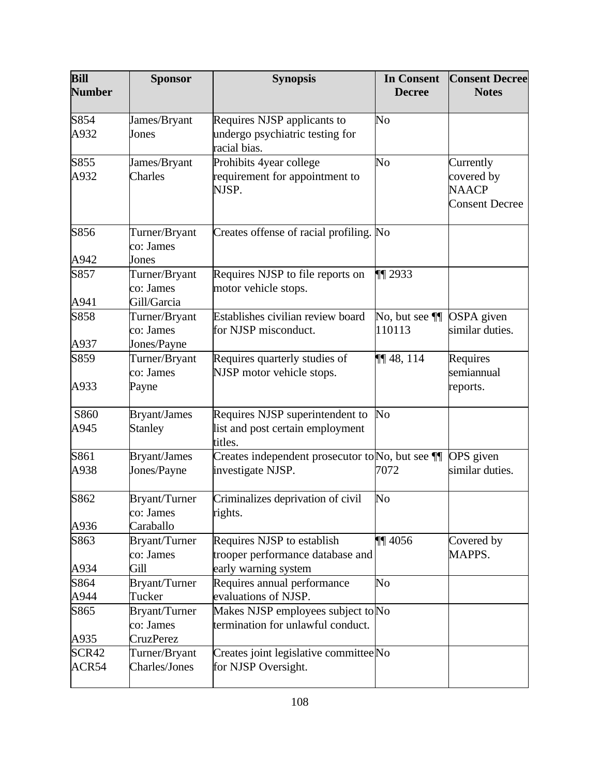| Bill<br><b>Number</b> | <b>Sponsor</b>                    | <b>Synopsis</b>                                                         | <b>In Consent</b><br><b>Decree</b> | <b>Consent Decree</b><br><b>Notes</b>               |
|-----------------------|-----------------------------------|-------------------------------------------------------------------------|------------------------------------|-----------------------------------------------------|
|                       |                                   |                                                                         |                                    |                                                     |
| S854<br>A932          | James/Bryant                      | Requires NJSP applicants to                                             | No                                 |                                                     |
|                       | Jones                             | undergo psychiatric testing for<br>racial bias.                         |                                    |                                                     |
| S855                  | James/Bryant                      | Prohibits 4year college                                                 | No                                 | Currently                                           |
| A932                  | Charles                           | requirement for appointment to<br>NJSP.                                 |                                    | covered by<br><b>NAACP</b><br><b>Consent Decree</b> |
| S856                  | Turner/Bryant<br>co: James        | Creates offense of racial profiling. No                                 |                                    |                                                     |
| A942                  | Jones                             |                                                                         |                                    |                                                     |
| S857                  | Turner/Bryant                     | Requires NJSP to file reports on                                        | $\P$ 2933                          |                                                     |
| A941                  | co: James<br>Gill/Garcia          | motor vehicle stops.                                                    |                                    |                                                     |
| S858                  | Turner/Bryant<br>co: James        | Establishes civilian review board<br>for NJSP misconduct.               | No, but see ¶<br>110113            | <b>OSPA</b> given<br>similar duties.                |
| A937                  | Jones/Payne                       |                                                                         |                                    |                                                     |
| S859                  | Turner/Bryant<br>co: James        | Requires quarterly studies of<br>NJSP motor vehicle stops.              | $\P\P$ 48, 114                     | Requires<br>semiannual                              |
| A933                  | Payne                             |                                                                         |                                    | reports.                                            |
| S860                  | <b>Bryant/James</b>               | Requires NJSP superintendent to                                         | No                                 |                                                     |
| A945                  | <b>Stanley</b>                    | list and post certain employment<br>titles.                             |                                    |                                                     |
| S861                  | <b>Bryant/James</b>               | Creates independent prosecutor to No, but see ¶                         |                                    | OPS given                                           |
| A938                  | Jones/Payne                       | investigate NJSP.                                                       | 7072                               | similar duties.                                     |
| S862                  | Bryant/Turner<br>co: James        | Criminalizes deprivation of civil<br>rights.                            | No                                 |                                                     |
| A936                  | Caraballo                         |                                                                         |                                    |                                                     |
| S863                  | Bryant/Turner<br>co: James        | Requires NJSP to establish<br>trooper performance database and          | $\P\P$ 4056                        | Covered by<br>MAPPS.                                |
| A934                  | Gill                              | early warning system                                                    |                                    |                                                     |
| S864                  | <b>Bryant/Turner</b>              | Requires annual performance                                             | No                                 |                                                     |
| A944                  | Tucker                            | evaluations of NJSP.                                                    |                                    |                                                     |
| S865                  | <b>Bryant/Turner</b><br>co: James | Makes NJSP employees subject to No<br>termination for unlawful conduct. |                                    |                                                     |
| A935                  | <b>CruzPerez</b>                  |                                                                         |                                    |                                                     |
| SCR42<br>ACR54        | Turner/Bryant<br>Charles/Jones    | Creates joint legislative committee No<br>for NJSP Oversight.           |                                    |                                                     |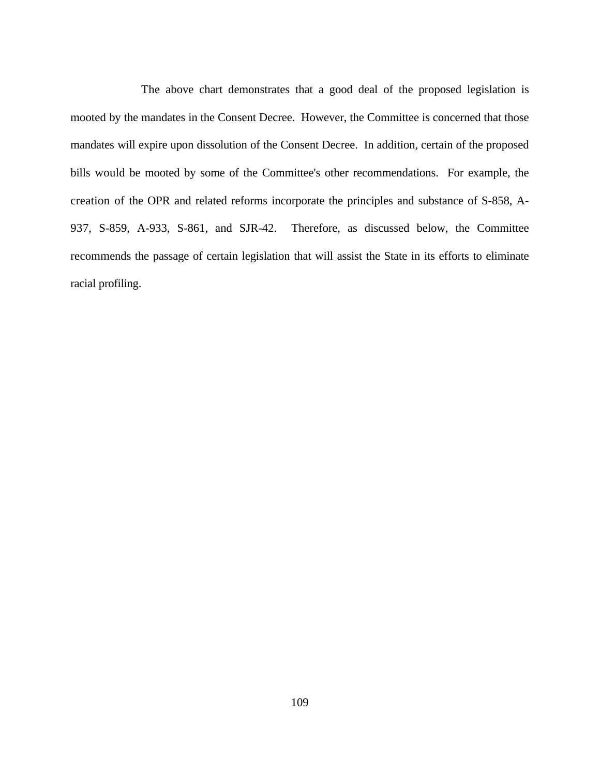The above chart demonstrates that a good deal of the proposed legislation is mooted by the mandates in the Consent Decree. However, the Committee is concerned that those mandates will expire upon dissolution of the Consent Decree. In addition, certain of the proposed bills would be mooted by some of the Committee's other recommendations. For example, the creation of the OPR and related reforms incorporate the principles and substance of S-858, A-937, S-859, A-933, S-861, and SJR-42. Therefore, as discussed below, the Committee recommends the passage of certain legislation that will assist the State in its efforts to eliminate racial profiling.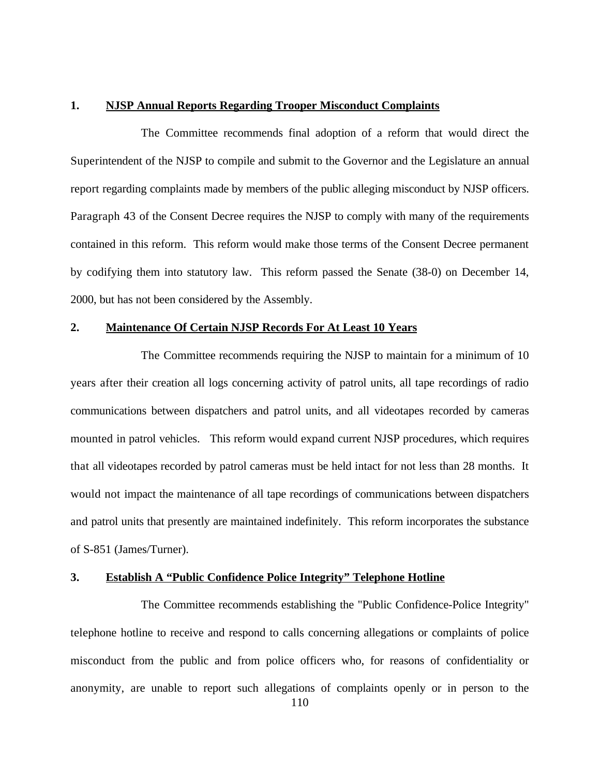#### **1. NJSP Annual Reports Regarding Trooper Misconduct Complaints**

The Committee recommends final adoption of a reform that would direct the Superintendent of the NJSP to compile and submit to the Governor and the Legislature an annual report regarding complaints made by members of the public alleging misconduct by NJSP officers. Paragraph 43 of the Consent Decree requires the NJSP to comply with many of the requirements contained in this reform. This reform would make those terms of the Consent Decree permanent by codifying them into statutory law. This reform passed the Senate (38-0) on December 14, 2000, but has not been considered by the Assembly.

#### **2. Maintenance Of Certain NJSP Records For At Least 10 Years**

The Committee recommends requiring the NJSP to maintain for a minimum of 10 years after their creation all logs concerning activity of patrol units, all tape recordings of radio communications between dispatchers and patrol units, and all videotapes recorded by cameras mounted in patrol vehicles. This reform would expand current NJSP procedures, which requires that all videotapes recorded by patrol cameras must be held intact for not less than 28 months. It would not impact the maintenance of all tape recordings of communications between dispatchers and patrol units that presently are maintained indefinitely. This reform incorporates the substance of S-851 (James/Turner).

# **3. Establish A "Public Confidence Police Integrity" Telephone Hotline**

The Committee recommends establishing the "Public Confidence-Police Integrity" telephone hotline to receive and respond to calls concerning allegations or complaints of police misconduct from the public and from police officers who, for reasons of confidentiality or anonymity, are unable to report such allegations of complaints openly or in person to the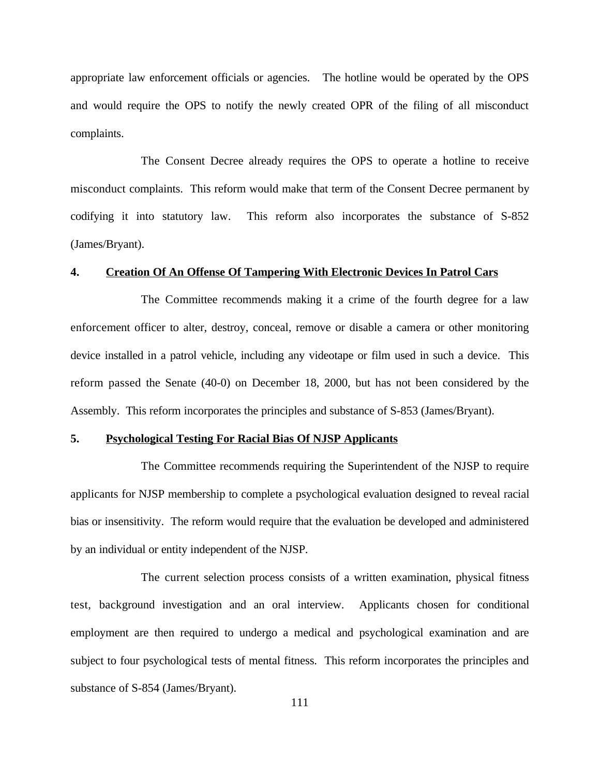appropriate law enforcement officials or agencies. The hotline would be operated by the OPS and would require the OPS to notify the newly created OPR of the filing of all misconduct complaints.

The Consent Decree already requires the OPS to operate a hotline to receive misconduct complaints. This reform would make that term of the Consent Decree permanent by codifying it into statutory law. This reform also incorporates the substance of S-852 (James/Bryant).

#### **4. Creation Of An Offense Of Tampering With Electronic Devices In Patrol Cars**

The Committee recommends making it a crime of the fourth degree for a law enforcement officer to alter, destroy, conceal, remove or disable a camera or other monitoring device installed in a patrol vehicle, including any videotape or film used in such a device. This reform passed the Senate (40-0) on December 18, 2000, but has not been considered by the Assembly. This reform incorporates the principles and substance of S-853 (James/Bryant).

### **5. Psychological Testing For Racial Bias Of NJSP Applicants**

The Committee recommends requiring the Superintendent of the NJSP to require applicants for NJSP membership to complete a psychological evaluation designed to reveal racial bias or insensitivity. The reform would require that the evaluation be developed and administered by an individual or entity independent of the NJSP.

The current selection process consists of a written examination, physical fitness test, background investigation and an oral interview. Applicants chosen for conditional employment are then required to undergo a medical and psychological examination and are subject to four psychological tests of mental fitness. This reform incorporates the principles and substance of S-854 (James/Bryant).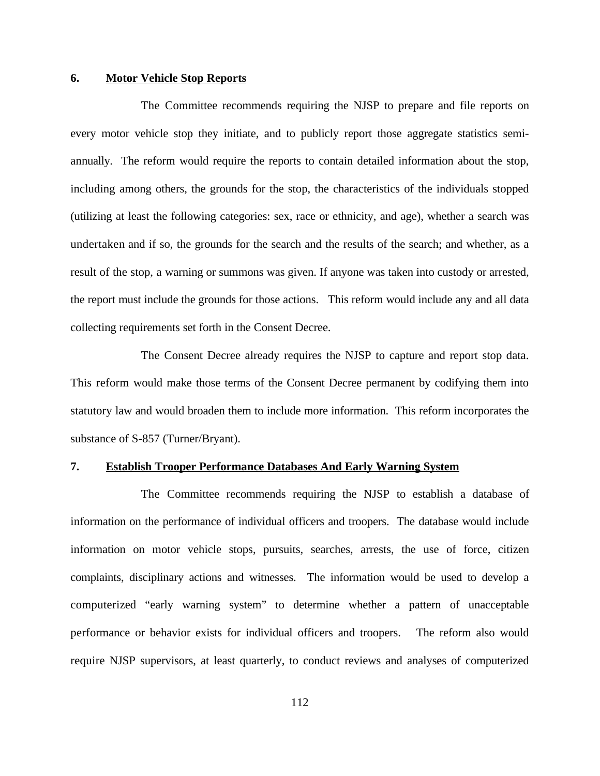### **6. Motor Vehicle Stop Reports**

The Committee recommends requiring the NJSP to prepare and file reports on every motor vehicle stop they initiate, and to publicly report those aggregate statistics semiannually. The reform would require the reports to contain detailed information about the stop, including among others, the grounds for the stop, the characteristics of the individuals stopped (utilizing at least the following categories: sex, race or ethnicity, and age), whether a search was undertaken and if so, the grounds for the search and the results of the search; and whether, as a result of the stop, a warning or summons was given. If anyone was taken into custody or arrested, the report must include the grounds for those actions. This reform would include any and all data collecting requirements set forth in the Consent Decree.

The Consent Decree already requires the NJSP to capture and report stop data. This reform would make those terms of the Consent Decree permanent by codifying them into statutory law and would broaden them to include more information. This reform incorporates the substance of S-857 (Turner/Bryant).

### **7. Establish Trooper Performance Databases And Early Warning System**

The Committee recommends requiring the NJSP to establish a database of information on the performance of individual officers and troopers. The database would include information on motor vehicle stops, pursuits, searches, arrests, the use of force, citizen complaints, disciplinary actions and witnesses. The information would be used to develop a computerized "early warning system" to determine whether a pattern of unacceptable performance or behavior exists for individual officers and troopers. The reform also would require NJSP supervisors, at least quarterly, to conduct reviews and analyses of computerized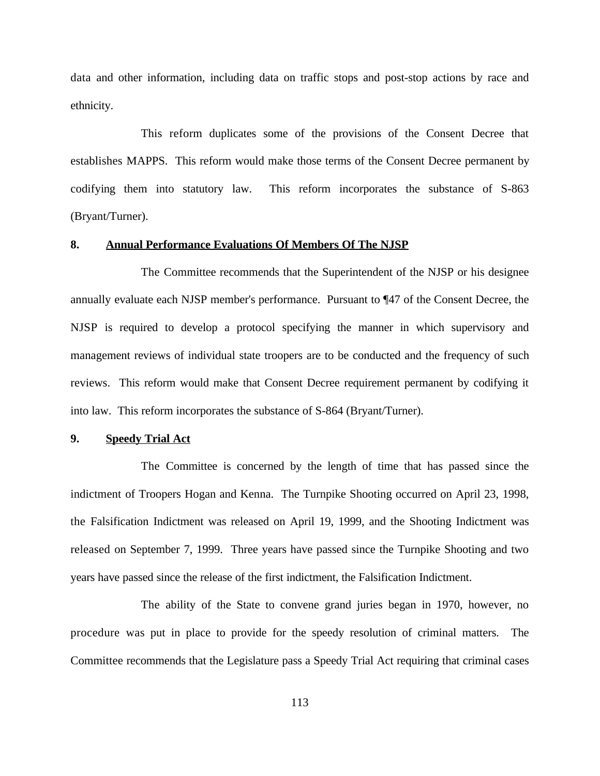data and other information, including data on traffic stops and post-stop actions by race and ethnicity.

This reform duplicates some of the provisions of the Consent Decree that establishes MAPPS. This reform would make those terms of the Consent Decree permanent by codifying them into statutory law. This reform incorporates the substance of S-863 (Bryant/Turner).

# **8. Annual Performance Evaluations Of Members Of The NJSP**

The Committee recommends that the Superintendent of the NJSP or his designee annually evaluate each NJSP member's performance. Pursuant to ¶47 of the Consent Decree, the NJSP is required to develop a protocol specifying the manner in which supervisory and management reviews of individual state troopers are to be conducted and the frequency of such reviews. This reform would make that Consent Decree requirement permanent by codifying it into law. This reform incorporates the substance of S-864 (Bryant/Turner).

### **9. Speedy Trial Act**

The Committee is concerned by the length of time that has passed since the indictment of Troopers Hogan and Kenna. The Turnpike Shooting occurred on April 23, 1998, the Falsification Indictment was released on April 19, 1999, and the Shooting Indictment was released on September 7, 1999. Three years have passed since the Turnpike Shooting and two years have passed since the release of the first indictment, the Falsification Indictment.

The ability of the State to convene grand juries began in 1970, however, no procedure was put in place to provide for the speedy resolution of criminal matters. The Committee recommends that the Legislature pass a Speedy Trial Act requiring that criminal cases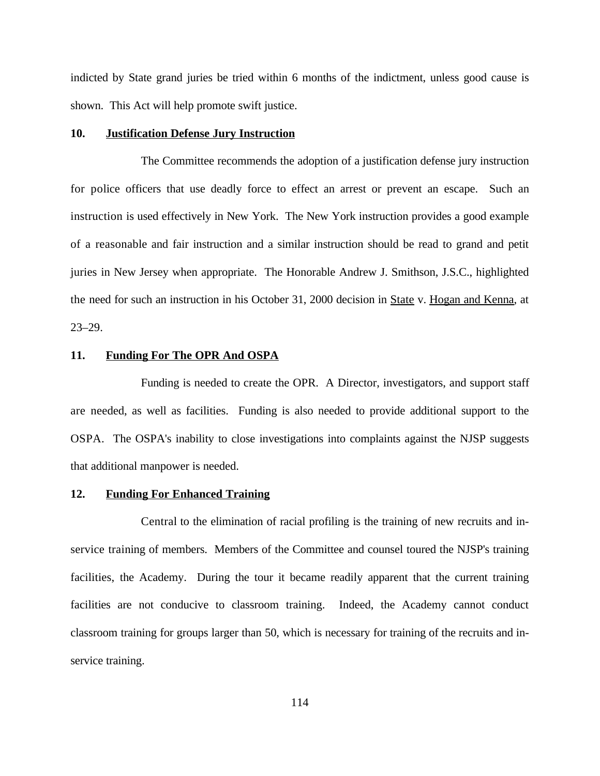indicted by State grand juries be tried within 6 months of the indictment, unless good cause is shown. This Act will help promote swift justice.

#### **10. Justification Defense Jury Instruction**

The Committee recommends the adoption of a justification defense jury instruction for police officers that use deadly force to effect an arrest or prevent an escape. Such an instruction is used effectively in New York. The New York instruction provides a good example of a reasonable and fair instruction and a similar instruction should be read to grand and petit juries in New Jersey when appropriate. The Honorable Andrew J. Smithson, J.S.C., highlighted the need for such an instruction in his October 31, 2000 decision in State v. Hogan and Kenna, at 23–29.

# **11. Funding For The OPR And OSPA**

Funding is needed to create the OPR. A Director, investigators, and support staff are needed, as well as facilities. Funding is also needed to provide additional support to the OSPA. The OSPA's inability to close investigations into complaints against the NJSP suggests that additional manpower is needed.

#### **12. Funding For Enhanced Training**

Central to the elimination of racial profiling is the training of new recruits and inservice training of members. Members of the Committee and counsel toured the NJSP's training facilities, the Academy. During the tour it became readily apparent that the current training facilities are not conducive to classroom training. Indeed, the Academy cannot conduct classroom training for groups larger than 50, which is necessary for training of the recruits and inservice training.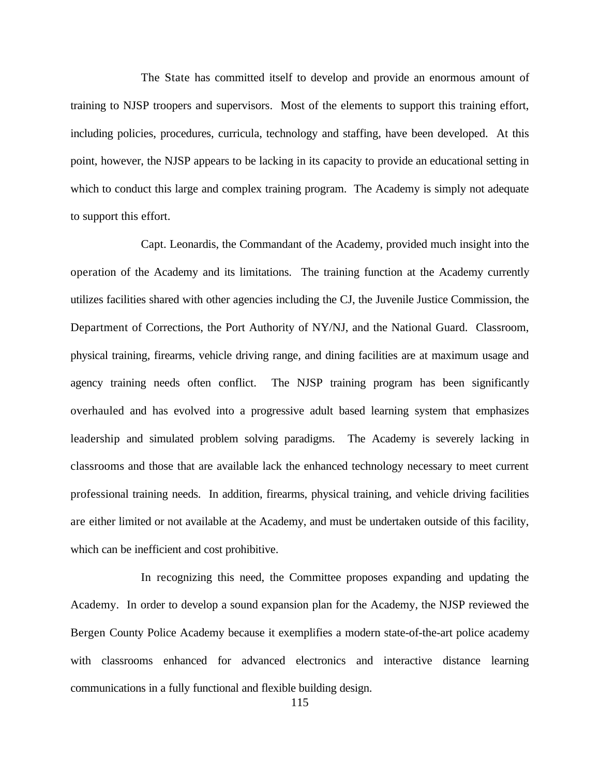The State has committed itself to develop and provide an enormous amount of training to NJSP troopers and supervisors. Most of the elements to support this training effort, including policies, procedures, curricula, technology and staffing, have been developed. At this point, however, the NJSP appears to be lacking in its capacity to provide an educational setting in which to conduct this large and complex training program. The Academy is simply not adequate to support this effort.

Capt. Leonardis, the Commandant of the Academy, provided much insight into the operation of the Academy and its limitations. The training function at the Academy currently utilizes facilities shared with other agencies including the CJ, the Juvenile Justice Commission, the Department of Corrections, the Port Authority of NY/NJ, and the National Guard. Classroom, physical training, firearms, vehicle driving range, and dining facilities are at maximum usage and agency training needs often conflict. The NJSP training program has been significantly overhauled and has evolved into a progressive adult based learning system that emphasizes leadership and simulated problem solving paradigms. The Academy is severely lacking in classrooms and those that are available lack the enhanced technology necessary to meet current professional training needs. In addition, firearms, physical training, and vehicle driving facilities are either limited or not available at the Academy, and must be undertaken outside of this facility, which can be inefficient and cost prohibitive.

In recognizing this need, the Committee proposes expanding and updating the Academy. In order to develop a sound expansion plan for the Academy, the NJSP reviewed the Bergen County Police Academy because it exemplifies a modern state-of-the-art police academy with classrooms enhanced for advanced electronics and interactive distance learning communications in a fully functional and flexible building design.